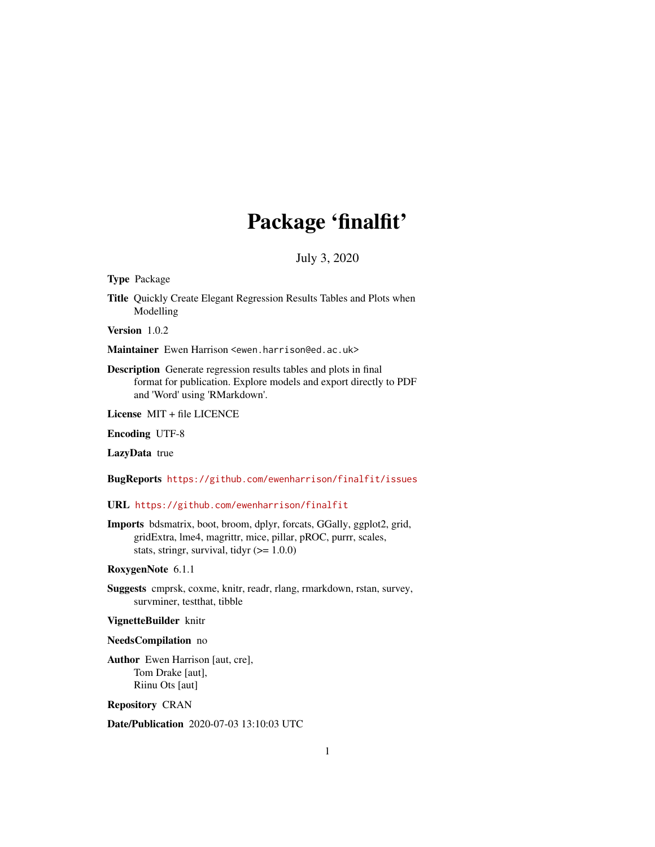# Package 'finalfit'

July 3, 2020

<span id="page-0-0"></span>Type Package

Title Quickly Create Elegant Regression Results Tables and Plots when Modelling

Version 1.0.2

Maintainer Ewen Harrison <ewen.harrison@ed.ac.uk>

Description Generate regression results tables and plots in final format for publication. Explore models and export directly to PDF and 'Word' using 'RMarkdown'.

License MIT + file LICENCE

Encoding UTF-8

LazyData true

BugReports <https://github.com/ewenharrison/finalfit/issues>

URL <https://github.com/ewenharrison/finalfit>

Imports bdsmatrix, boot, broom, dplyr, forcats, GGally, ggplot2, grid, gridExtra, lme4, magrittr, mice, pillar, pROC, purrr, scales, stats, stringr, survival, tidyr  $(>= 1.0.0)$ 

RoxygenNote 6.1.1

Suggests cmprsk, coxme, knitr, readr, rlang, rmarkdown, rstan, survey, survminer, testthat, tibble

#### VignetteBuilder knitr

#### NeedsCompilation no

Author Ewen Harrison [aut, cre], Tom Drake [aut], Riinu Ots [aut]

Repository CRAN

Date/Publication 2020-07-03 13:10:03 UTC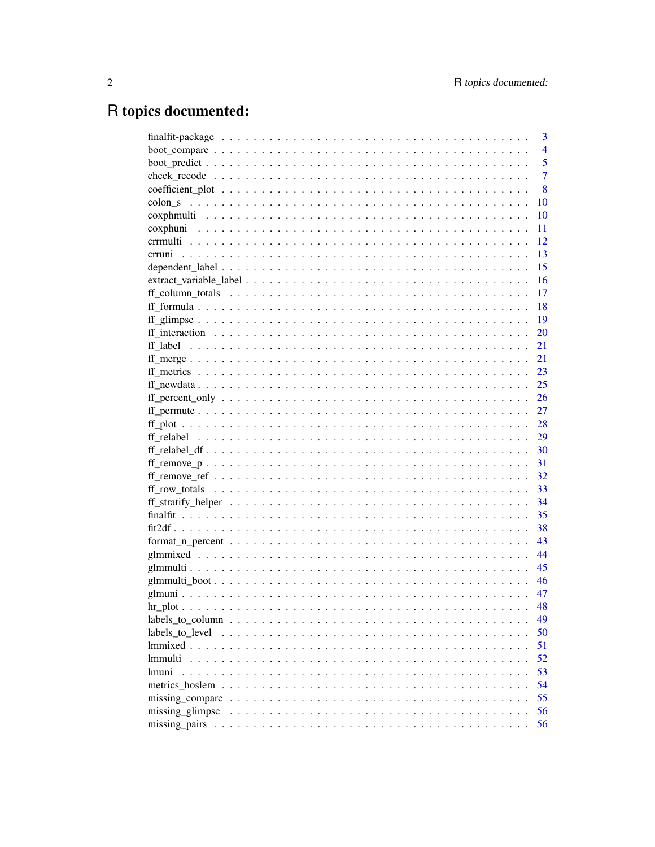# R topics documented:

|                 | 3              |
|-----------------|----------------|
|                 | $\overline{4}$ |
|                 | 5              |
|                 | $\overline{7}$ |
|                 | 8              |
|                 | 10             |
|                 | 10             |
|                 | 11             |
|                 | 12             |
|                 | 13             |
|                 | 15             |
|                 | 16             |
|                 | 17             |
|                 | 18             |
|                 | $-19$          |
|                 | 20             |
|                 | 21             |
|                 | 21             |
|                 | 23             |
|                 | 25             |
|                 | 26             |
|                 | 27             |
|                 | 28             |
|                 | 29             |
|                 | 30             |
|                 | 31             |
|                 | 32             |
|                 | 33             |
|                 | 34             |
|                 | 35             |
|                 | 38             |
|                 | 43             |
|                 | 44             |
|                 | 45             |
|                 | 46             |
|                 | 47             |
|                 | 48             |
|                 | 49             |
| labels to level | 50             |
|                 | 51             |
| <i>Immulti</i>  | 52             |
| <i>Imuni</i>    | 53             |
|                 | 54             |
|                 | 55             |
| missing glimpse | 56             |
|                 | 56             |
|                 |                |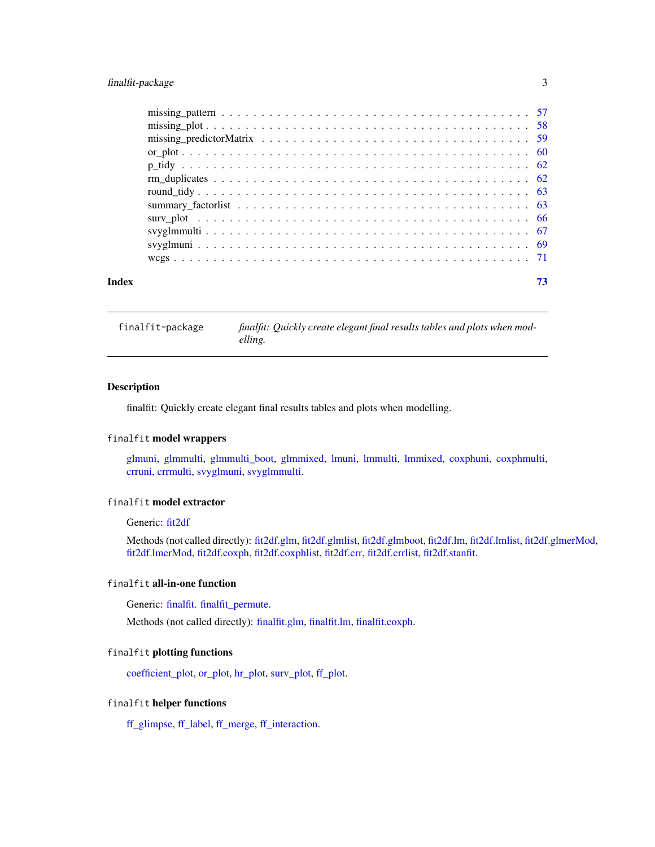# <span id="page-2-0"></span>finalfit-package 3

| Index | 73 |
|-------|----|

finalfit-package *finalfit: Quickly create elegant final results tables and plots when modelling.*

# Description

finalfit: Quickly create elegant final results tables and plots when modelling.

# finalfit model wrappers

[glmuni,](#page-46-1) [glmmulti,](#page-44-1) [glmmulti\\_boot,](#page-45-1) [glmmixed,](#page-43-1) [lmuni,](#page-52-1) [lmmulti,](#page-51-1) [lmmixed,](#page-50-1) [coxphuni,](#page-10-1) [coxphmulti,](#page-9-1) [crruni,](#page-12-1) [crrmulti,](#page-11-1) [svyglmuni,](#page-68-1) [svyglmmulti.](#page-66-1)

# finalfit model extractor

Generic: [fit2df](#page-37-1)

Methods (not called directly): [fit2df.glm,](#page-37-2) [fit2df.glmlist,](#page-37-2) [fit2df.glmboot,](#page-37-2) [fit2df.lm,](#page-37-2) [fit2df.lmlist,](#page-37-2) [fit2df.glmerMod,](#page-37-2) [fit2df.lmerMod,](#page-37-2) [fit2df.coxph,](#page-37-2) [fit2df.coxphlist,](#page-37-2) [fit2df.crr,](#page-37-2) [fit2df.crrlist,](#page-37-2) [fit2df.stanfit.](#page-37-2)

## finalfit all-in-one function

Generic: [finalfit.](#page-34-1) [finalfit\\_permute.](#page-26-1)

Methods (not called directly): [finalfit.glm,](#page-34-2) [finalfit.lm,](#page-34-2) [finalfit.coxph.](#page-34-2)

# finalfit plotting functions

[coefficient\\_plot,](#page-7-1) [or\\_plot,](#page-59-1) [hr\\_plot,](#page-47-1) [surv\\_plot,](#page-65-1) [ff\\_plot.](#page-27-1)

# finalfit helper functions

[ff\\_glimpse,](#page-18-1) [ff\\_label,](#page-20-1) [ff\\_merge,](#page-20-2) [ff\\_interaction.](#page-19-1)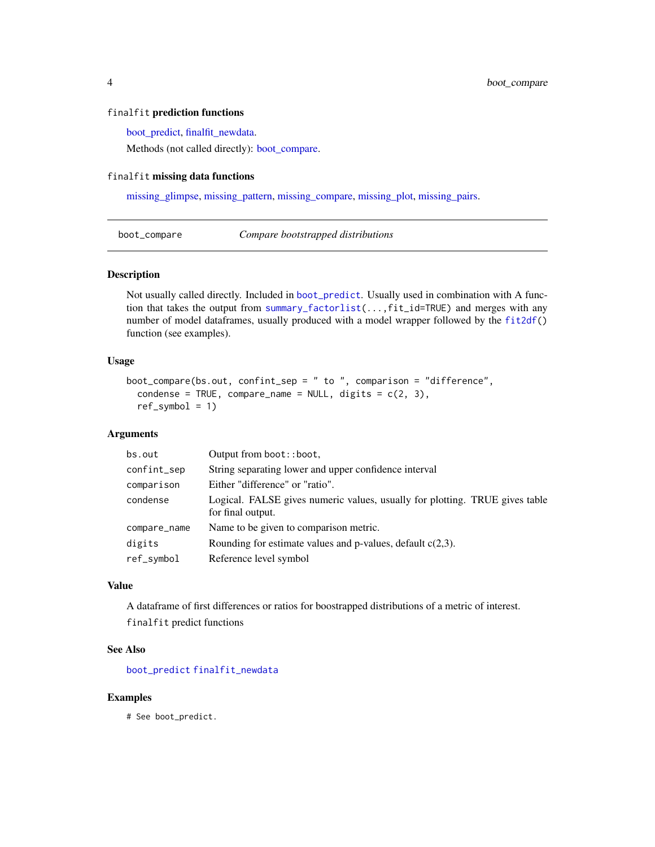#### <span id="page-3-0"></span>finalfit prediction functions

[boot\\_predict,](#page-4-1) [finalfit\\_newdata.](#page-24-1)

Methods (not called directly): [boot\\_compare.](#page-3-1)

# finalfit missing data functions

[missing\\_glimpse,](#page-55-1) [missing\\_pattern,](#page-56-1) [missing\\_compare,](#page-54-1) [missing\\_plot,](#page-57-1) [missing\\_pairs.](#page-55-2)

<span id="page-3-1"></span>boot\_compare *Compare bootstrapped distributions*

#### Description

Not usually called directly. Included in [boot\\_predict](#page-4-1). Usually used in combination with A function that takes the output from [summary\\_factorlist\(](#page-62-1)...,fit\_id=TRUE) and merges with any number of model dataframes, usually produced with a model wrapper followed by the [fit2df\(](#page-37-1)) function (see examples).

#### Usage

```
boot_compare(bs.out, confint_sep = " to ", comparison = "difference",
  condense = TRUE, compare_name = NULL, digits = c(2, 3),
  ref\_symbol = 1)
```
#### Arguments

| bs.out       | Output from boot:: boot,                                                                         |
|--------------|--------------------------------------------------------------------------------------------------|
| confint_sep  | String separating lower and upper confidence interval                                            |
| comparison   | Either "difference" or "ratio".                                                                  |
| condense     | Logical. FALSE gives numeric values, usually for plotting. TRUE gives table<br>for final output. |
| compare_name | Name to be given to comparison metric.                                                           |
| digits       | Rounding for estimate values and p-values, default $c(2,3)$ .                                    |
| ref_symbol   | Reference level symbol                                                                           |

#### Value

A dataframe of first differences or ratios for boostrapped distributions of a metric of interest. finalfit predict functions

#### See Also

[boot\\_predict](#page-4-1) [finalfit\\_newdata](#page-24-1)

#### Examples

# See boot\_predict.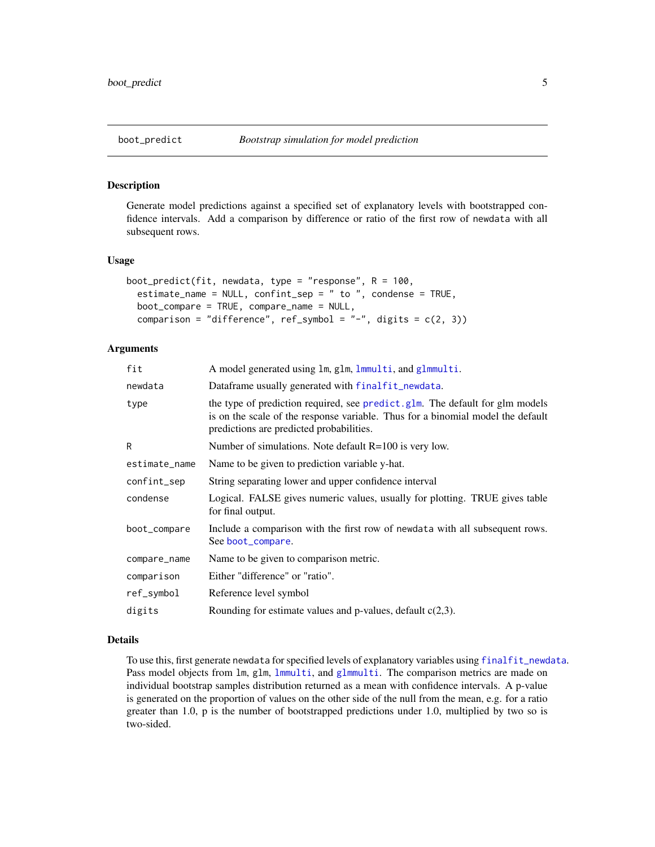<span id="page-4-1"></span><span id="page-4-0"></span>Generate model predictions against a specified set of explanatory levels with bootstrapped confidence intervals. Add a comparison by difference or ratio of the first row of newdata with all subsequent rows.

#### Usage

```
boot_predict(fit, newdata, type = "response", R = 100,
  estimate_name = NULL, confint_sep = " to ", condense = TRUE,
 boot_compare = TRUE, compare_name = NULL,
 comparison = "difference", ref_symbol = "-", digits = c(2, 3))
```
# Arguments

| A model generated using lm, glm, lmmulti, and glmmulti.                                                                                                                                                     |
|-------------------------------------------------------------------------------------------------------------------------------------------------------------------------------------------------------------|
| Dataframe usually generated with finalfit_newdata.                                                                                                                                                          |
| the type of prediction required, see predict.glm. The default for glm models<br>is on the scale of the response variable. Thus for a binomial model the default<br>predictions are predicted probabilities. |
| Number of simulations. Note default $R=100$ is very low.                                                                                                                                                    |
| Name to be given to prediction variable y-hat.                                                                                                                                                              |
| String separating lower and upper confidence interval                                                                                                                                                       |
| Logical. FALSE gives numeric values, usually for plotting. TRUE gives table<br>for final output.                                                                                                            |
| Include a comparison with the first row of newdata with all subsequent rows.<br>See boot_compare.                                                                                                           |
| Name to be given to comparison metric.                                                                                                                                                                      |
| Either "difference" or "ratio".                                                                                                                                                                             |
| Reference level symbol                                                                                                                                                                                      |
| Rounding for estimate values and p-values, default $c(2,3)$ .                                                                                                                                               |
|                                                                                                                                                                                                             |

# Details

To use this, first generate newdata for specified levels of explanatory variables using [finalfit\\_newdata](#page-24-1). Pass model objects from lm, glm, [lmmulti](#page-51-1), and [glmmulti](#page-44-1). The comparison metrics are made on individual bootstrap samples distribution returned as a mean with confidence intervals. A p-value is generated on the proportion of values on the other side of the null from the mean, e.g. for a ratio greater than 1.0, p is the number of bootstrapped predictions under 1.0, multiplied by two so is two-sided.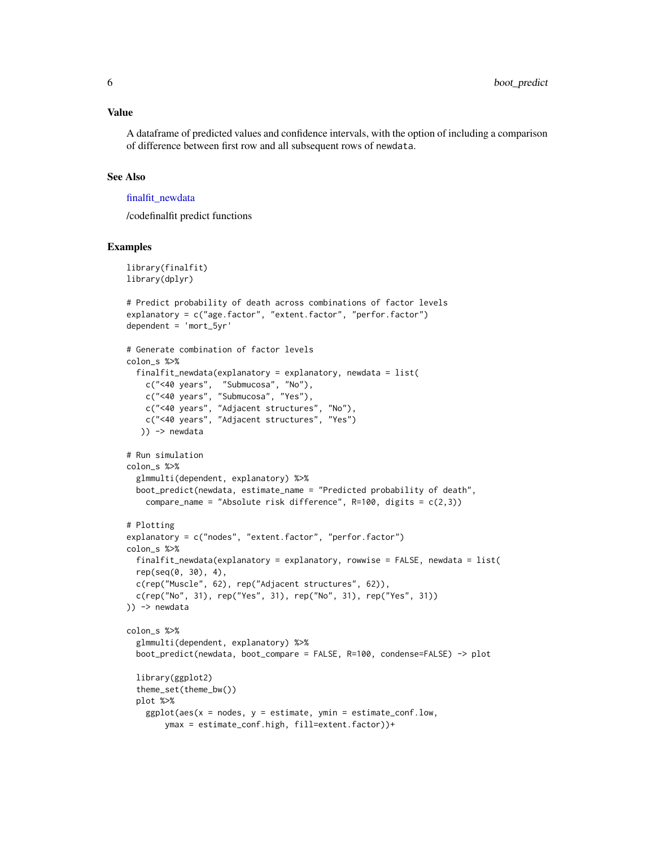A dataframe of predicted values and confidence intervals, with the option of including a comparison of difference between first row and all subsequent rows of newdata.

#### See Also

#### [finalfit\\_newdata](#page-24-1)

/codefinalfit predict functions

```
library(finalfit)
library(dplyr)
# Predict probability of death across combinations of factor levels
explanatory = c("age.factor", "extent.factor", "perfor.factor")
dependent = 'mort_5yr'
# Generate combination of factor levels
colon_s %>%
 finalfit_newdata(explanatory = explanatory, newdata = list(
    c("<40 years", "Submucosa", "No"),
    c("<40 years", "Submucosa", "Yes"),
   c("<40 years", "Adjacent structures", "No"),
   c("<40 years", "Adjacent structures", "Yes")
  )) -> newdata
# Run simulation
colon_s %>%
 glmmulti(dependent, explanatory) %>%
 boot_predict(newdata, estimate_name = "Predicted probability of death",
   compare_name = "Absolute risk difference", R=100, digits = c(2,3))
# Plotting
explanatory = c("nodes", "extent.factor", "perfor.factor")
colon_s %>%
 finalfit_newdata(explanatory = explanatory, rowwise = FALSE, newdata = list(
 rep(seq(0, 30), 4),
 c(rep("Muscle", 62), rep("Adjacent structures", 62)),
 c(rep("No", 31), rep("Yes", 31), rep("No", 31), rep("Yes", 31))
)) -> newdata
colon_s %>%
 glmmulti(dependent, explanatory) %>%
 boot_predict(newdata, boot_compare = FALSE, R=100, condense=FALSE) -> plot
 library(ggplot2)
 theme_set(theme_bw())
 plot %>%
   ggplot(aes(x = nodes, y = estimate, ymin = estimate_{cond}.low,ymax = estimate_conf.high, fill=extent.factor))+
```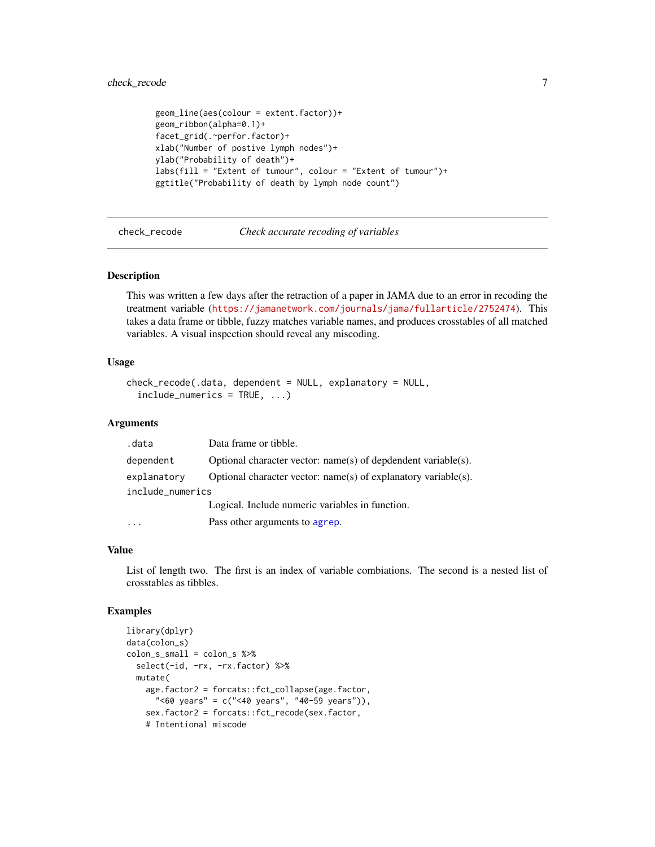# <span id="page-6-0"></span>check\_recode 7

```
geom_line(aes(colour = extent.factor))+
geom_ribbon(alpha=0.1)+
facet_grid(.~perfor.factor)+
xlab("Number of postive lymph nodes")+
ylab("Probability of death")+
labs(fill = "Extent of tumour", colour = "Extent of tumour")+
ggtitle("Probability of death by lymph node count")
```
check\_recode *Check accurate recoding of variables*

#### Description

This was written a few days after the retraction of a paper in JAMA due to an error in recoding the treatment variable (<https://jamanetwork.com/journals/jama/fullarticle/2752474>). This takes a data frame or tibble, fuzzy matches variable names, and produces crosstables of all matched variables. A visual inspection should reveal any miscoding.

#### Usage

```
check_recode(.data, dependent = NULL, explanatory = NULL,
  include_numerics = TRUE, ...)
```
#### Arguments

| .data            | Data frame or tibble.                                           |
|------------------|-----------------------------------------------------------------|
| dependent        | Optional character vector: $name(s)$ of depdendent variable(s). |
| explanatory      | Optional character vector: name(s) of explanatory variable(s).  |
| include_numerics |                                                                 |
|                  | Logical. Include numeric variables in function.                 |
|                  | Pass other arguments to agrep.                                  |

#### Value

List of length two. The first is an index of variable combiations. The second is a nested list of crosstables as tibbles.

```
library(dplyr)
data(colon_s)
colon_s_small = colon_s %>%
  select(-id, -rx, -rx.factor) %>%
  mutate(
    age.factor2 = forcats::fct_collapse(age.factor,
      "<60 years" = c("<40 years", "40-59 years")),
    sex.factor2 = forcats::fct_recode(sex.factor,
    # Intentional miscode
```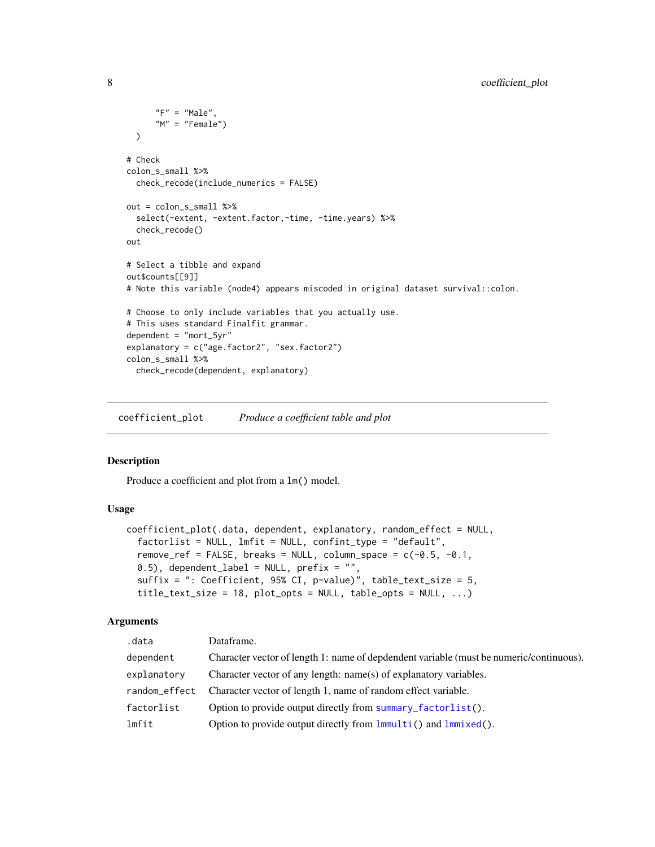```
"F" = "Male",M'' = "Female"))
# Check
colon_s_small %>%
  check_recode(include_numerics = FALSE)
out = colon_s_small %>%
  select(-extent, -extent.factor,-time, -time.years) %>%
  check_recode()
out
# Select a tibble and expand
out$counts[[9]]
# Note this variable (node4) appears miscoded in original dataset survival::colon.
# Choose to only include variables that you actually use.
# This uses standard Finalfit grammar.
dependent = "mort_5yr"
explanatory = c("age.factor2", "sex.factor2")
colon_s_small %>%
  check_recode(dependent, explanatory)
```
<span id="page-7-1"></span>coefficient\_plot *Produce a coefficient table and plot*

#### Description

Produce a coefficient and plot from a lm() model.

# Usage

```
coefficient_plot(.data, dependent, explanatory, random_effect = NULL,
  factorlist = NULL, lmfit = NULL, confint_type = "default",
  remove_ref = FALSE, breaks = NULL, column_space = c(-0.5, -0.1,0.5), dependent_label = NULL, prefix = "",
  suffix = ": Coefficient, 95% CI, p-value)", table_text_size = 5,
  title_text_size = 18, plot_opts = NULL, table_opts = NULL, ...)
```
#### Arguments

| .data         | Dataframe.                                                                              |
|---------------|-----------------------------------------------------------------------------------------|
| dependent     | Character vector of length 1: name of depdendent variable (must be numeric/continuous). |
| explanatory   | Character vector of any length: name(s) of explanatory variables.                       |
| random effect | Character vector of length 1, name of random effect variable.                           |
| factorlist    | Option to provide output directly from summary_factorlist().                            |
| lmfit         | Option to provide output directly from $lmmulti()$ and $lmmixed()$ .                    |

<span id="page-7-0"></span>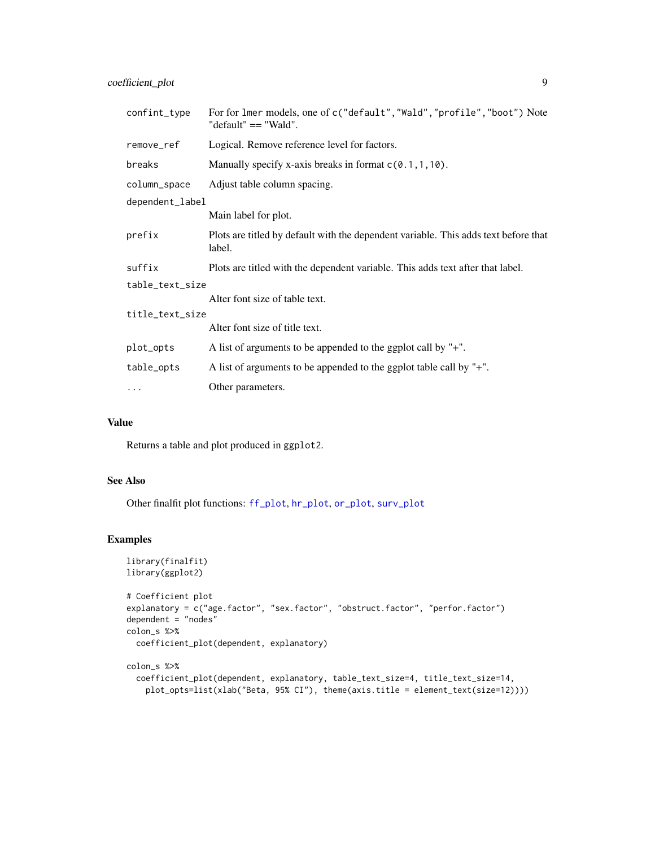coefficient\_plot 9

| confint_type    | For for lmer models, one of c("default", "Wald", "profile", "boot") Note<br>"default" == "Wald". |
|-----------------|--------------------------------------------------------------------------------------------------|
| remove_ref      | Logical. Remove reference level for factors.                                                     |
| breaks          | Manually specify x-axis breaks in format $c(0.1, 1, 10)$ .                                       |
| column_space    | Adjust table column spacing.                                                                     |
| dependent_label |                                                                                                  |
|                 | Main label for plot.                                                                             |
| prefix          | Plots are titled by default with the dependent variable. This adds text before that<br>label.    |
| suffix          | Plots are titled with the dependent variable. This adds text after that label.                   |
| table_text_size |                                                                                                  |
|                 | Alter font size of table text.                                                                   |
| title_text_size |                                                                                                  |
|                 | Alter font size of title text.                                                                   |
| plot_opts       | A list of arguments to be appended to the ggplot call by "+".                                    |
| table_opts      | A list of arguments to be appended to the ggplot table call by "+".                              |
| .               | Other parameters.                                                                                |

# Value

Returns a table and plot produced in ggplot2.

# See Also

Other finalfit plot functions: [ff\\_plot](#page-27-1), [hr\\_plot](#page-47-1), [or\\_plot](#page-59-1), [surv\\_plot](#page-65-1)

```
library(finalfit)
library(ggplot2)
# Coefficient plot
explanatory = c("age.factor", "sex.factor", "obstruct.factor", "perfor.factor")
dependent = "nodes"
colon_s %>%
  coefficient_plot(dependent, explanatory)
colon_s %>%
  coefficient_plot(dependent, explanatory, table_text_size=4, title_text_size=14,
   plot_opts=list(xlab("Beta, 95% CI"), theme(axis.title = element_text(size=12))))
```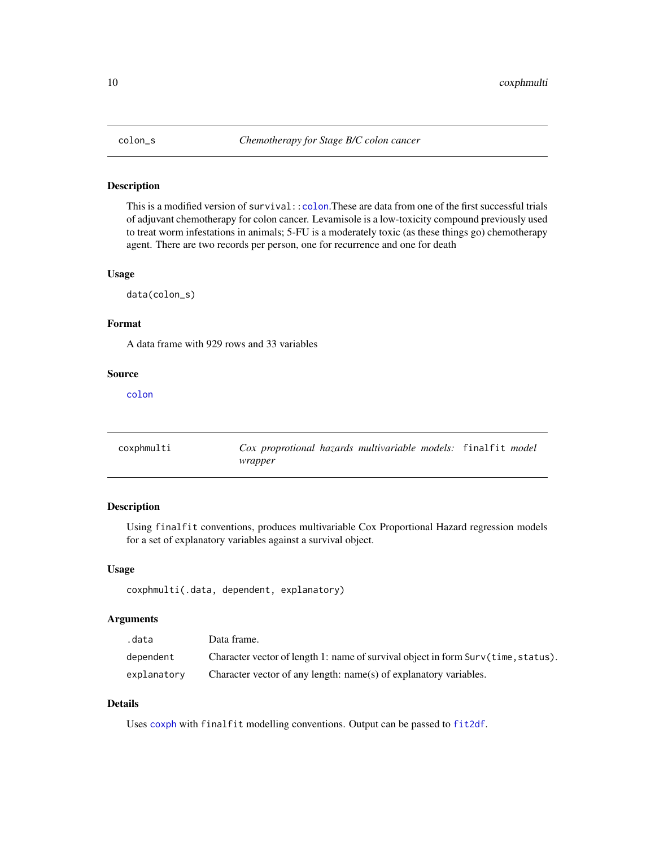<span id="page-9-0"></span>

This is a modified version of survival:[:colon](#page-0-0).These are data from one of the first successful trials of adjuvant chemotherapy for colon cancer. Levamisole is a low-toxicity compound previously used to treat worm infestations in animals; 5-FU is a moderately toxic (as these things go) chemotherapy agent. There are two records per person, one for recurrence and one for death

#### Usage

data(colon\_s)

# Format

A data frame with 929 rows and 33 variables

# Source

[colon](#page-0-0)

<span id="page-9-1"></span>

| coxphmulti | Cox proprotional hazards multivariable models: finalfit model |  |
|------------|---------------------------------------------------------------|--|
|            | wrapper                                                       |  |

# Description

Using finalfit conventions, produces multivariable Cox Proportional Hazard regression models for a set of explanatory variables against a survival object.

#### Usage

coxphmulti(.data, dependent, explanatory)

# Arguments

| .data       | Data frame.                                                                       |
|-------------|-----------------------------------------------------------------------------------|
| dependent   | Character vector of length 1: name of survival object in form Surv(time, status). |
| explanatory | Character vector of any length: name(s) of explanatory variables.                 |

# Details

Uses [coxph](#page-0-0) with finalfit modelling conventions. Output can be passed to [fit2df](#page-37-1).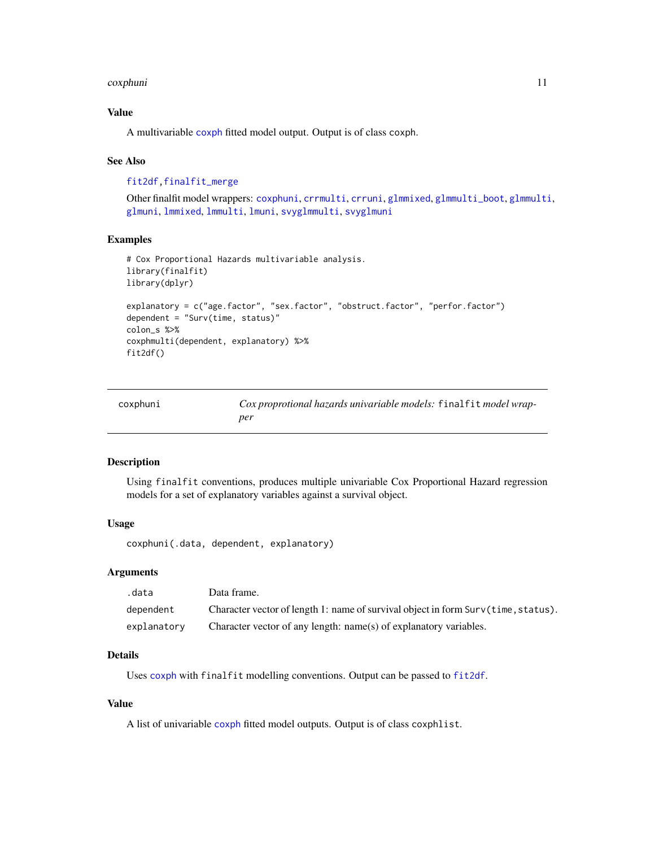#### <span id="page-10-0"></span>coxphuni 11

# Value

A multivariable [coxph](#page-0-0) fitted model output. Output is of class coxph.

#### See Also

[fit2df](#page-37-1)[,finalfit\\_merge](#page-20-3)

Other finalfit model wrappers: [coxphuni](#page-10-1), [crrmulti](#page-11-1), [crruni](#page-12-1), [glmmixed](#page-43-1), [glmmulti\\_boot](#page-45-1), [glmmulti](#page-44-1), [glmuni](#page-46-1), [lmmixed](#page-50-1), [lmmulti](#page-51-1), [lmuni](#page-52-1), [svyglmmulti](#page-66-1), [svyglmuni](#page-68-1)

#### Examples

```
# Cox Proportional Hazards multivariable analysis.
library(finalfit)
library(dplyr)
explanatory = c("age.factor", "sex.factor", "obstruct.factor", "perfor.factor")
dependent = "Surv(time, status)"
colon_s %>%
coxphmulti(dependent, explanatory) %>%
fit2df()
```
<span id="page-10-1"></span>

| coxphuni | Cox proprotional hazards univariable models: finalfit model wrap- |  |
|----------|-------------------------------------------------------------------|--|
|          | per                                                               |  |

#### Description

Using finalfit conventions, produces multiple univariable Cox Proportional Hazard regression models for a set of explanatory variables against a survival object.

# Usage

coxphuni(.data, dependent, explanatory)

#### Arguments

| .data       | Data frame.                                                                       |
|-------------|-----------------------------------------------------------------------------------|
| dependent   | Character vector of length 1: name of survival object in form Surv(time, status). |
| explanatory | Character vector of any length: name(s) of explanatory variables.                 |

#### Details

Uses [coxph](#page-0-0) with finalfit modelling conventions. Output can be passed to [fit2df](#page-37-1).

# Value

A list of univariable [coxph](#page-0-0) fitted model outputs. Output is of class coxphlist.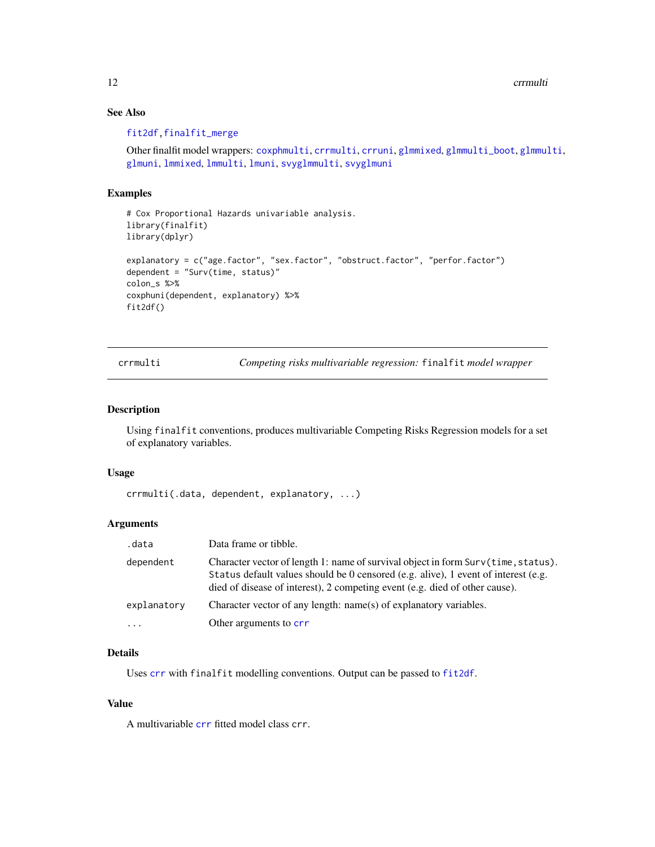12 crrmulti

# See Also

#### [fit2df](#page-37-1)[,finalfit\\_merge](#page-20-3)

```
coxphmulticrrmulticrruniglmmixedglmmulti_bootglmmulti,
glmuni, lmmixed, lmmulti, lmuni, svyglmmulti, svyglmuni
```
# Examples

```
# Cox Proportional Hazards univariable analysis.
library(finalfit)
library(dplyr)
explanatory = c("age.factor", "sex.factor", "obstruct.factor", "perfor.factor")
dependent = "Surv(time, status)"
colon_s %>%
coxphuni(dependent, explanatory) %>%
fit2df()
```
<span id="page-11-1"></span>crrmulti *Competing risks multivariable regression:* finalfit *model wrapper*

#### Description

Using finalfit conventions, produces multivariable Competing Risks Regression models for a set of explanatory variables.

#### Usage

```
crrmulti(.data, dependent, explanatory, ...)
```
# Arguments

| .data       | Data frame or tibble.                                                                                                                                                                                                                                  |
|-------------|--------------------------------------------------------------------------------------------------------------------------------------------------------------------------------------------------------------------------------------------------------|
| dependent   | Character vector of length 1: name of survival object in form Surv(time, status).<br>Status default values should be 0 censored (e.g. alive), 1 event of interest (e.g.<br>died of disease of interest), 2 competing event (e.g. died of other cause). |
| explanatory | Character vector of any length: name(s) of explanatory variables.                                                                                                                                                                                      |
| $\ddots$ .  | Other arguments to crr                                                                                                                                                                                                                                 |

# Details

Uses [crr](#page-0-0) with finalfit modelling conventions. Output can be passed to [fit2df](#page-37-1).

#### Value

A multivariable [crr](#page-0-0) fitted model class crr.

<span id="page-11-0"></span>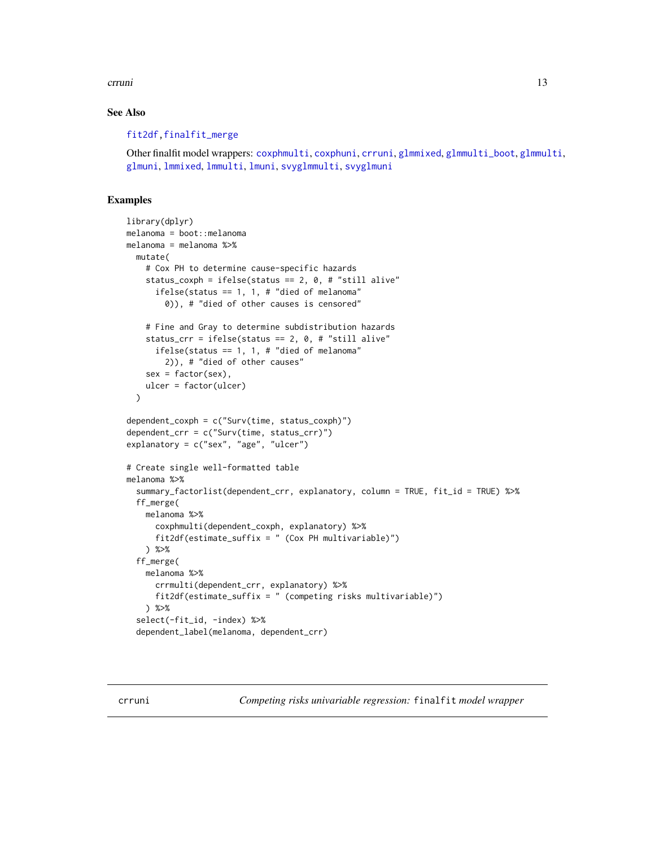#### <span id="page-12-0"></span>crruni and the contract of the contract of the contract of the contract of the contract of the contract of the contract of the contract of the contract of the contract of the contract of the contract of the contract of the

# See Also

# [fit2df](#page-37-1)[,finalfit\\_merge](#page-20-3)

Other finalfit model wrappers: [coxphmulti](#page-9-1), [coxphuni](#page-10-1), [crruni](#page-12-1), [glmmixed](#page-43-1), [glmmulti\\_boot](#page-45-1), [glmmulti](#page-44-1), [glmuni](#page-46-1), [lmmixed](#page-50-1), [lmmulti](#page-51-1), [lmuni](#page-52-1), [svyglmmulti](#page-66-1), [svyglmuni](#page-68-1)

# Examples

```
library(dplyr)
melanoma = boot::melanoma
melanoma = melanoma %>%
  mutate(
    # Cox PH to determine cause-specific hazards
    status_coxph = ifelse(status == 2, 0, # "still alive"
      ifelse(status == 1, 1, # "died of melanoma"
        0)), # "died of other causes is censored"
    # Fine and Gray to determine subdistribution hazards
    status_crr = ifelse(status == 2, 0, # "still alive"ifelse(status == 1, 1, # "died of melanoma"
        2)), # "died of other causes"
    sex = factor(sex),
    ulcer = factor(ulcer)
  )
dependent_coxph = c("Surv(time, status_coxph)")
dependent_crr = c("Surv(time, status_crr)")
explanatory = c("sex", "age", "ulcer")
# Create single well-formatted table
melanoma %>%
  summary_factorlist(dependent_crr, explanatory, column = TRUE, fit_id = TRUE) %>%
  ff_merge(
    melanoma %>%
      coxphmulti(dependent_coxph, explanatory) %>%
      fit2df(estimate_suffix = " (Cox PH multivariable)")
   ) %>%
  ff_merge(
    melanoma %>%
      crrmulti(dependent_crr, explanatory) %>%
      fit2df(estimate_suffix = " (competing risks multivariable)")
   ) %>%
  select(-fit_id, -index) %>%
  dependent_label(melanoma, dependent_crr)
```
<span id="page-12-1"></span>crruni *Competing risks univariable regression:* finalfit *model wrapper*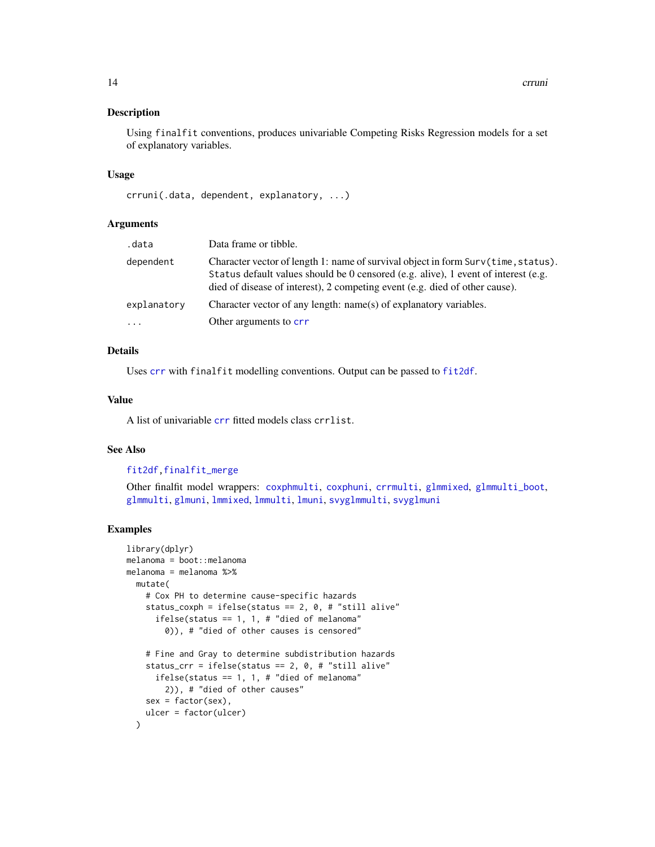Using finalfit conventions, produces univariable Competing Risks Regression models for a set of explanatory variables.

#### Usage

```
crruni(.data, dependent, explanatory, ...)
```
#### Arguments

| .data       | Data frame or tibble.                                                                                                                                                                                                                                  |
|-------------|--------------------------------------------------------------------------------------------------------------------------------------------------------------------------------------------------------------------------------------------------------|
| dependent   | Character vector of length 1: name of survival object in form Surv(time, status).<br>Status default values should be 0 censored (e.g. alive), 1 event of interest (e.g.<br>died of disease of interest), 2 competing event (e.g. died of other cause). |
| explanatory | Character vector of any length: name(s) of explanatory variables.                                                                                                                                                                                      |
| $\ddots$ .  | Other arguments to crr                                                                                                                                                                                                                                 |
|             |                                                                                                                                                                                                                                                        |

# Details

Uses [crr](#page-0-0) with finalfit modelling conventions. Output can be passed to [fit2df](#page-37-1).

# Value

A list of univariable [crr](#page-0-0) fitted models class crrlist.

# See Also

# [fit2df](#page-37-1)[,finalfit\\_merge](#page-20-3)

Other finalfit model wrappers: [coxphmulti](#page-9-1), [coxphuni](#page-10-1), [crrmulti](#page-11-1), [glmmixed](#page-43-1), [glmmulti\\_boot](#page-45-1), [glmmulti](#page-44-1), [glmuni](#page-46-1), [lmmixed](#page-50-1), [lmmulti](#page-51-1), [lmuni](#page-52-1), [svyglmmulti](#page-66-1), [svyglmuni](#page-68-1)

```
library(dplyr)
melanoma = boot::melanoma
melanoma = melanoma %>%
  mutate(
    # Cox PH to determine cause-specific hazards
    status_coxph = ifelse(status == 2, 0, # "still alive"
      ifelse(status == 1, 1, # "died of melanoma"
        0)), # "died of other causes is censored"
    # Fine and Gray to determine subdistribution hazards
    status_crr = ifelse(status == 2, 0, # "still alive"
      ifelse(status == 1, 1, # "died of melanoma"
       2)), # "died of other causes"
   sex = factor(sex),
   ulcer = factor(ulcer)
  )
```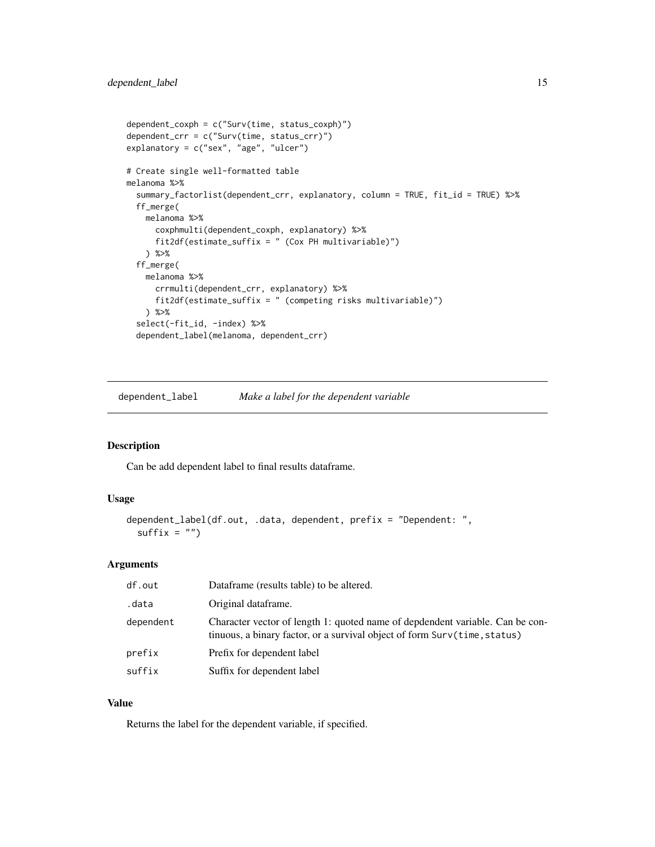```
dependent_coxph = c("Surv(time, status_coxph)")
dependent_crr = c("Surv(time, status_crr)")
explanatory = c("sex", "age", "ulcer")
# Create single well-formatted table
melanoma %>%
 summary_factorlist(dependent_crr, explanatory, column = TRUE, fit_id = TRUE) %>%
 ff_merge(
   melanoma %>%
     coxphmulti(dependent_coxph, explanatory) %>%
     fit2df(estimate_suffix = " (Cox PH multivariable)")
   ) %>%
 ff_merge(
   melanoma %>%
     crrmulti(dependent_crr, explanatory) %>%
     fit2df(estimate_suffix = " (competing risks multivariable)")
   ) %>%
 select(-fit_id, -index) %>%
 dependent_label(melanoma, dependent_crr)
```
dependent\_label *Make a label for the dependent variable*

# Description

Can be add dependent label to final results dataframe.

#### Usage

```
dependent_label(df.out, .data, dependent, prefix = "Dependent: ",
 suffix = "")
```
# Arguments

| df.out    | Dataframe (results table) to be altered.                                                                                                                   |
|-----------|------------------------------------------------------------------------------------------------------------------------------------------------------------|
| .data     | Original dataframe.                                                                                                                                        |
| dependent | Character vector of length 1: quoted name of depdendent variable. Can be con-<br>tinuous, a binary factor, or a survival object of form Surv(time, status) |
| prefix    | Prefix for dependent label                                                                                                                                 |
| suffix    | Suffix for dependent label                                                                                                                                 |

# Value

Returns the label for the dependent variable, if specified.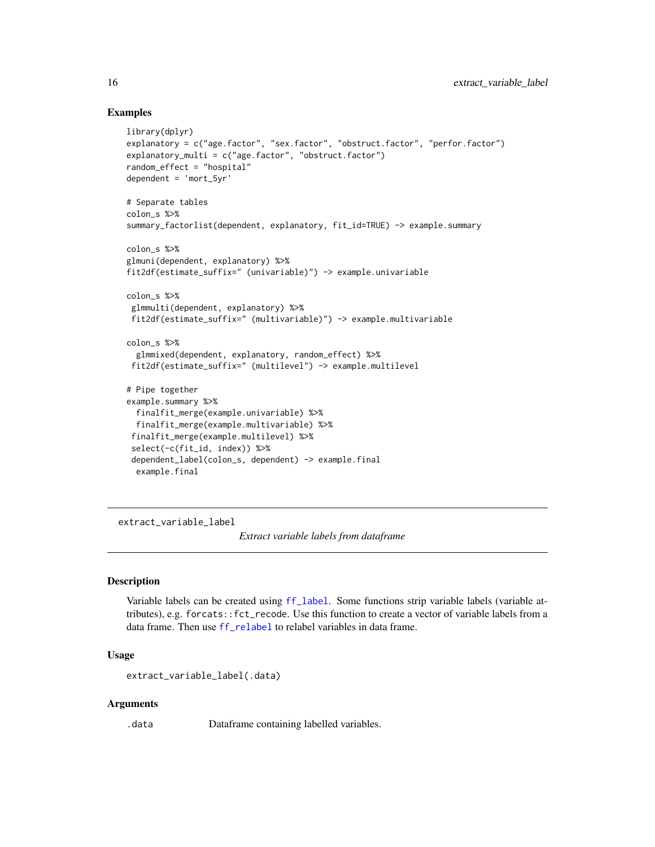# Examples

```
library(dplyr)
explanatory = c("age.factor", "sex.factor", "obstruct.factor", "perfor.factor")
explanatory_multi = c("age.factor", "obstruct.factor")
random_effect = "hospital"
dependent = 'mort_5yr'
# Separate tables
colon_s %>%
summary_factorlist(dependent, explanatory, fit_id=TRUE) -> example.summary
colon_s %>%
glmuni(dependent, explanatory) %>%
fit2df(estimate_suffix=" (univariable)") -> example.univariable
colon_s %>%
glmmulti(dependent, explanatory) %>%
fit2df(estimate_suffix=" (multivariable)") -> example.multivariable
colon_s %>%
 glmmixed(dependent, explanatory, random_effect) %>%
 fit2df(estimate_suffix=" (multilevel") -> example.multilevel
# Pipe together
example.summary %>%
 finalfit_merge(example.univariable) %>%
 finalfit_merge(example.multivariable) %>%
 finalfit_merge(example.multilevel) %>%
 select(-c(fit_id, index)) %>%
 dependent_label(colon_s, dependent) -> example.final
 example.final
```
<span id="page-15-1"></span>extract\_variable\_label

*Extract variable labels from dataframe*

#### Description

Variable labels can be created using [ff\\_label](#page-20-1). Some functions strip variable labels (variable attributes), e.g. forcats::fct\_recode. Use this function to create a vector of variable labels from a data frame. Then use [ff\\_relabel](#page-28-1) to relabel variables in data frame.

#### Usage

```
extract_variable_label(.data)
```
# Arguments

.data Dataframe containing labelled variables.

<span id="page-15-0"></span>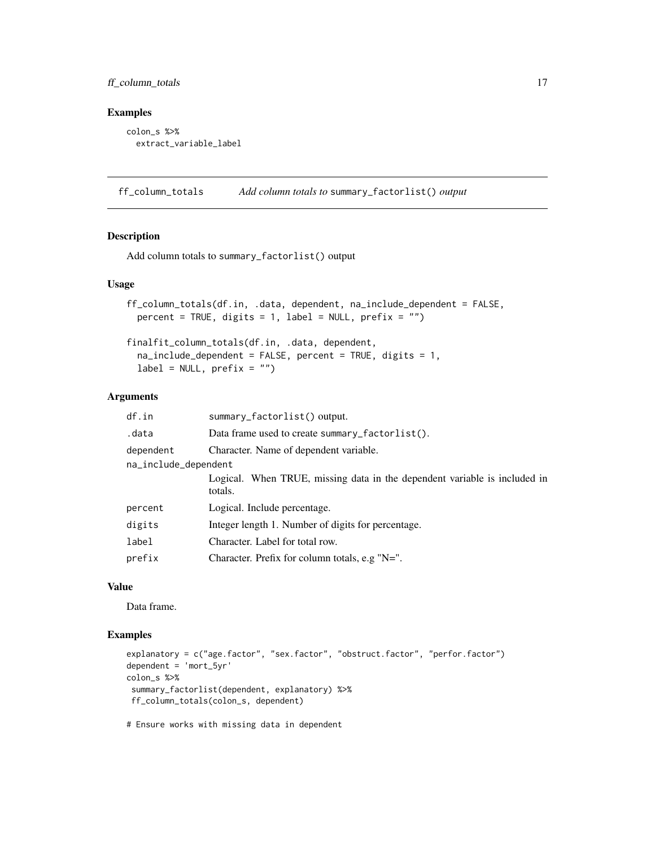# <span id="page-16-0"></span>ff\_column\_totals 17

#### Examples

```
colon_s %>%
  extract_variable_label
```
ff\_column\_totals *Add column totals to* summary\_factorlist() *output*

# Description

Add column totals to summary\_factorlist() output

#### Usage

```
ff_column_totals(df.in, .data, dependent, na_include_dependent = FALSE,
 percent = TRUE, digits = 1, label = NULL, prefix = "")
```
finalfit\_column\_totals(df.in, .data, dependent,  $na\_include\_dependent = FALSE, percent = TRUE, digits = 1,$  $label = NULL, prefix = ''")$ 

# Arguments

| df.in                | summary_factorlist() output.                                                         |
|----------------------|--------------------------------------------------------------------------------------|
| .data                | Data frame used to create summary_factorlist().                                      |
| dependent            | Character. Name of dependent variable.                                               |
| na_include_dependent |                                                                                      |
|                      | Logical. When TRUE, missing data in the dependent variable is included in<br>totals. |
| percent              | Logical. Include percentage.                                                         |
| digits               | Integer length 1. Number of digits for percentage.                                   |
| label                | Character. Label for total row.                                                      |
| prefix               | Character. Prefix for column totals, e.g " $N =$ ".                                  |

# Value

Data frame.

# Examples

```
explanatory = c("age.factor", "sex.factor", "obstruct.factor", "perfor.factor")
dependent = 'mort_5yr'
colon_s %>%
 summary_factorlist(dependent, explanatory) %>%
ff_column_totals(colon_s, dependent)
```
# Ensure works with missing data in dependent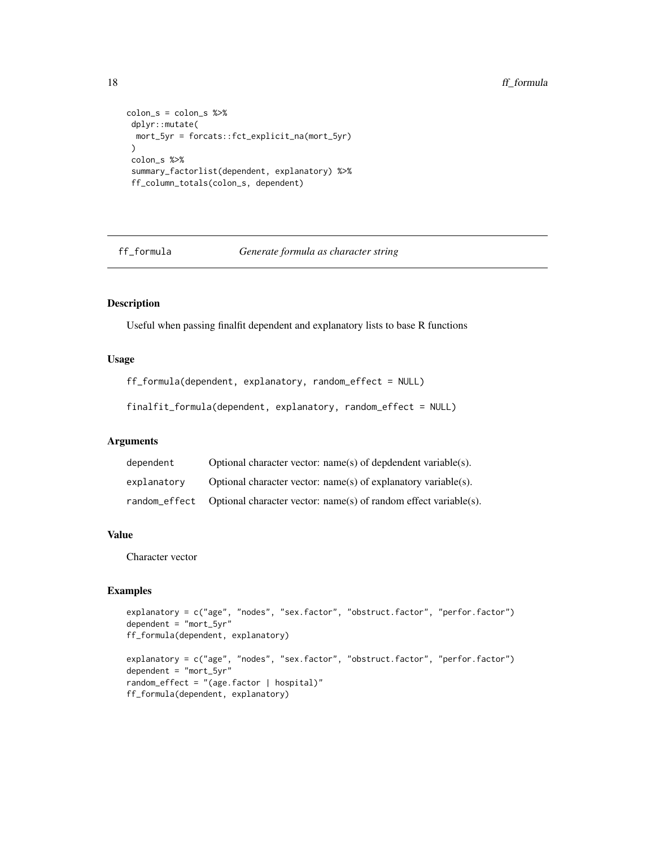```
colon_s = colon_s %>%
dplyr::mutate(
 mort_5yr = forcats::fct_explicit_na(mort_5yr)
\mathcal{L}colon_s %>%
summary_factorlist(dependent, explanatory) %>%
ff_column_totals(colon_s, dependent)
```
ff\_formula *Generate formula as character string*

# Description

Useful when passing finalfit dependent and explanatory lists to base R functions

# Usage

```
ff_formula(dependent, explanatory, random_effect = NULL)
```
finalfit\_formula(dependent, explanatory, random\_effect = NULL)

# Arguments

| dependent     | Optional character vector: $name(s)$ of depdendent variable(s).  |
|---------------|------------------------------------------------------------------|
| explanatory   | Optional character vector: $name(s)$ of explanatory variable(s). |
| random effect | Optional character vector: name(s) of random effect variable(s). |

# Value

Character vector

```
explanatory = c("age", "nodes", "sex.factor", "obstruct.factor", "perfor.factor")
dependent = "mort_5yr"
ff_formula(dependent, explanatory)
explanatory = c("age", "nodes", "sex.factor", "obstruct.factor", "perfor.factor")
dependent = "mort_5yr"
random_effect = "(age.factor | hospital)"
ff_formula(dependent, explanatory)
```
<span id="page-17-0"></span>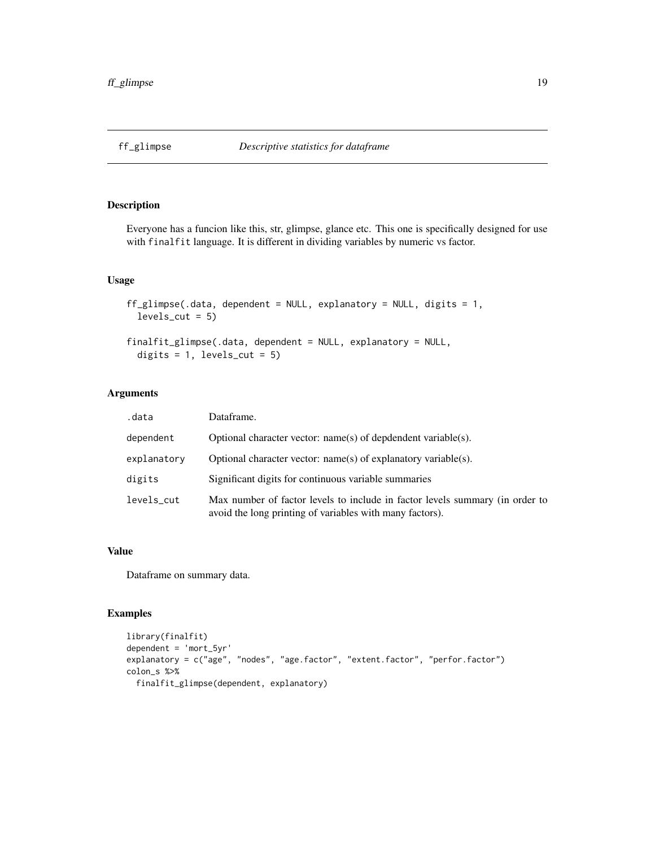<span id="page-18-1"></span><span id="page-18-0"></span>

Everyone has a funcion like this, str, glimpse, glance etc. This one is specifically designed for use with finalfit language. It is different in dividing variables by numeric vs factor.

# Usage

```
ff_glimpse(.data, dependent = NULL, explanatory = NULL, digits = 1,
 levels_cut = 5)finalfit_glimpse(.data, dependent = NULL, explanatory = NULL,
  digits = 1, levels_cut = 5)
```
# Arguments

| .data       | Dataframe.                                                                                                                               |
|-------------|------------------------------------------------------------------------------------------------------------------------------------------|
| dependent   | Optional character vector: $name(s)$ of depdendent variable(s).                                                                          |
| explanatory | Optional character vector: $name(s)$ of explanatory variable(s).                                                                         |
| digits      | Significant digits for continuous variable summaries                                                                                     |
| levels_cut  | Max number of factor levels to include in factor levels summary (in order to<br>avoid the long printing of variables with many factors). |

#### Value

Dataframe on summary data.

```
library(finalfit)
dependent = 'mort_5yr'
explanatory = c("age", "nodes", "age.factor", "extent.factor", "perfor.factor")
colon_s %>%
  finalfit_glimpse(dependent, explanatory)
```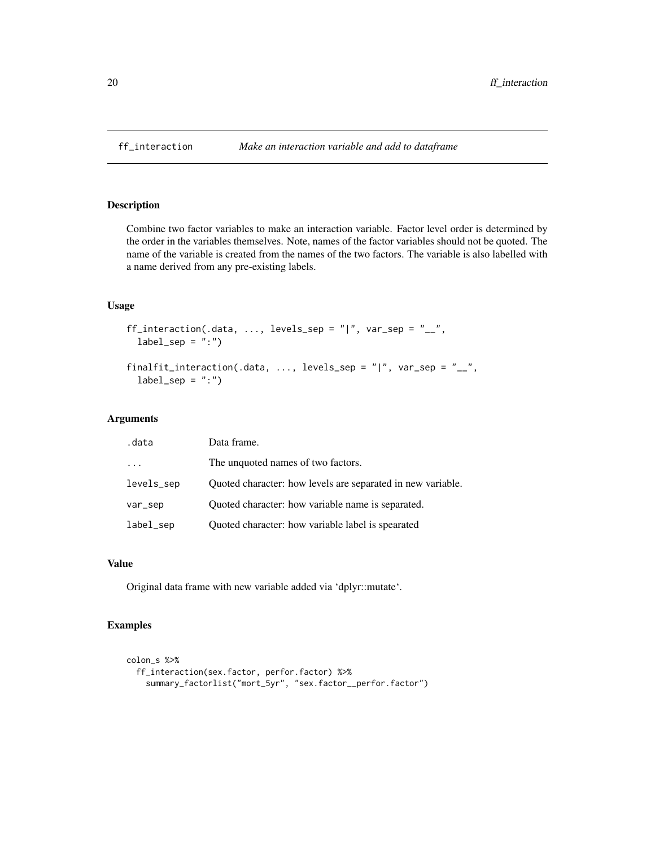<span id="page-19-1"></span><span id="page-19-0"></span>

Combine two factor variables to make an interaction variable. Factor level order is determined by the order in the variables themselves. Note, names of the factor variables should not be quoted. The name of the variable is created from the names of the two factors. The variable is also labelled with a name derived from any pre-existing labels.

# Usage

```
ff_interaction(.data, ..., levels_sep = "|", var_sep = "__",
  label\_sep = ":"')
```

```
finalfit_interaction(.data, ..., levels_sep = "|", var_sep = "__",
  label\_sep = ":"')
```
#### Arguments

| .data      | Data frame.                                                 |
|------------|-------------------------------------------------------------|
| $\cdot$    | The unquoted names of two factors.                          |
| levels_sep | Quoted character: how levels are separated in new variable. |
| var_sep    | Quoted character: how variable name is separated.           |
| label_sep  | Quoted character: how variable label is spearated           |

#### Value

Original data frame with new variable added via 'dplyr::mutate'.

```
colon_s %>%
  ff_interaction(sex.factor, perfor.factor) %>%
    summary_factorlist("mort_5yr", "sex.factor__perfor.factor")
```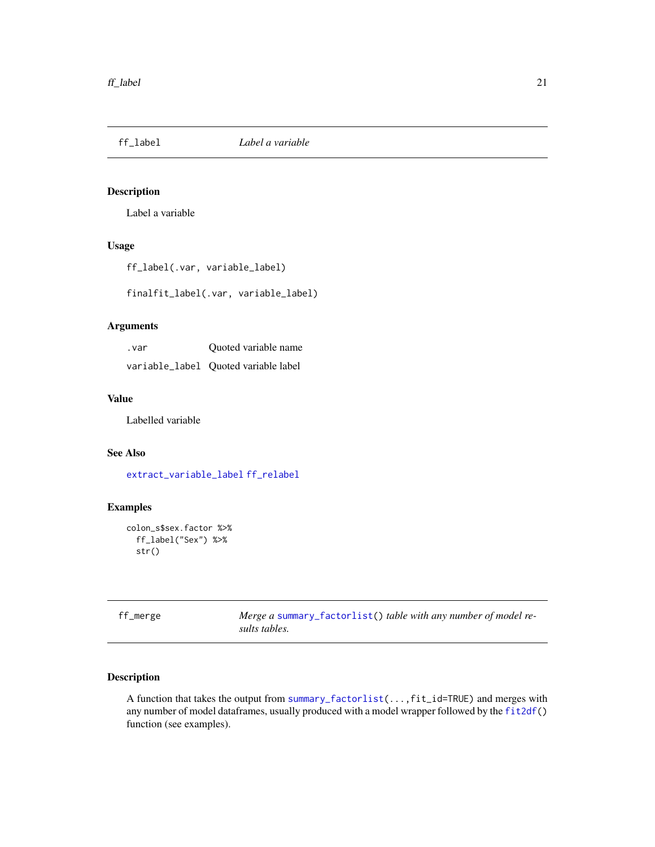<span id="page-20-1"></span><span id="page-20-0"></span>

Label a variable

# Usage

ff\_label(.var, variable\_label)

finalfit\_label(.var, variable\_label)

# Arguments

| . var | Quoted variable name                 |
|-------|--------------------------------------|
|       | variable_label Quoted variable label |

#### Value

Labelled variable

# See Also

[extract\\_variable\\_label](#page-15-1) [ff\\_relabel](#page-28-1)

# Examples

```
colon_s$sex.factor %>%
  ff_label("Sex") %>%
  str()
```
<span id="page-20-2"></span>

| ff_merge | Merge a summary_factorlist() table with any number of model re- |  |  |
|----------|-----------------------------------------------------------------|--|--|
|          | sults tables.                                                   |  |  |

# <span id="page-20-3"></span>Description

A function that takes the output from [summary\\_factorlist\(](#page-62-1)...,fit\_id=TRUE) and merges with any number of model dataframes, usually produced with a model wrapper followed by the [fit2df\(](#page-37-1)) function (see examples).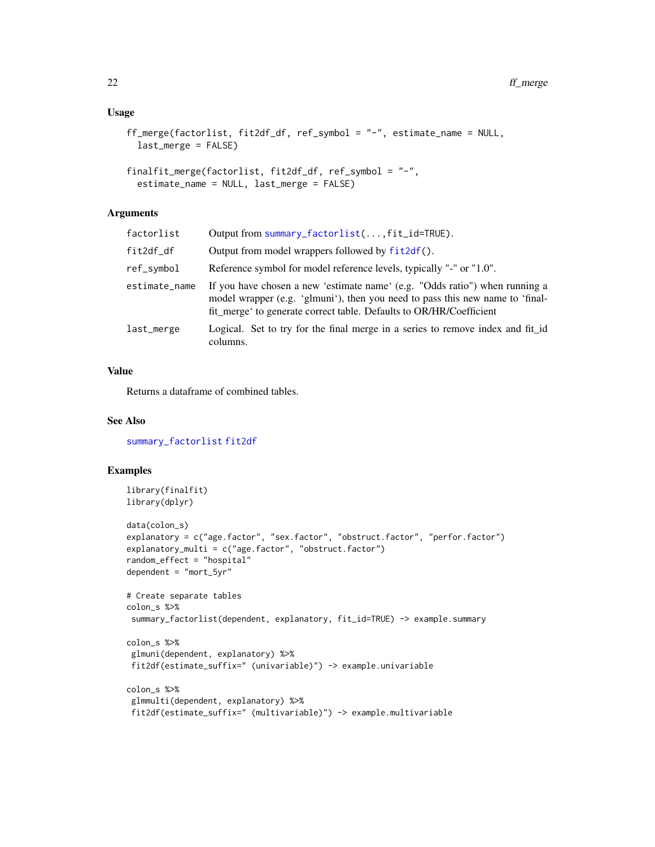# Usage

```
ff_merge(factorlist, fit2df_df, ref_symbol = "-", estimate_name = NULL,
 last_merge = FALSE)
```

```
finalfit_merge(factorlist, fit2df_df, ref_symbol = "-",
 estimate_name = NULL, last_merge = FALSE)
```
# Arguments

| factorlist    | Output from summary_factorlist(, fit_id=TRUE).                                                                                                                                                                                     |
|---------------|------------------------------------------------------------------------------------------------------------------------------------------------------------------------------------------------------------------------------------|
| fit2df_df     | Output from model wrappers followed by fit2df().                                                                                                                                                                                   |
| ref_symbol    | Reference symbol for model reference levels, typically "-" or "1.0".                                                                                                                                                               |
| estimate_name | If you have chosen a new 'estimate name' (e.g. "Odds ratio") when running a<br>model wrapper (e.g. 'glmuni'), then you need to pass this new name to 'final-<br>fit merge to generate correct table. Defaults to OR/HR/Coefficient |
| last_merge    | Logical. Set to try for the final merge in a series to remove index and fit_id<br>columns.                                                                                                                                         |

# Value

Returns a dataframe of combined tables.

#### See Also

[summary\\_factorlist](#page-62-1) [fit2df](#page-37-1)

```
library(finalfit)
library(dplyr)
data(colon_s)
explanatory = c("age.factor", "sex.factor", "obstruct.factor", "perfor.factor")
explanatory_multi = c("age.factor", "obstruct.factor")
random_effect = "hospital"
dependent = "mort_5yr"
# Create separate tables
colon_s %>%
 summary_factorlist(dependent, explanatory, fit_id=TRUE) -> example.summary
colon_s %>%
 glmuni(dependent, explanatory) %>%
 fit2df(estimate_suffix=" (univariable)") -> example.univariable
colon_s %>%
 glmmulti(dependent, explanatory) %>%
 fit2df(estimate_suffix=" (multivariable)") -> example.multivariable
```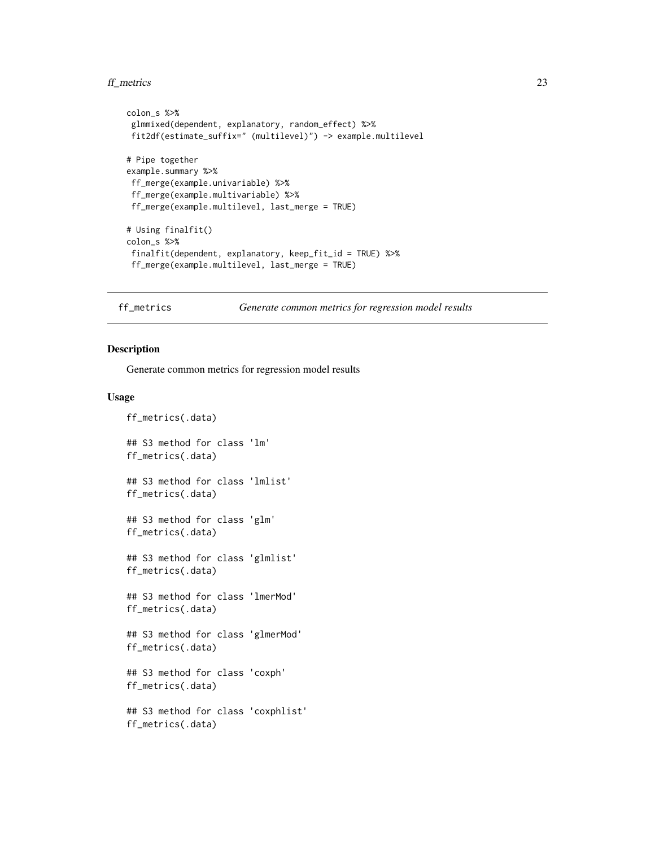#### <span id="page-22-0"></span>ff\_metrics 23

```
colon_s %>%
glmmixed(dependent, explanatory, random_effect) %>%
fit2df(estimate_suffix=" (multilevel)") -> example.multilevel
# Pipe together
example.summary %>%
ff_merge(example.univariable) %>%
 ff_merge(example.multivariable) %>%
ff_merge(example.multilevel, last_merge = TRUE)
# Using finalfit()
colon_s %>%
 finalfit(dependent, explanatory, keep_fit_id = TRUE) %>%
 ff_merge(example.multilevel, last_merge = TRUE)
```
ff\_metrics *Generate common metrics for regression model results*

#### Description

Generate common metrics for regression model results

#### Usage

```
ff_metrics(.data)
## S3 method for class 'lm'
ff_metrics(.data)
## S3 method for class 'lmlist'
ff_metrics(.data)
## S3 method for class 'glm'
ff_metrics(.data)
## S3 method for class 'glmlist'
ff_metrics(.data)
## S3 method for class 'lmerMod'
ff_metrics(.data)
## S3 method for class 'glmerMod'
ff_metrics(.data)
## S3 method for class 'coxph'
ff_metrics(.data)
## S3 method for class 'coxphlist'
ff_metrics(.data)
```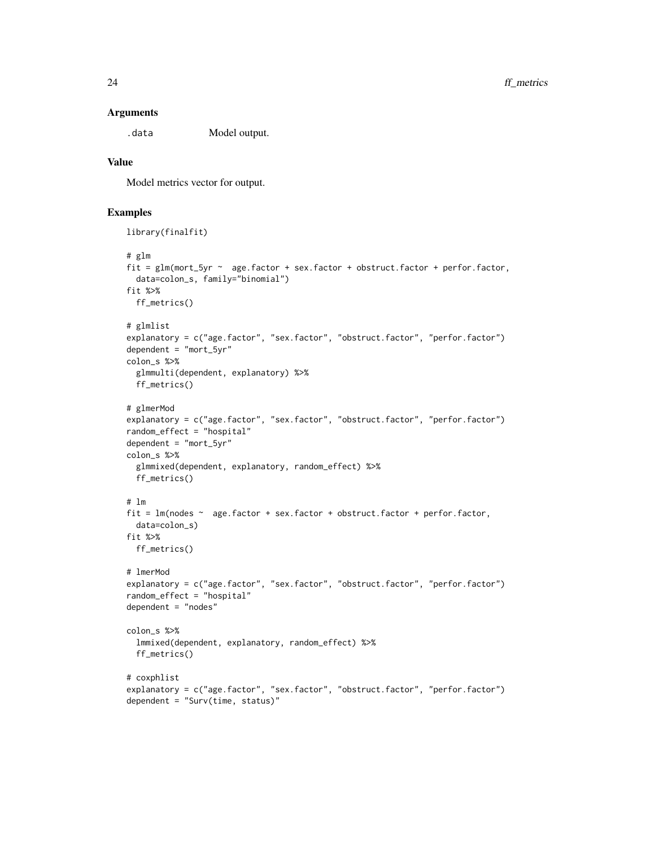#### **Arguments**

.data Model output.

## Value

Model metrics vector for output.

```
library(finalfit)
# glm
fit = glm(mort_5yr ~ age.factor + sex.factor + obstruct.factor + perfor.factor,
  data=colon_s, family="binomial")
fit %>%
  ff_metrics()
# glmlist
explanatory = c("age.factor", "sex.factor", "obstruct.factor", "perfor.factor")
dependent = "mort_5yr"colon_s %>%
  glmmulti(dependent, explanatory) %>%
  ff_metrics()
# glmerMod
explanatory = c("age.factor", "sex.factor", "obstruct.factor", "perfor.factor")
random_effect = "hospital"
dependent = "mort5yr"colon_s %>%
  glmmixed(dependent, explanatory, random_effect) %>%
  ff_metrics()
# lm
fit = lm(nodes ~ age.factor ~ + sex.factor ~ + obstruct.factor ~ + perfor.factor,data=colon_s)
fit %>%
  ff_metrics()
# lmerMod
explanatory = c("age.factor", "sex.factor", "obstruct.factor", "perfor.factor")
random_effect = "hospital"
dependent = "nodes"
colon_s %>%
  lmmixed(dependent, explanatory, random_effect) %>%
  ff_metrics()
# coxphlist
explanatory = c("age.factor", "sex.factor", "obstruct.factor", "perfor.factor")
dependent = "Surv(time, status)"
```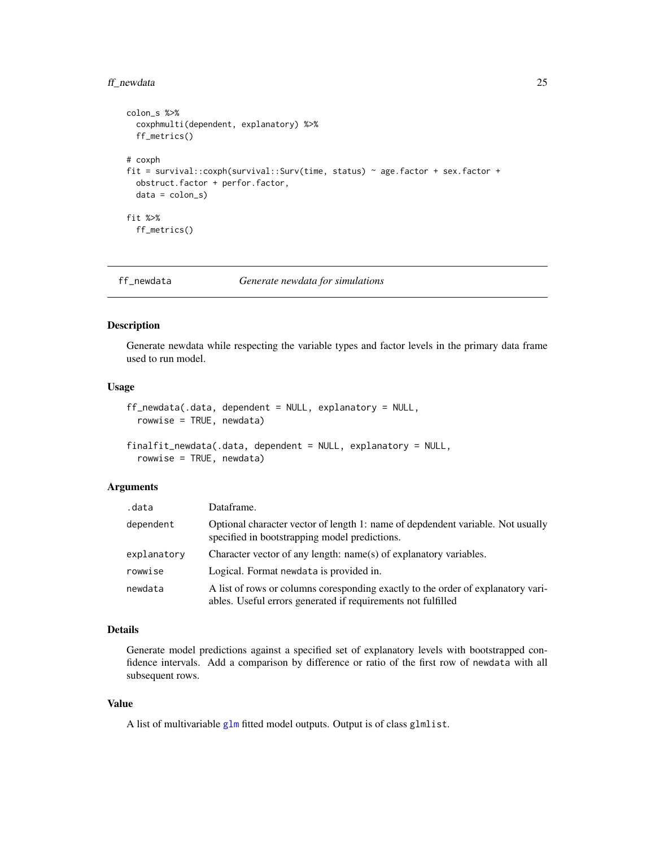#### <span id="page-24-0"></span>ff\_newdata 25

```
colon_s %>%
  coxphmulti(dependent, explanatory) %>%
  ff_metrics()
# coxph
fit = survival::coxph(survival::Surv(time, status) ~ age.factor + sex.factor +
  obstruct.factor + perfor.factor,
  data = colon_s)
fit %>%
  ff_metrics()
```
ff\_newdata *Generate newdata for simulations*

# <span id="page-24-1"></span>Description

Generate newdata while respecting the variable types and factor levels in the primary data frame used to run model.

# Usage

```
ff_newdata(.data, dependent = NULL, explanatory = NULL,
 rowwise = TRUE, newdata)
```

```
finalfit_newdata(.data, dependent = NULL, explanatory = NULL,
  rowwise = TRUE, newdata)
```
#### Arguments

| .data       | Dataframe.                                                                                                                                       |
|-------------|--------------------------------------------------------------------------------------------------------------------------------------------------|
| dependent   | Optional character vector of length 1: name of depdendent variable. Not usually<br>specified in bootstrapping model predictions.                 |
| explanatory | Character vector of any length: name(s) of explanatory variables.                                                                                |
| rowwise     | Logical. Format newdata is provided in.                                                                                                          |
| newdata     | A list of rows or columns coresponding exactly to the order of explanatory vari-<br>ables. Useful errors generated if requirements not fulfilled |

# Details

Generate model predictions against a specified set of explanatory levels with bootstrapped confidence intervals. Add a comparison by difference or ratio of the first row of newdata with all subsequent rows.

# Value

A list of multivariable [glm](#page-0-0) fitted model outputs. Output is of class glmlist.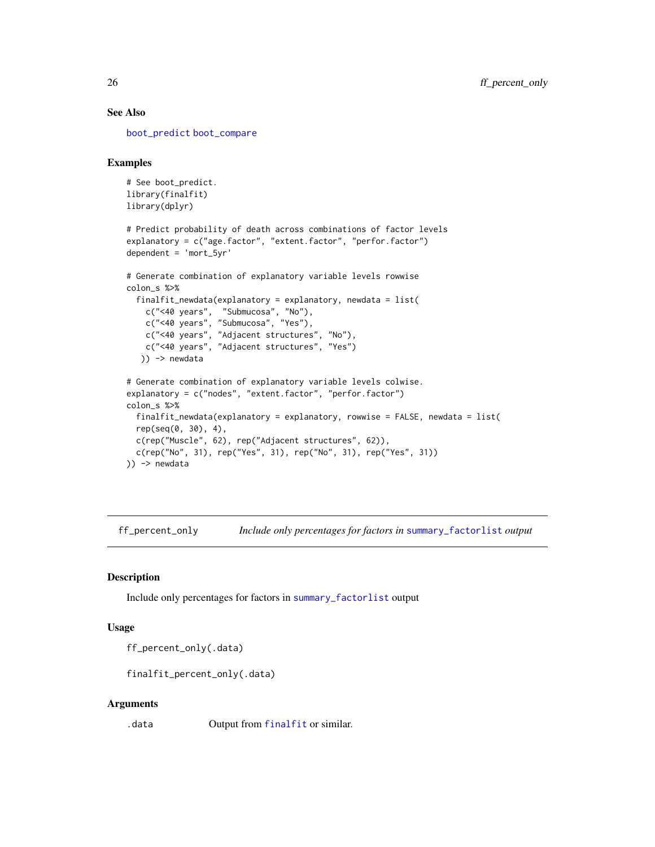# See Also

[boot\\_predict](#page-4-1) [boot\\_compare](#page-3-1)

#### Examples

```
# See boot_predict.
library(finalfit)
library(dplyr)
```

```
# Predict probability of death across combinations of factor levels
explanatory = c("age.factor", "extent.factor", "perfor.factor")
dependent = 'mort_5yr'
```

```
# Generate combination of explanatory variable levels rowwise
colon_s %>%
 finalfit_newdata(explanatory = explanatory, newdata = list(
    c("<40 years", "Submucosa", "No"),
    c("<40 years", "Submucosa", "Yes"),
    c("<40 years", "Adjacent structures", "No"),
   c("<40 years", "Adjacent structures", "Yes")
  )) -> newdata
# Generate combination of explanatory variable levels colwise.
explanatory = c("nodes", "extent.factor", "perfor.factor")
colon_s %>%
 finalfit_newdata(explanatory = explanatory, rowwise = FALSE, newdata = list(
 rep(seq(0, 30), 4),
 c(rep("Muscle", 62), rep("Adjacent structures", 62)),
 c(rep("No", 31), rep("Yes", 31), rep("No", 31), rep("Yes", 31))
```

```
)) -> newdata
```
ff\_percent\_only *Include only percentages for factors in* [summary\\_factorlist](#page-62-1) *output*

#### Description

Include only percentages for factors in [summary\\_factorlist](#page-62-1) output

#### Usage

ff\_percent\_only(.data)

finalfit\_percent\_only(.data)

#### Arguments

.data Output from [finalfit](#page-34-1) or similar.

<span id="page-25-0"></span>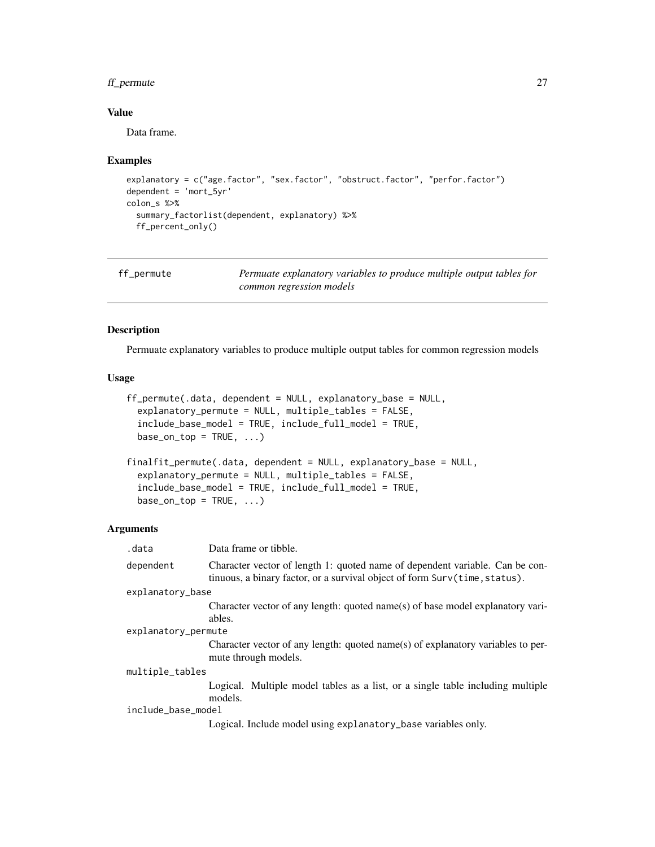# <span id="page-26-0"></span>ff\_permute 27

# Value

Data frame.

#### Examples

```
explanatory = c("age.factor", "sex.factor", "obstruct.factor", "perfor.factor")
dependent = 'mort_5yr'
colon_s %>%
  summary_factorlist(dependent, explanatory) %>%
  ff_percent_only()
```

| ff_permute | Permuate explanatory variables to produce multiple output tables for |
|------------|----------------------------------------------------------------------|
|            | common regression models                                             |

# <span id="page-26-1"></span>Description

Permuate explanatory variables to produce multiple output tables for common regression models

#### Usage

```
ff_permute(.data, dependent = NULL, explanatory_base = NULL,
 explanatory_permute = NULL, multiple_tables = FALSE,
  include_base_model = TRUE, include_full_model = TRUE,
 base\_on\_top = TRUE, ...finalfit_permute(.data, dependent = NULL, explanatory_base = NULL,
  explanatory_permute = NULL, multiple_tables = FALSE,
  include_base_model = TRUE, include_full_model = TRUE,
 base\_on\_top = TRUE, ...
```
# Arguments

| .data               | Data frame or tibble.                                                                                                                                      |  |
|---------------------|------------------------------------------------------------------------------------------------------------------------------------------------------------|--|
| dependent           | Character vector of length 1: quoted name of dependent variable. Can be con-<br>tinuous, a binary factor, or a survival object of form Surv(time, status). |  |
| explanatory_base    |                                                                                                                                                            |  |
|                     | Character vector of any length: quoted name(s) of base model explanatory vari-                                                                             |  |
|                     | ables.                                                                                                                                                     |  |
| explanatory_permute |                                                                                                                                                            |  |
|                     | Character vector of any length: quoted name(s) of explanatory variables to per-<br>mute through models.                                                    |  |
| multiple_tables     |                                                                                                                                                            |  |
|                     | Logical. Multiple model tables as a list, or a single table including multiple<br>models.                                                                  |  |
| include_base_model  |                                                                                                                                                            |  |
|                     | Logical. Include model using explanatory_base variables only.                                                                                              |  |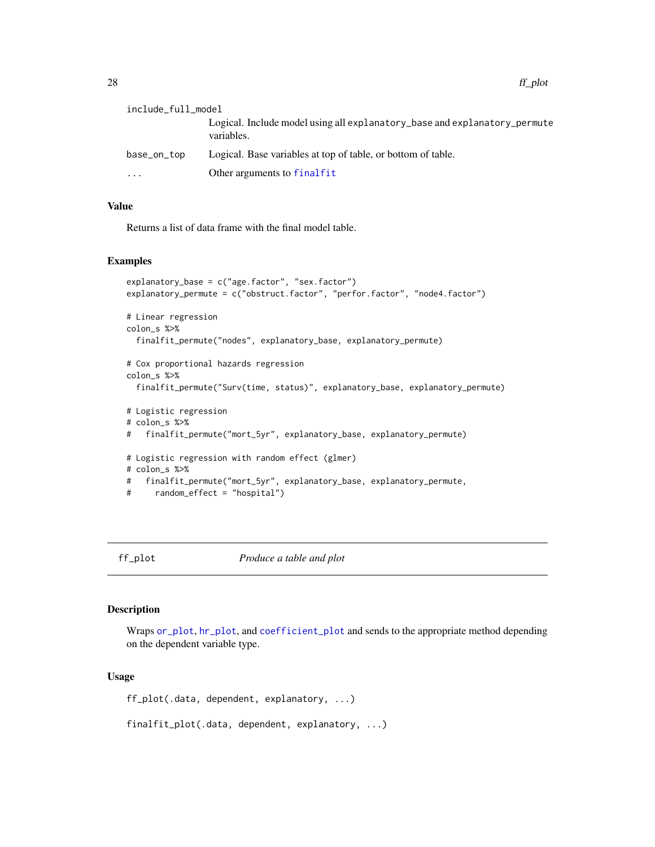<span id="page-27-0"></span>include\_full\_model Logical. Include model using all explanatory\_base and explanatory\_permute variables. base\_on\_top Logical. Base variables at top of table, or bottom of table. ... Other arguments to [finalfit](#page-34-1)

# Value

Returns a list of data frame with the final model table.

#### Examples

```
explanatory_base = c("age.factor", "sex.factor")
explanatory_permute = c("obstruct.factor", "perfor.factor", "node4.factor")
# Linear regression
colon_s %>%
 finalfit_permute("nodes", explanatory_base, explanatory_permute)
# Cox proportional hazards regression
colon_s %>%
 finalfit_permute("Surv(time, status)", explanatory_base, explanatory_permute)
# Logistic regression
# colon_s %>%
# finalfit_permute("mort_5yr", explanatory_base, explanatory_permute)
# Logistic regression with random effect (glmer)
# colon_s %>%
# finalfit_permute("mort_5yr", explanatory_base, explanatory_permute,
# random_effect = "hospital")
```
<span id="page-27-1"></span>

ff\_plot *Produce a table and plot*

#### Description

Wraps [or\\_plot](#page-59-1), [hr\\_plot](#page-47-1), and [coefficient\\_plot](#page-7-1) and sends to the appropriate method depending on the dependent variable type.

#### Usage

ff\_plot(.data, dependent, explanatory, ...)

finalfit\_plot(.data, dependent, explanatory, ...)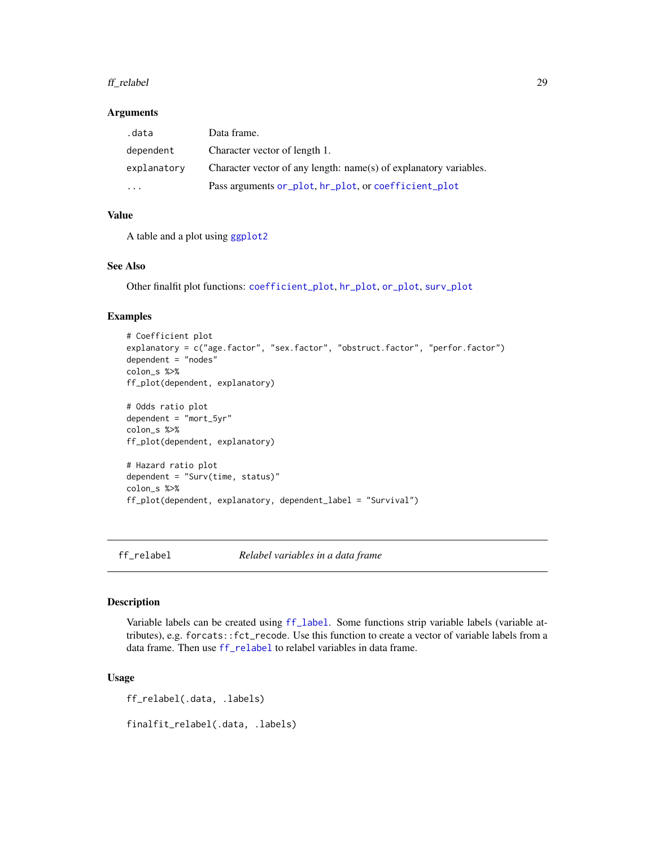#### <span id="page-28-0"></span>ff\_relabel 29

#### **Arguments**

| .data                   | Data frame.                                                       |
|-------------------------|-------------------------------------------------------------------|
| dependent               | Character vector of length 1.                                     |
| explanatory             | Character vector of any length: name(s) of explanatory variables. |
| $\cdot$ $\cdot$ $\cdot$ | Pass arguments or_plot, hr_plot, or coefficient_plot              |

# Value

A table and a plot using [ggplot2](#page-0-0)

# See Also

Other finalfit plot functions: [coefficient\\_plot](#page-7-1), [hr\\_plot](#page-47-1), [or\\_plot](#page-59-1), [surv\\_plot](#page-65-1)

# Examples

```
# Coefficient plot
explanatory = c("age.factor", "sex.factor", "obstruct.factor", "perfor.factor")
dependent = "nodes"
colon_s %>%
ff_plot(dependent, explanatory)
# Odds ratio plot
dependent = "mort_5yr"
colon_s %>%
ff_plot(dependent, explanatory)
# Hazard ratio plot
dependent = "Surv(time, status)"
colon_s %>%
ff_plot(dependent, explanatory, dependent_label = "Survival")
```
<span id="page-28-1"></span>ff\_relabel *Relabel variables in a data frame*

#### Description

Variable labels can be created using [ff\\_label](#page-20-1). Some functions strip variable labels (variable attributes), e.g. forcats::fct\_recode. Use this function to create a vector of variable labels from a data frame. Then use [ff\\_relabel](#page-28-1) to relabel variables in data frame.

#### Usage

ff\_relabel(.data, .labels)

finalfit\_relabel(.data, .labels)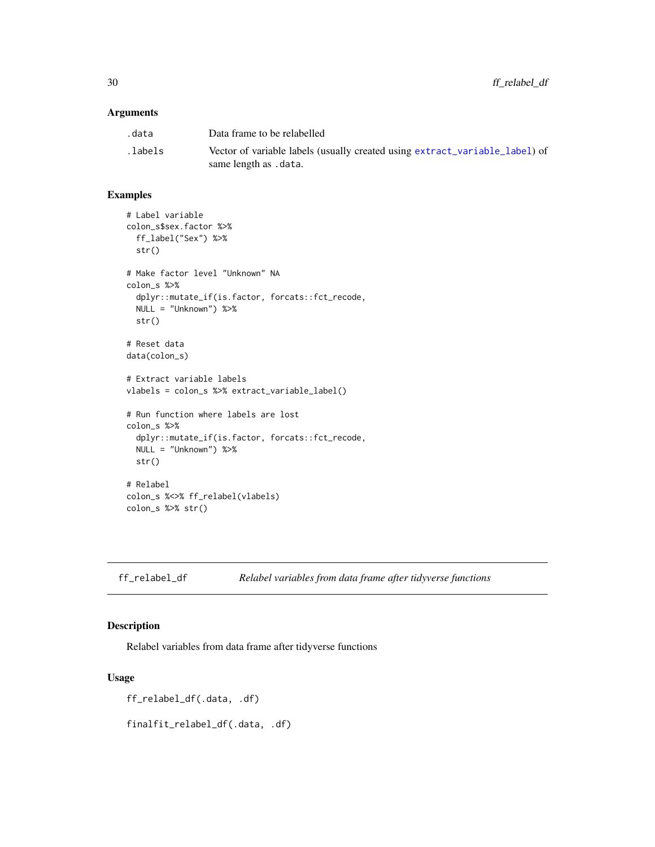# <span id="page-29-0"></span>Arguments

| .data    | Data frame to be relabelled                                                                          |
|----------|------------------------------------------------------------------------------------------------------|
| .labels. | Vector of variable labels (usually created using extract_variable_label) of<br>same length as .data. |

# Examples

```
# Label variable
colon_s$sex.factor %>%
 ff_label("Sex") %>%
  str()
# Make factor level "Unknown" NA
colon_s %>%
  dplyr::mutate_if(is.factor, forcats::fct_recode,
 NULL = "Unknown") %>%
 str()
# Reset data
data(colon_s)
# Extract variable labels
vlabels = colon_s %>% extract_variable_label()
# Run function where labels are lost
colon_s %>%
  dplyr::mutate_if(is.factor, forcats::fct_recode,
  NULL = "Unknown") %>%
  str()
# Relabel
colon_s %<>% ff_relabel(vlabels)
colon_s %>% str()
```
# Description

Relabel variables from data frame after tidyverse functions

# Usage

ff\_relabel\_df(.data, .df)

finalfit\_relabel\_df(.data, .df)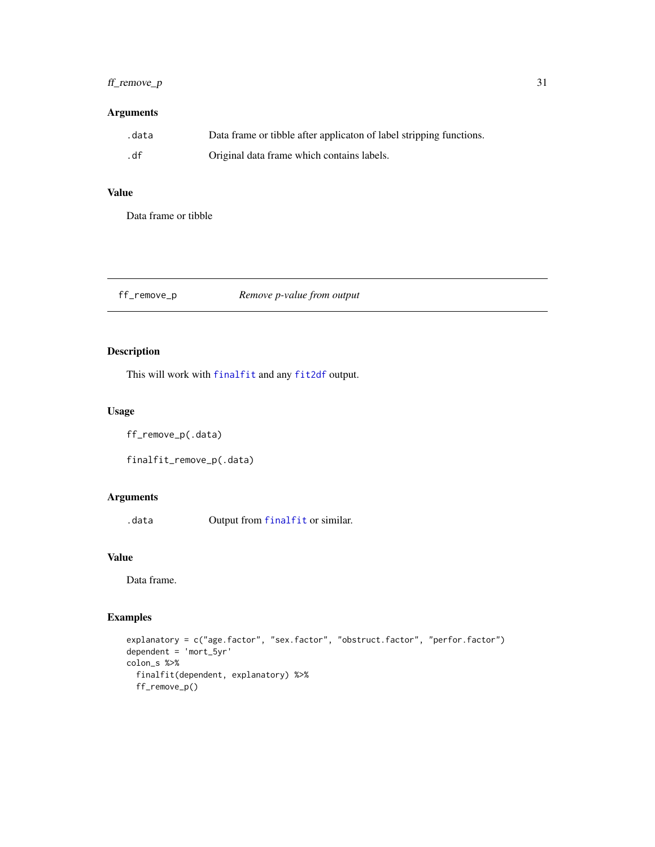# <span id="page-30-0"></span> $f_1$  remove\_p 31

# Arguments

| .data | Data frame or tibble after applicaton of label stripping functions. |
|-------|---------------------------------------------------------------------|
| .df   | Original data frame which contains labels.                          |

# Value

Data frame or tibble

ff\_remove\_p *Remove p-value from output*

# Description

This will work with [finalfit](#page-34-1) and any [fit2df](#page-37-1) output.

# Usage

ff\_remove\_p(.data)

finalfit\_remove\_p(.data)

# Arguments

.data Output from [finalfit](#page-34-1) or similar.

# Value

Data frame.

```
explanatory = c("age.factor", "sex.factor", "obstruct.factor", "perfor.factor")
dependent = 'mort_5yr'
colon_s %>%
  finalfit(dependent, explanatory) %>%
  ff_remove_p()
```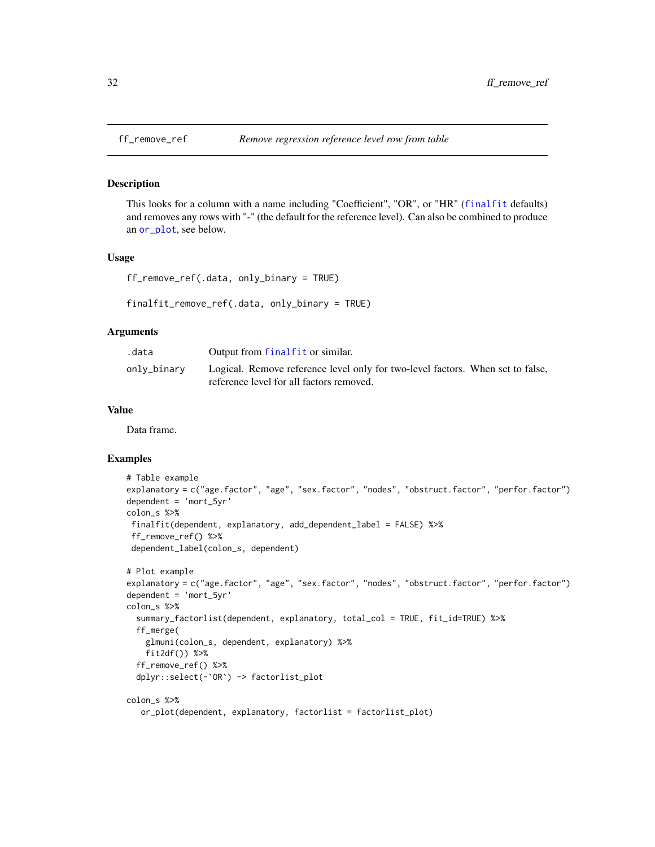<span id="page-31-0"></span>

This looks for a column with a name including "Coefficient", "OR", or "HR" ([finalfit](#page-34-1) defaults) and removes any rows with "-" (the default for the reference level). Can also be combined to produce an [or\\_plot](#page-59-1), see below.

#### Usage

```
ff_remove_ref(.data, only_binary = TRUE)
```

```
finalfit_remove_ref(.data, only_binary = TRUE)
```
#### Arguments

| .data       | Output from finalfit or similar.                                                                                           |
|-------------|----------------------------------------------------------------------------------------------------------------------------|
| onlv_binarv | Logical. Remove reference level only for two-level factors. When set to false,<br>reference level for all factors removed. |

#### Value

Data frame.

```
# Table example
explanatory = c("age.factor", "age", "sex.factor", "nodes", "obstruct.factor", "perfor.factor")
dependent = 'mort_5yr'
colon_s %>%
finalfit(dependent, explanatory, add_dependent_label = FALSE) %>%
ff_remove_ref() %>%
dependent_label(colon_s, dependent)
# Plot example
explanatory = c("age.factor", "age", "sex.factor", "nodes", "obstruct.factor", "perfor.factor")
dependent = 'mort_5yr'
colon_s %>%
 summary_factorlist(dependent, explanatory, total_col = TRUE, fit_id=TRUE) %>%
 ff_merge(
   glmuni(colon_s, dependent, explanatory) %>%
   fit2df()) %>%
 ff_remove_ref() %>%
 dplyr::select(-`OR`) -> factorlist_plot
colon_s %>%
  or_plot(dependent, explanatory, factorlist = factorlist_plot)
```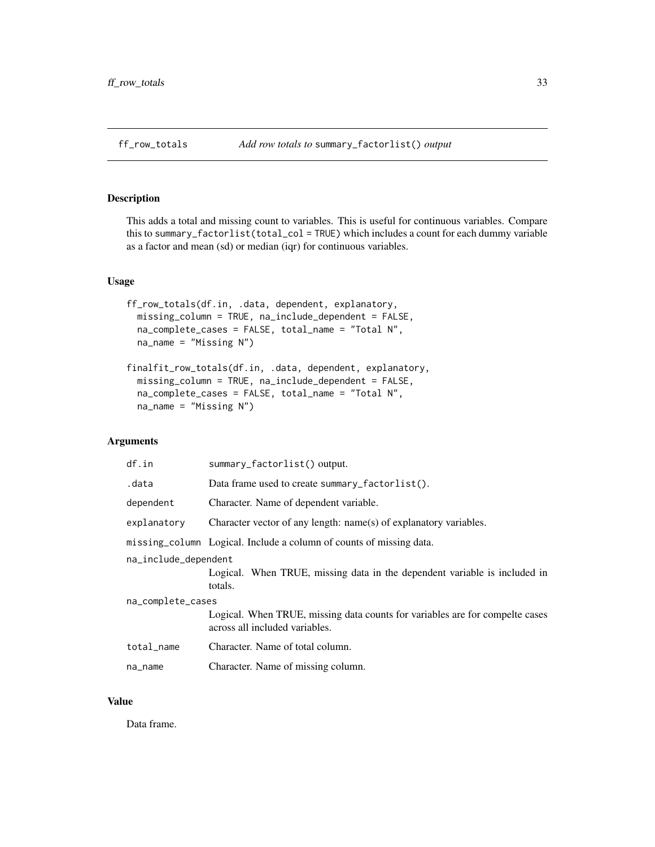<span id="page-32-0"></span>

This adds a total and missing count to variables. This is useful for continuous variables. Compare this to summary\_factorlist(total\_col = TRUE) which includes a count for each dummy variable as a factor and mean (sd) or median (iqr) for continuous variables.

# Usage

```
ff_row_totals(df.in, .data, dependent, explanatory,
 missing_column = TRUE, na_include_dependent = FALSE,
 na_complete_cases = FALSE, total_name = "Total N",
 na_name = "Missing N")
```

```
finalfit_row_totals(df.in, .data, dependent, explanatory,
 missing_column = TRUE, na_include_dependent = FALSE,
 na_complete_cases = FALSE, total_name = "Total N",
 na_name = "Missing N")
```
# Arguments

| df.in                | summary_factorlist() output.                                                                                   |
|----------------------|----------------------------------------------------------------------------------------------------------------|
| .data                | Data frame used to create summary_factorlist().                                                                |
| dependent            | Character. Name of dependent variable.                                                                         |
| explanatory          | Character vector of any length: name(s) of explanatory variables.                                              |
|                      | missing_column Logical. Include a column of counts of missing data.                                            |
| na_include_dependent |                                                                                                                |
|                      | Logical. When TRUE, missing data in the dependent variable is included in<br>totals.                           |
| na_complete_cases    |                                                                                                                |
|                      | Logical. When TRUE, missing data counts for variables are for compelte cases<br>across all included variables. |
| total_name           | Character. Name of total column.                                                                               |
| na_name              | Character. Name of missing column.                                                                             |

#### Value

Data frame.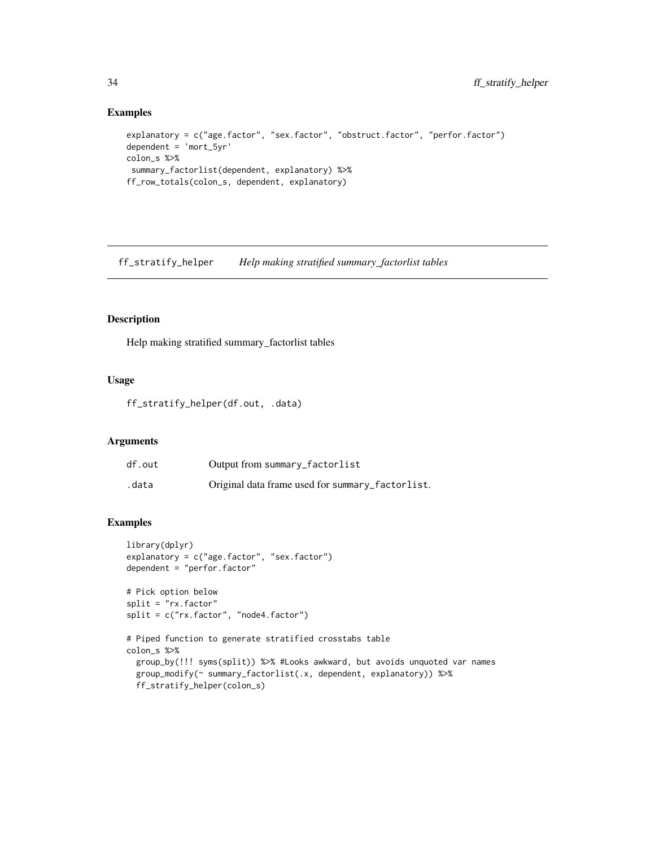#### Examples

```
explanatory = c("age.factor", "sex.factor", "obstruct.factor", "perfor.factor")
dependent = 'mort_5yr'
colon_s %>%
summary_factorlist(dependent, explanatory) %>%
ff_row_totals(colon_s, dependent, explanatory)
```
ff\_stratify\_helper *Help making stratified summary\_factorlist tables*

# Description

Help making stratified summary\_factorlist tables

#### Usage

ff\_stratify\_helper(df.out, .data)

# Arguments

| df.out | Output from summary_factorlist                   |
|--------|--------------------------------------------------|
| .data  | Original data frame used for summary_factorlist. |

```
library(dplyr)
explanatory = c("age.factor", "sex.factor")
dependent = "perfor.factor"
# Pick option below
split = "rx.factor"
split = c("rx.factor", "node4.factor")
# Piped function to generate stratified crosstabs table
colon_s %>%
  group_by(!!! syms(split)) %>% #Looks awkward, but avoids unquoted var names
  group_modify(~ summary_factorlist(.x, dependent, explanatory)) %>%
  ff_stratify_helper(colon_s)
```
<span id="page-33-0"></span>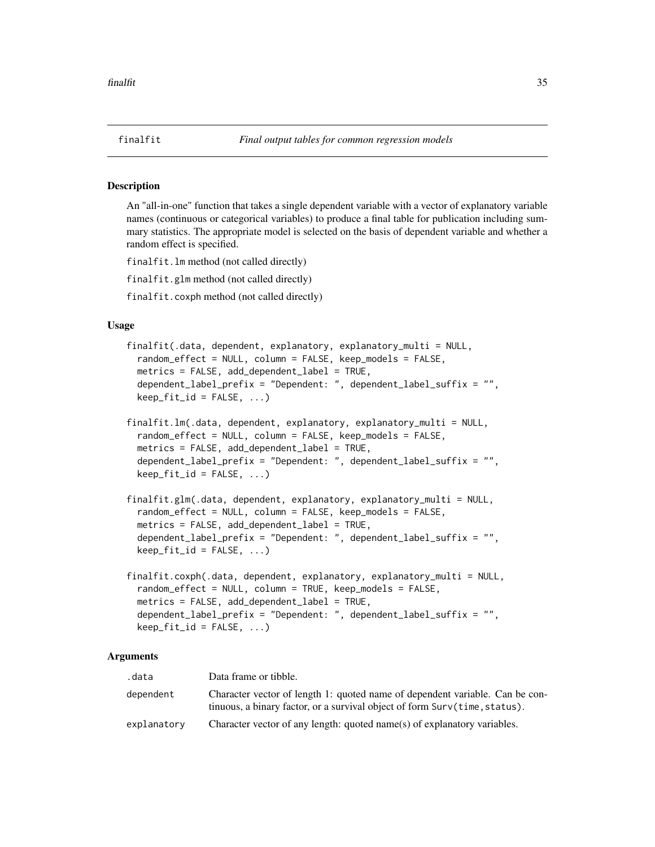<span id="page-34-2"></span><span id="page-34-1"></span><span id="page-34-0"></span>An "all-in-one" function that takes a single dependent variable with a vector of explanatory variable names (continuous or categorical variables) to produce a final table for publication including summary statistics. The appropriate model is selected on the basis of dependent variable and whether a random effect is specified.

finalfit.lm method (not called directly)

finalfit.glm method (not called directly)

finalfit.coxph method (not called directly)

# Usage

```
finalfit(.data, dependent, explanatory, explanatory_multi = NULL,
 random_effect = NULL, column = FALSE, keep_models = FALSE,
 metrics = FALSE, add_dependent_label = TRUE,
 dependent_label_prefix = "Dependent: ", dependent_label_suffix = "",
 keep\_fit\_id = FALSE, ...)finalfit.lm(.data, dependent, explanatory, explanatory_multi = NULL,
 random_effect = NULL, column = FALSE, keep_models = FALSE,
 metrics = FALSE, add_dependent_label = TRUE,
 dependent_label_prefix = "Dependent: ", dependent_label_suffix = "",
 keep\_fit\_id = FALSE, ...)finalfit.glm(.data, dependent, explanatory, explanatory_multi = NULL,
 random_effect = NULL, column = FALSE, keep_models = FALSE,
 metrics = FALSE, add_dependent_label = TRUE,
 dependent_label_prefix = "Dependent: ", dependent_label_suffix = "",
 keep_fit_id = FALSE, ...)finalfit.coxph(.data, dependent, explanatory, explanatory_multi = NULL,
 random_effect = NULL, column = TRUE, keep_models = FALSE,
 metrics = FALSE, add_dependent_label = TRUE,
 dependent_label_prefix = "Dependent: ", dependent_label_suffix = "",
 keep\_fit\_id = FALSE, ...)
```
#### Arguments

| .data       | Data frame or tibble.                                                                                                                                      |
|-------------|------------------------------------------------------------------------------------------------------------------------------------------------------------|
| dependent   | Character vector of length 1: quoted name of dependent variable. Can be con-<br>tinuous, a binary factor, or a survival object of form Surv(time, status). |
| explanatory | Character vector of any length: quoted name(s) of explanatory variables.                                                                                   |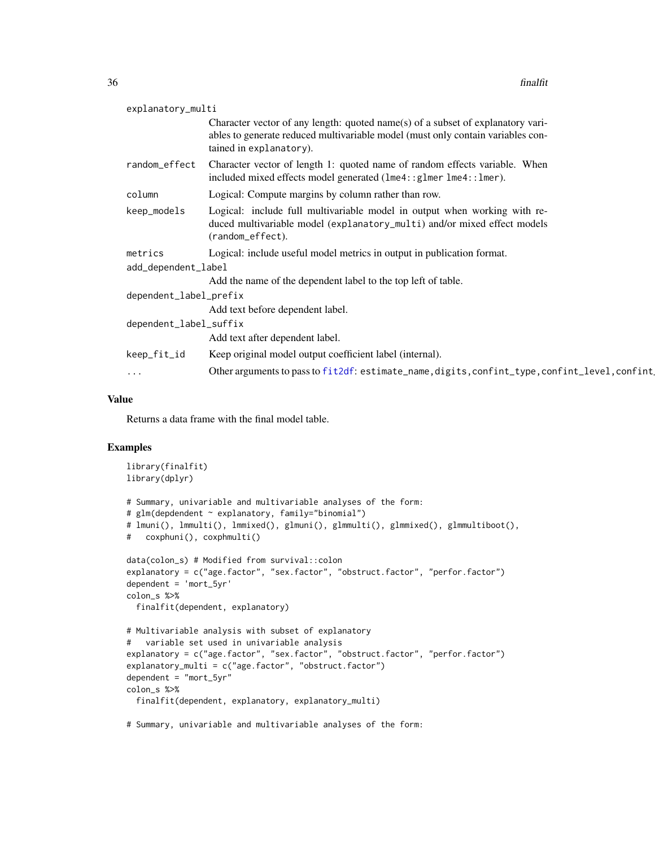| explanatory_multi      |                                                                                                                                                                                               |
|------------------------|-----------------------------------------------------------------------------------------------------------------------------------------------------------------------------------------------|
|                        | Character vector of any length: quoted name(s) of a subset of explanatory vari-<br>ables to generate reduced multivariable model (must only contain variables con-<br>tained in explanatory). |
| random_effect          | Character vector of length 1: quoted name of random effects variable. When<br>included mixed effects model generated (1me4::g1mer 1me4::1mer).                                                |
| column                 | Logical: Compute margins by column rather than row.                                                                                                                                           |
| keep_models            | Logical: include full multivariable model in output when working with re-<br>duced multivariable model (explanatory_multi) and/or mixed effect models<br>(random_effect).                     |
| metrics                | Logical: include useful model metrics in output in publication format.                                                                                                                        |
| add_dependent_label    |                                                                                                                                                                                               |
|                        | Add the name of the dependent label to the top left of table.                                                                                                                                 |
| dependent_label_prefix |                                                                                                                                                                                               |
|                        | Add text before dependent label.                                                                                                                                                              |
| dependent_label_suffix |                                                                                                                                                                                               |
|                        | Add text after dependent label.                                                                                                                                                               |
| keep_fit_id            | Keep original model output coefficient label (internal).                                                                                                                                      |
| $\ddotsc$              | Other arguments to pass to fit2df: estimate_name, digits, confint_type, confint_level, confint                                                                                                |
|                        |                                                                                                                                                                                               |

# Value

Returns a data frame with the final model table.

```
library(finalfit)
library(dplyr)
# Summary, univariable and multivariable analyses of the form:
# glm(depdendent ~ explanatory, family="binomial")
# lmuni(), lmmulti(), lmmixed(), glmuni(), glmmulti(), glmmixed(), glmmultiboot(),
# coxphuni(), coxphmulti()
data(colon_s) # Modified from survival::colon
explanatory = c("age.factor", "sex.factor", "obstruct.factor", "perfor.factor")
dependent = 'mort_5yr'
colon_s %>%
  finalfit(dependent, explanatory)
# Multivariable analysis with subset of explanatory
# variable set used in univariable analysis
explanatory = c("age.factor", "sex.factor", "obstruct.factor", "perfor.factor")
explanatory_multi = c("age.factor", "obstruct.factor")
dependent = "mort_5yr"
colon_s %>%
  finalfit(dependent, explanatory, explanatory_multi)
# Summary, univariable and multivariable analyses of the form:
```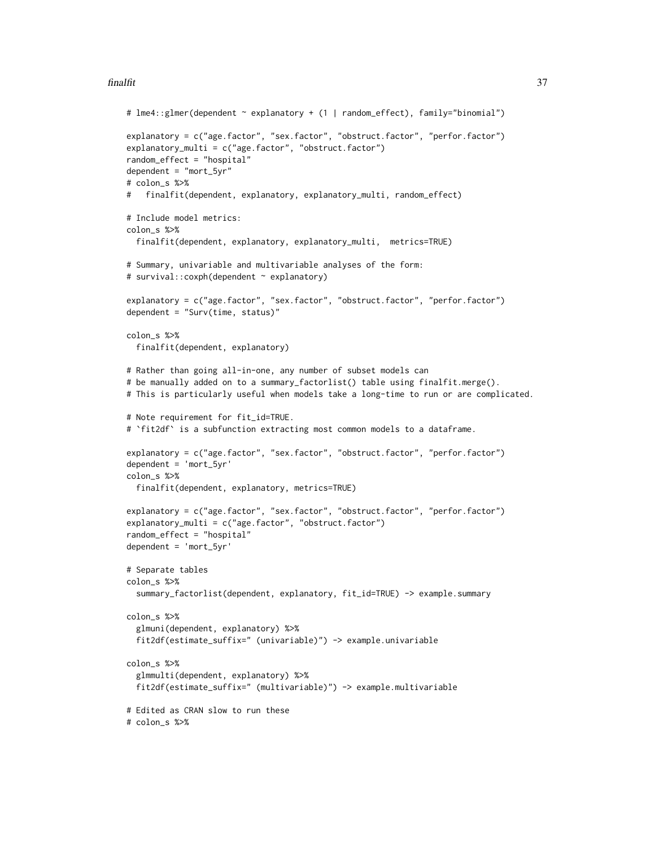### finalfit 37

```
# lme4::glmer(dependent ~ explanatory + (1 | random_effect), family="binomial")
explanatory = c("age.factor", "sex.factor", "obstruct.factor", "perfor.factor")
explanatory_multi = c("age.factor", "obstruct.factor")
random_effect = "hospital"
dependent = "mort_5yr"# colon_s %>%
# finalfit(dependent, explanatory, explanatory_multi, random_effect)
# Include model metrics:
colon_s %>%
 finalfit(dependent, explanatory, explanatory_multi, metrics=TRUE)
# Summary, univariable and multivariable analyses of the form:
# survival::coxph(dependent ~ explanatory)
explanatory = c("age.factor", "sex.factor", "obstruct.factor", "perfor.factor")
dependent = "Surv(time, status)"
colon_s %>%
 finalfit(dependent, explanatory)
# Rather than going all-in-one, any number of subset models can
# be manually added on to a summary_factorlist() table using finalfit.merge().
# This is particularly useful when models take a long-time to run or are complicated.
# Note requirement for fit_id=TRUE.
# `fit2df` is a subfunction extracting most common models to a dataframe.
explanatory = c("age.factor", "sex.factor", "obstruct.factor", "perfor.factor")
dependent = 'mort_5yr'
colon_s %>%
 finalfit(dependent, explanatory, metrics=TRUE)
explanatory = c("age.factor", "sex.factor", "obstruct.factor", "perfor.factor")
explanatory_multi = c("age.factor", "obstruct.factor")
random_effect = "hospital"
dependent = 'mort_5yr'
# Separate tables
colon_s %>%
 summary_factorlist(dependent, explanatory, fit_id=TRUE) -> example.summary
colon_s %>%
 glmuni(dependent, explanatory) %>%
 fit2df(estimate_suffix=" (univariable)") -> example.univariable
colon_s %>%
 glmmulti(dependent, explanatory) %>%
 fit2df(estimate_suffix=" (multivariable)") -> example.multivariable
# Edited as CRAN slow to run these
# colon_s %>%
```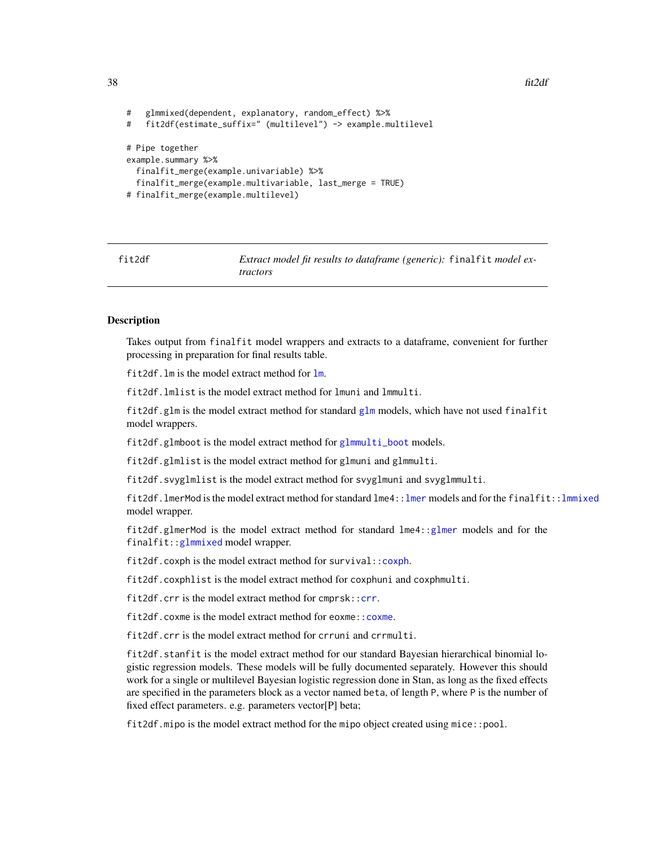```
38 fit2df
```

```
# glmmixed(dependent, explanatory, random_effect) %>%
# fit2df(estimate_suffix=" (multilevel") -> example.multilevel
# Pipe together
example.summary %>%
 finalfit_merge(example.univariable) %>%
  finalfit_merge(example.multivariable, last_merge = TRUE)
# finalfit_merge(example.multilevel)
```
<span id="page-37-0"></span>fit2df *Extract model fit results to dataframe (generic):* finalfit *model extractors*

## Description

Takes output from finalfit model wrappers and extracts to a dataframe, convenient for further processing in preparation for final results table.

fit2df.lm is the model extract method for [lm](#page-0-0).

fit2df.lmlist is the model extract method for lmuni and lmmulti.

fit2df.glm is the model extract method for standard [glm](#page-0-0) models, which have not used finalfit model wrappers.

fit2df.glmboot is the model extract method for [glmmulti\\_boot](#page-45-0) models.

fit2df.glmlist is the model extract method for glmuni and glmmulti.

fit2df.svyglmlist is the model extract method for svyglmuni and svyglmmulti.

fit2df.lmerMod is the model extract method for standard lme4:[:lmer](#page-0-0) models and for the finalfit:[:lmmixed](#page-50-0) model wrapper.

fit2df.glmerMod is the model extract method for standard lme4:[:glmer](#page-0-0) models and for the finalfit:[:glmmixed](#page-43-0) model wrapper.

fit2df.coxph is the model extract method for survival:[:coxph](#page-0-0).

fit2df.coxphlist is the model extract method for coxphuni and coxphmulti.

fit2df.crr is the model extract method for cmprsk:[:crr](#page-0-0).

fit2df.coxme is the model extract method for eoxme:: coxme.

fit2df.crr is the model extract method for crruni and crrmulti.

fit2df.stanfit is the model extract method for our standard Bayesian hierarchical binomial logistic regression models. These models will be fully documented separately. However this should work for a single or multilevel Bayesian logistic regression done in Stan, as long as the fixed effects are specified in the parameters block as a vector named beta, of length P, where P is the number of fixed effect parameters. e.g. parameters vector[P] beta;

fit2df.mipo is the model extract method for the mipo object created using mice::pool.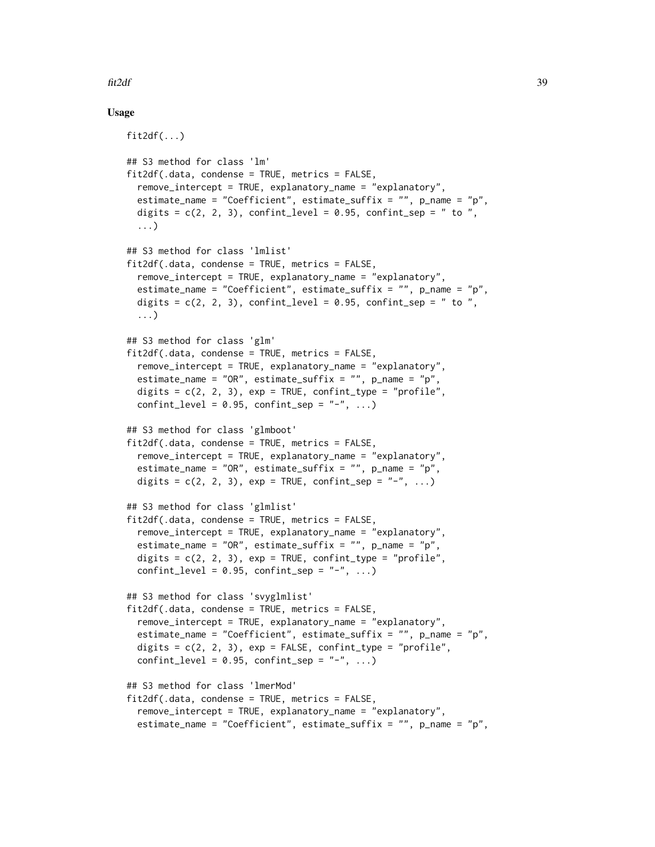## fit2df 39

## Usage

```
fit2df(...)## S3 method for class 'lm'
fit2df(.data, condense = TRUE, metrics = FALSE,
  remove_intercept = TRUE, explanatory_name = "explanatory",
  estimate_name = "Coefficient", estimate_suffix = "", p_name = "p",
  digits = c(2, 2, 3), confint_level = 0.95, confint_sep = " to ",
  ...)
## S3 method for class 'lmlist'
fit2df(.data, condense = TRUE, metrics = FALSE,
  remove_intercept = TRUE, explanatory_name = "explanatory",
  estimate_name = "Coefficient", estimate_suffix = "", p_name = "p",
  digits = c(2, 2, 3), confint_level = 0.95, confint_sep = " to ",
  ...)
## S3 method for class 'glm'
fit2df(.data, condense = TRUE, metrics = FALSE,
  remove_intercept = TRUE, explanatory_name = "explanatory",
  estimate_name = "OR", estimate_suffix = "", p_name = "p",
  digits = c(2, 2, 3), exp = TRUE, confint_type = "profile",confint_level = 0.95, confint_sep = "-", ...)
## S3 method for class 'glmboot'
fit2df.data, condense = TRUE, metrics = FALSE,
  remove_intercept = TRUE, explanatory_name = "explanatory",
  estimate_name = "OR", estimate_suffix = "", p_name = "p",
  digits = c(2, 2, 3), exp = TRUE, confint_s = "-'', ...)## S3 method for class 'glmlist'
fit2df(.data, condense = TRUE, metrics = FALSE,
  remove_intercept = TRUE, explanatory_name = "explanatory",
  estimate_name = "OR", estimate_suffix = "", p_name = "p",
  digits = c(2, 2, 3), exp = TRUE, confint_type = "profile",confint_level = 0.95, confint_sep = "-", ...)
## S3 method for class 'svyglmlist'
fit2df.data, condense = TRUE, metrics = FALSE,
  remove_intercept = TRUE, explanatory_name = "explanatory",
  estimate_name = "Coefficient", estimate_suffix = "", p_name = "p",
  digits = c(2, 2, 3), exp = FALSE, confint_type = "profile",confint_level = 0.95, confint_sep = "-", ...)
## S3 method for class 'lmerMod'
fit2df(.data, condense = TRUE, metrics = FALSE,
  remove_intercept = TRUE, explanatory_name = "explanatory",
  estimate_name = "Coefficient", estimate_suffix = "", p_name = "p",
```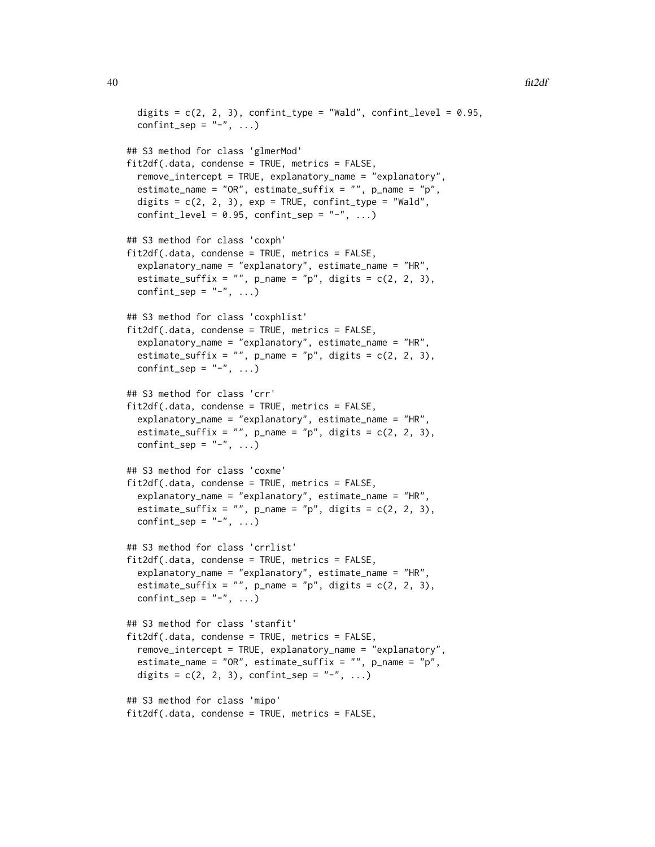```
digits = c(2, 2, 3), confint_type = "Wald", confint_level = 0.95,
 confint_sep = "-", ...)
## S3 method for class 'glmerMod'
fit2df(.data, condense = TRUE, metrics = FALSE,
  remove_intercept = TRUE, explanatory_name = "explanatory",
 estimate_name = "OR", estimate_suffix = "", p_name = "p",
 digits = c(2, 2, 3), exp = TRUE, confint_type = "Wald",confint_level = 0.95, confint_sep = "-", ...)
## S3 method for class 'coxph'
fit2df(.data, condense = TRUE, metrics = FALSE,
  explanatory_name = "explanatory", estimate_name = "HR",
  estimate_suffix = "", p_name = "p", digits = c(2, 2, 3),confint_sep = "-", ...)
## S3 method for class 'coxphlist'
fit2df(.data, condense = TRUE, metrics = FALSE,
  explanatory_name = "explanatory", estimate_name = "HR",
  estimate_suffix = "", p_name = "p", digits = c(2, 2, 3),
 confint_sep = "-", ...)
## S3 method for class 'crr'
fit2df(.data, condense = TRUE, metrics = FALSE,
  explanatory_name = "explanatory", estimate_name = "HR",
 estimate_suffix = "", p_name = "p", digits = c(2, 2, 3),confint_sep = "-", ...)
## S3 method for class 'coxme'
fit2df(.data, condense = TRUE, metrics = FALSE,
  explanatory_name = "explanatory", estimate_name = "HR",
 estimate_suffix = "", p_name = "p", digits = c(2, 2, 3),
 confint_sep = "-", ...)
## S3 method for class 'crrlist'
fit2df(.data, condense = TRUE, metrics = FALSE,
  explanatory_name = "explanatory", estimate_name = "HR",
  estimate_suffix = "", p_name = "p", digits = c(2, 2, 3),confint_sep = "-", ...)
## S3 method for class 'stanfit'
fit2df(.data, condense = TRUE, metrics = FALSE,
  remove_intercept = TRUE, explanatory_name = "explanatory",
  estimate_name = "OR", estimate_suffix = "", p_name = "p",
 digits = c(2, 2, 3), confint_sep = "-", ...)
## S3 method for class 'mipo'
fit2df.data, condense = TRUE, metrics = FALSE,
```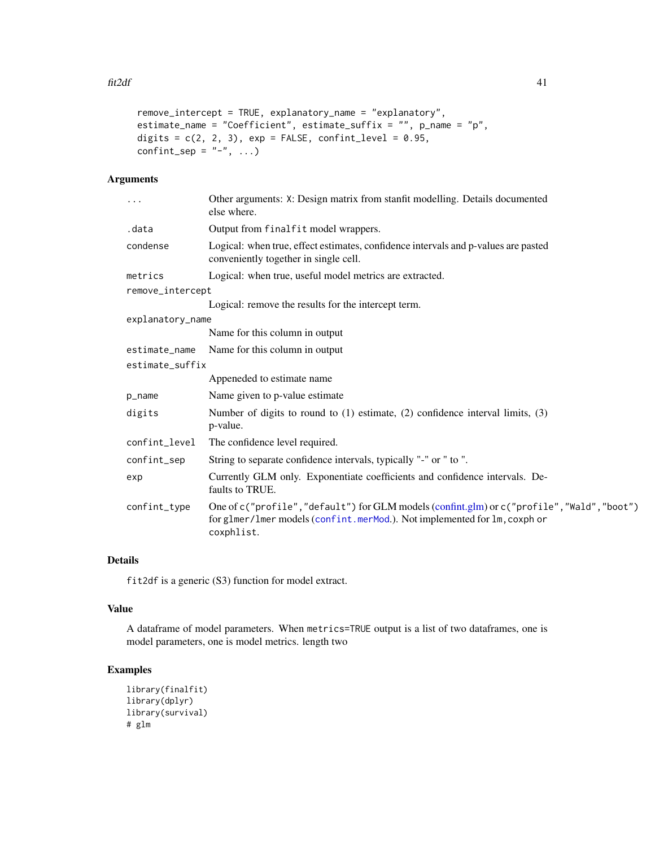```
remove_intercept = TRUE, explanatory_name = "explanatory",
estimate_name = "Coefficient", estimate_suffix = "", p_name = "p",
digits = c(2, 2, 3), exp = FALSE, confint_level = 0.95,
confint_sep = "-", ...)
```
# Arguments

| .                | Other arguments: X: Design matrix from stanfit modelling. Details documented<br>else where.                                                                                         |
|------------------|-------------------------------------------------------------------------------------------------------------------------------------------------------------------------------------|
| .data            | Output from finalfit model wrappers.                                                                                                                                                |
| condense         | Logical: when true, effect estimates, confidence intervals and p-values are pasted<br>conveniently together in single cell.                                                         |
| metrics          | Logical: when true, useful model metrics are extracted.                                                                                                                             |
| remove_intercept |                                                                                                                                                                                     |
|                  | Logical: remove the results for the intercept term.                                                                                                                                 |
| explanatory_name |                                                                                                                                                                                     |
|                  | Name for this column in output                                                                                                                                                      |
| estimate_name    | Name for this column in output                                                                                                                                                      |
| estimate_suffix  |                                                                                                                                                                                     |
|                  | Appeneded to estimate name                                                                                                                                                          |
| p_name           | Name given to p-value estimate                                                                                                                                                      |
| digits           | Number of digits to round to $(1)$ estimate, $(2)$ confidence interval limits, $(3)$<br>p-value.                                                                                    |
| confint_level    | The confidence level required.                                                                                                                                                      |
| confint_sep      | String to separate confidence intervals, typically "-" or " to ".                                                                                                                   |
| exp              | Currently GLM only. Exponentiate coefficients and confidence intervals. De-<br>faults to TRUE.                                                                                      |
| confint_type     | One of c("profile","default") for GLM models (confint.glm) or c("profile","Wald","boot")<br>for glmer/lmer models (confint.merMod.). Not implemented for lm, coxph or<br>coxphlist. |

# Details

fit2df is a generic (S3) function for model extract.

### Value

A dataframe of model parameters. When metrics=TRUE output is a list of two dataframes, one is model parameters, one is model metrics. length two

```
library(finalfit)
library(dplyr)
library(survival)
# glm
```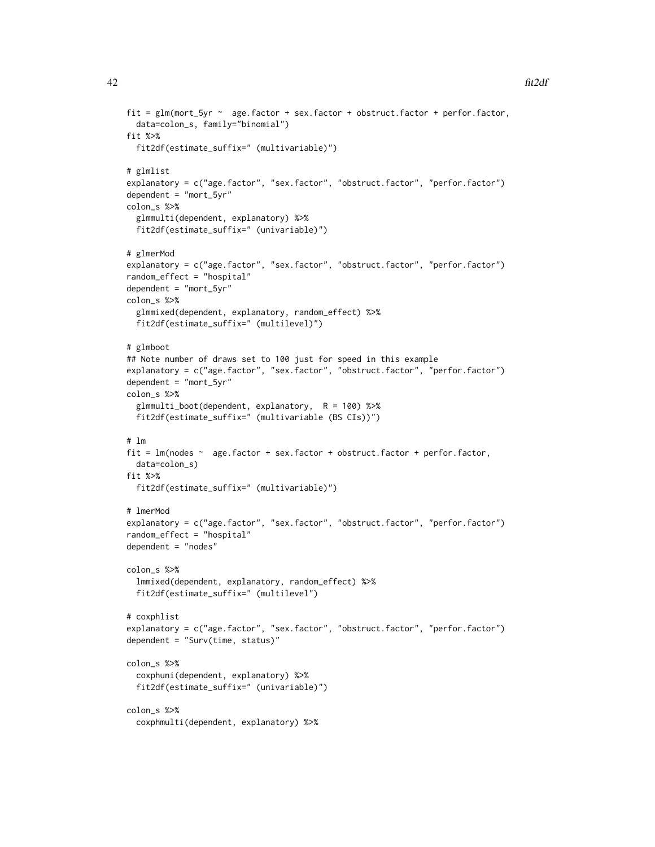```
fit = glm(mort_5yr \sim age.factor + sex.factor + obstruct.factor + perfor.factor,data=colon_s, family="binomial")
fit %>%
 fit2df(estimate_suffix=" (multivariable)")
# glmlist
explanatory = c("age.factor", "sex.factor", "obstruct.factor", "perfor.factor")
dependent = "mort_5yr"colon_s %>%
 glmmulti(dependent, explanatory) %>%
 fit2df(estimate_suffix=" (univariable)")
# glmerMod
explanatory = c("age.factor", "sex.factor", "obstruct.factor", "perfor.factor")
random_effect = "hospital"
dependent = "mort_5yr"
colon_s %>%
 glmmixed(dependent, explanatory, random_effect) %>%
 fit2df(estimate_suffix=" (multilevel)")
# glmboot
## Note number of draws set to 100 just for speed in this example
explanatory = c("age.factor", "sex.factor", "obstruct.factor", "perfor.factor")
dependent = "mort_5yr"
colon_s %>%
 glmmulti_boot(dependent, explanatory, R = 100) %>%
 fit2df(estimate_suffix=" (multivariable (BS CIs))")
# lm
fit = lm(nodes ~ age.factor + sex.factor + obstruct.factor + perfor.factor,
 data=colon_s)
fit %>%
 fit2df(estimate_suffix=" (multivariable)")
# lmerMod
explanatory = c("age.factor", "sex.factor", "obstruct.factor", "perfor.factor")
random_effect = "hospital"
dependent = "nodes"
colon_s %>%
 lmmixed(dependent, explanatory, random_effect) %>%
 fit2df(estimate_suffix=" (multilevel")
# coxphlist
explanatory = c("age.factor", "sex.factor", "obstruct.factor", "perfor.factor")
dependent = "Surv(time, status)"
colon_s %>%
 coxphuni(dependent, explanatory) %>%
 fit2df(estimate_suffix=" (univariable)")
colon_s %>%
 coxphmulti(dependent, explanatory) %>%
```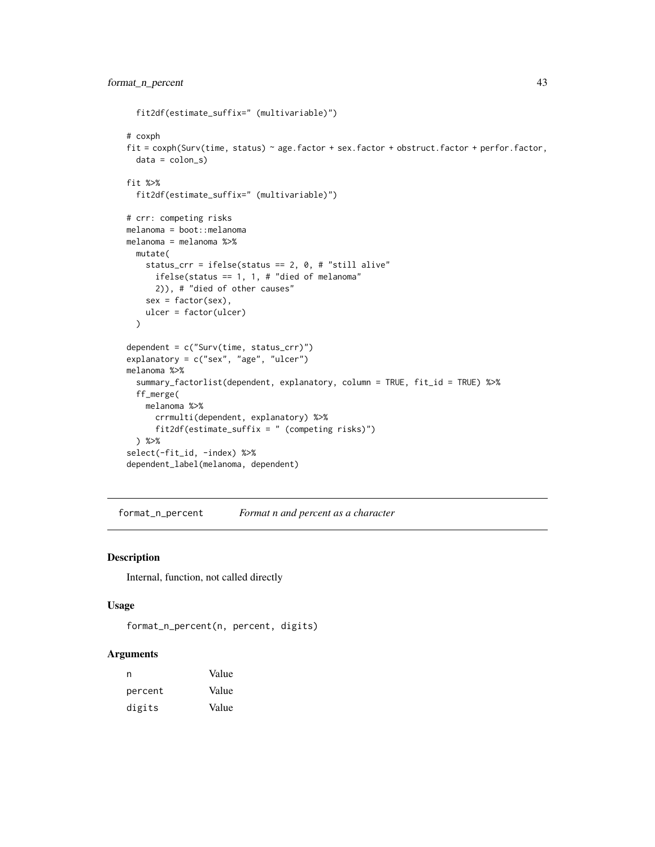```
fit2df(estimate_suffix=" (multivariable)")
# coxph
fit = coxph(Surv(time, status) ~ age.factor + sex.factor + obstruct.factor + perfor.factor,
 data = colon_sfit %>%
  fit2df(estimate_suffix=" (multivariable)")
# crr: competing risks
melanoma = boot::melanoma
melanoma = melanoma %>%
  mutate(
   status_crr = ifelse(status == 2, 0, # "still alive"
     ifelse(status == 1, 1, # "died of melanoma"
     2)), # "died of other causes"
   sex = factor(sex),
   ulcer = factor(ulcer)
  )
dependent = c("Surv(time, status_crr)")
explanatory = c("sex", "age", "ulcer")
melanoma %>%
  summary_factorlist(dependent, explanatory, column = TRUE, fit_id = TRUE) %>%
  ff_merge(
   melanoma %>%
      crrmulti(dependent, explanatory) %>%
      fit2df(estimate_suffix = " (competing risks)")
  ) %>%
select(-fit_id, -index) %>%
dependent_label(melanoma, dependent)
```
format\_n\_percent *Format n and percent as a character*

#### Description

Internal, function, not called directly

# Usage

```
format_n_percent(n, percent, digits)
```
#### Arguments

| n       | Value |
|---------|-------|
| percent | Value |
| digits  | Value |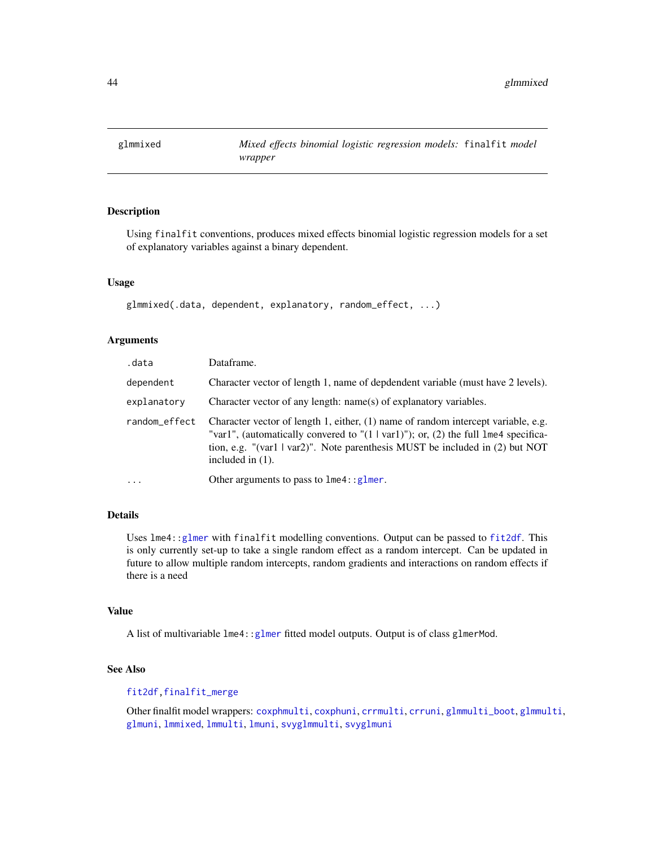<span id="page-43-0"></span>

Using finalfit conventions, produces mixed effects binomial logistic regression models for a set of explanatory variables against a binary dependent.

#### Usage

glmmixed(.data, dependent, explanatory, random\_effect, ...)

# Arguments

| .data         | Dataframe.                                                                                                                                                                                                                                                                                  |
|---------------|---------------------------------------------------------------------------------------------------------------------------------------------------------------------------------------------------------------------------------------------------------------------------------------------|
| dependent     | Character vector of length 1, name of depdendent variable (must have 2 levels).                                                                                                                                                                                                             |
| explanatory   | Character vector of any length: name(s) of explanatory variables.                                                                                                                                                                                                                           |
| random_effect | Character vector of length 1, either, (1) name of random intercept variable, e.g.<br>"var1", (automatically convered to " $(1   \text{var1})$ "); or, $(2)$ the full lme4 specifica-<br>tion, e.g. "(var1   var2)". Note parenthesis MUST be included in (2) but NOT<br>included in $(1)$ . |
| $\cdot$       | Other arguments to pass to $l$ me4:: $glmer$ .                                                                                                                                                                                                                                              |

# Details

Uses lme4:[:glmer](#page-0-0) with finalfit modelling conventions. Output can be passed to [fit2df](#page-37-0). This is only currently set-up to take a single random effect as a random intercept. Can be updated in future to allow multiple random intercepts, random gradients and interactions on random effects if there is a need

### Value

A list of multivariable  $l$ me4:[:glmer](#page-0-0) fitted model outputs. Output is of class glmerMod.

# See Also

## [fit2df](#page-37-0)[,finalfit\\_merge](#page-20-0)

Other finalfit model wrappers: [coxphmulti](#page-9-0), [coxphuni](#page-10-0), [crrmulti](#page-11-0), [crruni](#page-12-0), [glmmulti\\_boot](#page-45-0), [glmmulti](#page-44-0), [glmuni](#page-46-0), [lmmixed](#page-50-0), [lmmulti](#page-51-0), [lmuni](#page-52-0), [svyglmmulti](#page-66-0), [svyglmuni](#page-68-0)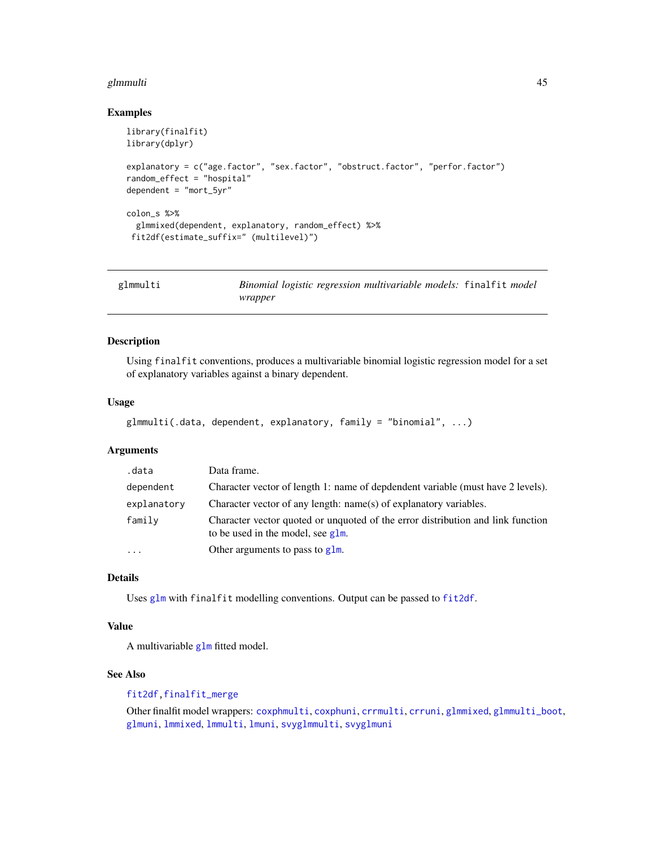#### glmmulti 45

#### Examples

```
library(finalfit)
library(dplyr)
explanatory = c("age.factor", "sex.factor", "obstruct.factor", "perfor.factor")
random_effect = "hospital"
dependent = "mort_5yr"
colon_s %>%
  glmmixed(dependent, explanatory, random_effect) %>%
 fit2df(estimate_suffix=" (multilevel)")
```
<span id="page-44-0"></span>

| glmmulti | Binomial logistic regression multivariable models: finalfit model |  |
|----------|-------------------------------------------------------------------|--|
|          | wrapper                                                           |  |

## Description

Using finalfit conventions, produces a multivariable binomial logistic regression model for a set of explanatory variables against a binary dependent.

#### Usage

```
glmmulti(.data, dependent, explanatory, family = "binomial", ...)
```
# Arguments

| .data                   | Data frame.                                                                                                             |
|-------------------------|-------------------------------------------------------------------------------------------------------------------------|
| dependent               | Character vector of length 1: name of depdendent variable (must have 2 levels).                                         |
| explanatory             | Character vector of any length: name(s) of explanatory variables.                                                       |
| family                  | Character vector quoted or unquoted of the error distribution and link function<br>to be used in the model, see $g1m$ . |
| $\cdot$ $\cdot$ $\cdot$ | Other arguments to pass to $g1m$ .                                                                                      |

#### Details

Uses [glm](#page-0-0) with finalfit modelling conventions. Output can be passed to [fit2df](#page-37-0).

#### Value

A multivariable [glm](#page-0-0) fitted model.

### See Also

## [fit2df](#page-37-0)[,finalfit\\_merge](#page-20-0)

Other finalfit model wrappers: [coxphmulti](#page-9-0), [coxphuni](#page-10-0), [crrmulti](#page-11-0), [crruni](#page-12-0), [glmmixed](#page-43-0), [glmmulti\\_boot](#page-45-0), [glmuni](#page-46-0), [lmmixed](#page-50-0), [lmmulti](#page-51-0), [lmuni](#page-52-0), [svyglmmulti](#page-66-0), [svyglmuni](#page-68-0)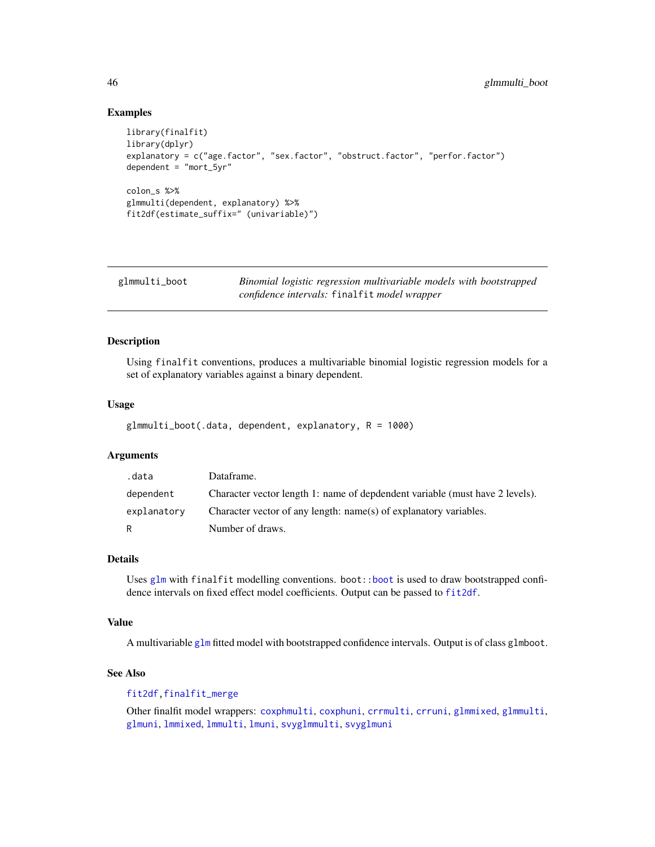## Examples

```
library(finalfit)
library(dplyr)
explanatory = c("age.factor", "sex.factor", "obstruct.factor", "perfor.factor")
dependent = "mort_5yr"
colon_s %>%
glmmulti(dependent, explanatory) %>%
fit2df(estimate_suffix=" (univariable)")
```
<span id="page-45-0"></span>

| glmmulti_boot | Binomial logistic regression multivariable models with bootstrapped |
|---------------|---------------------------------------------------------------------|
|               | confidence intervals: finalfit model wrapper                        |

### Description

Using finalfit conventions, produces a multivariable binomial logistic regression models for a set of explanatory variables against a binary dependent.

# Usage

```
glmmulti_boot(.data, dependent, explanatory, R = 1000)
```
#### Arguments

| .data       | Dataframe.                                                                   |
|-------------|------------------------------------------------------------------------------|
| dependent   | Character vector length 1: name of depdendent variable (must have 2 levels). |
| explanatory | Character vector of any length: name(s) of explanatory variables.            |
| R           | Number of draws.                                                             |

#### Details

Uses [glm](#page-0-0) with finalfit modelling conventions. boot:[:boot](#page-0-0) is used to draw bootstrapped confidence intervals on fixed effect model coefficients. Output can be passed to [fit2df](#page-37-0).

### Value

A multivariable [glm](#page-0-0) fitted model with bootstrapped confidence intervals. Output is of class glmboot.

### See Also

## [fit2df](#page-37-0)[,finalfit\\_merge](#page-20-0)

Other finalfit model wrappers: [coxphmulti](#page-9-0), [coxphuni](#page-10-0), [crrmulti](#page-11-0), [crruni](#page-12-0), [glmmixed](#page-43-0), [glmmulti](#page-44-0), [glmuni](#page-46-0), [lmmixed](#page-50-0), [lmmulti](#page-51-0), [lmuni](#page-52-0), [svyglmmulti](#page-66-0), [svyglmuni](#page-68-0)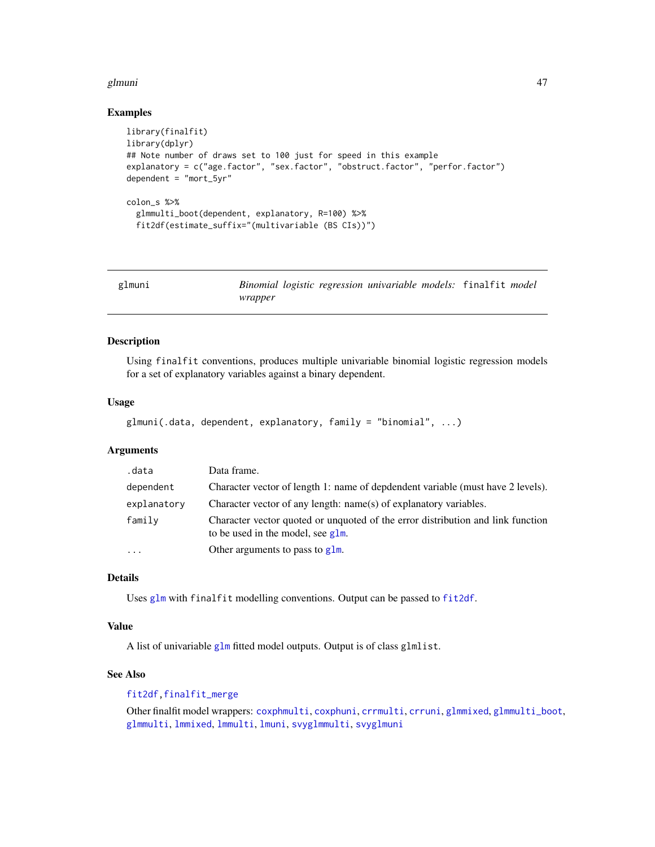#### glmuni and a state of the state of the state of the state of the state of the state of the state of the state o

#### Examples

```
library(finalfit)
library(dplyr)
## Note number of draws set to 100 just for speed in this example
explanatory = c("age.factor", "sex.factor", "obstruct.factor", "perfor.factor")
dependent = "mort5vr"colon_s %>%
  glmmulti_boot(dependent, explanatory, R=100) %>%
  fit2df(estimate_suffix="(multivariable (BS CIs))")
```
<span id="page-46-0"></span>

| glmuni |         |  | Binomial logistic regression univariable models: finalfit model |  |  |
|--------|---------|--|-----------------------------------------------------------------|--|--|
|        | wrapper |  |                                                                 |  |  |

## Description

Using finalfit conventions, produces multiple univariable binomial logistic regression models for a set of explanatory variables against a binary dependent.

### Usage

```
glmuni(.data, dependent, explanatory, family = "binomial", ...)
```
### Arguments

| .data                   | Data frame.                                                                                                             |
|-------------------------|-------------------------------------------------------------------------------------------------------------------------|
| dependent               | Character vector of length 1: name of depdendent variable (must have 2 levels).                                         |
| explanatory             | Character vector of any length: name(s) of explanatory variables.                                                       |
| family                  | Character vector quoted or unquoted of the error distribution and link function<br>to be used in the model, see $g1m$ . |
| $\cdot$ $\cdot$ $\cdot$ | Other arguments to pass to $g1m$ .                                                                                      |

#### Details

Uses [glm](#page-0-0) with finalfit modelling conventions. Output can be passed to [fit2df](#page-37-0).

#### Value

A list of univariable [glm](#page-0-0) fitted model outputs. Output is of class glmlist.

### See Also

## [fit2df](#page-37-0)[,finalfit\\_merge](#page-20-0)

Other finalfit model wrappers: [coxphmulti](#page-9-0), [coxphuni](#page-10-0), [crrmulti](#page-11-0), [crruni](#page-12-0), [glmmixed](#page-43-0), [glmmulti\\_boot](#page-45-0), [glmmulti](#page-44-0), [lmmixed](#page-50-0), [lmmulti](#page-51-0), [lmuni](#page-52-0), [svyglmmulti](#page-66-0), [svyglmuni](#page-68-0)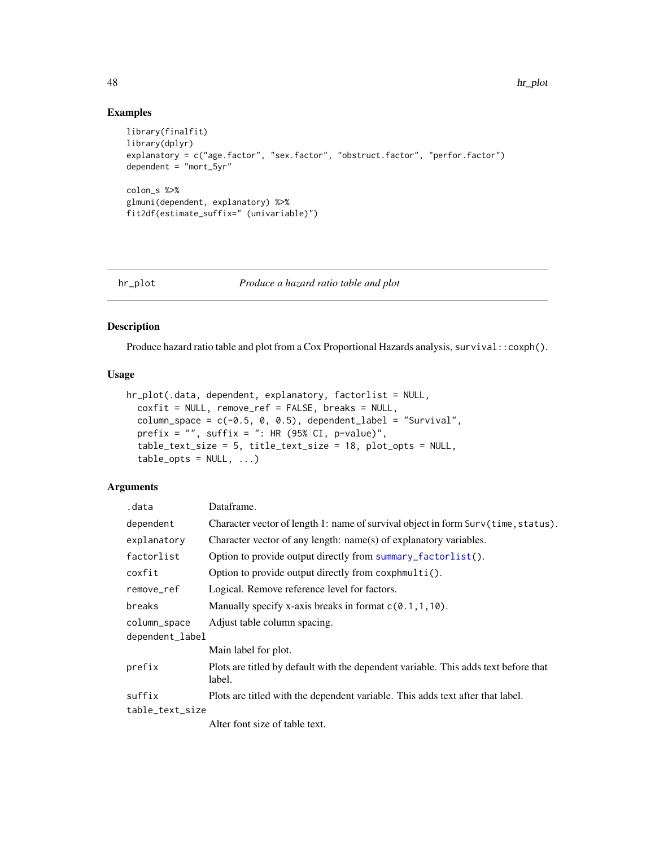# Examples

```
library(finalfit)
library(dplyr)
explanatory = c("age.factor", "sex.factor", "obstruct.factor", "perfor.factor")
dependent = "mort_5yr"
colon_s %>%
glmuni(dependent, explanatory) %>%
fit2df(estimate_suffix=" (univariable)")
```
# <span id="page-47-0"></span>hr\_plot *Produce a hazard ratio table and plot*

#### Description

Produce hazard ratio table and plot from a Cox Proportional Hazards analysis, survival:: coxph().

## Usage

```
hr_plot(.data, dependent, explanatory, factorlist = NULL,
  coxfit = NULL, remove_ref = FALSE, breaks = NULL,
  column_space = c(-0.5, 0, 0.5), dependent_label = "Survival",
 prefix = ", suffix = ": HR (95% CI, p-value)",
  table_text_size = 5, title_text_size = 18, plot_opts = NULL,
  table\_opts = NULL, ...
```
### Arguments

| .data                           | Dataframe.                                                                                    |
|---------------------------------|-----------------------------------------------------------------------------------------------|
| dependent                       | Character vector of length 1: name of survival object in form Surv(time, status).             |
| explanatory                     | Character vector of any length: name(s) of explanatory variables.                             |
| factorlist                      | Option to provide output directly from summary_factorlist().                                  |
| coxfit                          | Option to provide output directly from coxphmulti().                                          |
| remove_ref                      | Logical. Remove reference level for factors.                                                  |
| breaks                          | Manually specify x-axis breaks in format $c(0.1, 1, 10)$ .                                    |
| column_space<br>dependent_label | Adjust table column spacing.                                                                  |
|                                 | Main label for plot.                                                                          |
| prefix                          | Plots are titled by default with the dependent variable. This adds text before that<br>label. |
| suffix                          | Plots are titled with the dependent variable. This adds text after that label.                |
| table_text_size                 |                                                                                               |
|                                 | Alter font size of table text.                                                                |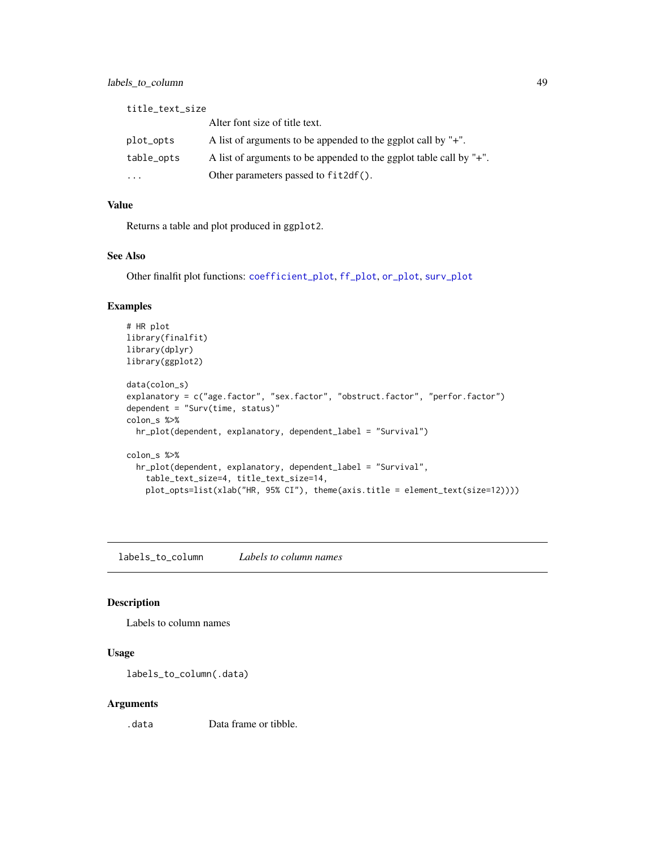title\_text\_size Alter font size of title text. plot\_opts A list of arguments to be appended to the ggplot call by "+". table\_opts A list of arguments to be appended to the ggplot table call by "+". ... Other parameters passed to fit2df().

# Value

Returns a table and plot produced in ggplot2.

# See Also

Other finalfit plot functions: [coefficient\\_plot](#page-7-0), [ff\\_plot](#page-27-0), [or\\_plot](#page-59-0), [surv\\_plot](#page-65-0)

# Examples

```
# HR plot
library(finalfit)
library(dplyr)
library(ggplot2)
data(colon_s)
explanatory = c("age.factor", "sex.factor", "obstruct.factor", "perfor.factor")
dependent = "Surv(time, status)"
colon_s %>%
 hr_plot(dependent, explanatory, dependent_label = "Survival")
colon_s %>%
  hr_plot(dependent, explanatory, dependent_label = "Survival",
    table_text_size=4, title_text_size=14,
   plot_opts=list(xlab("HR, 95% CI"), theme(axis.title = element_text(size=12))))
```
labels\_to\_column *Labels to column names*

#### Description

Labels to column names

# Usage

```
labels_to_column(.data)
```
#### Arguments

.data Data frame or tibble.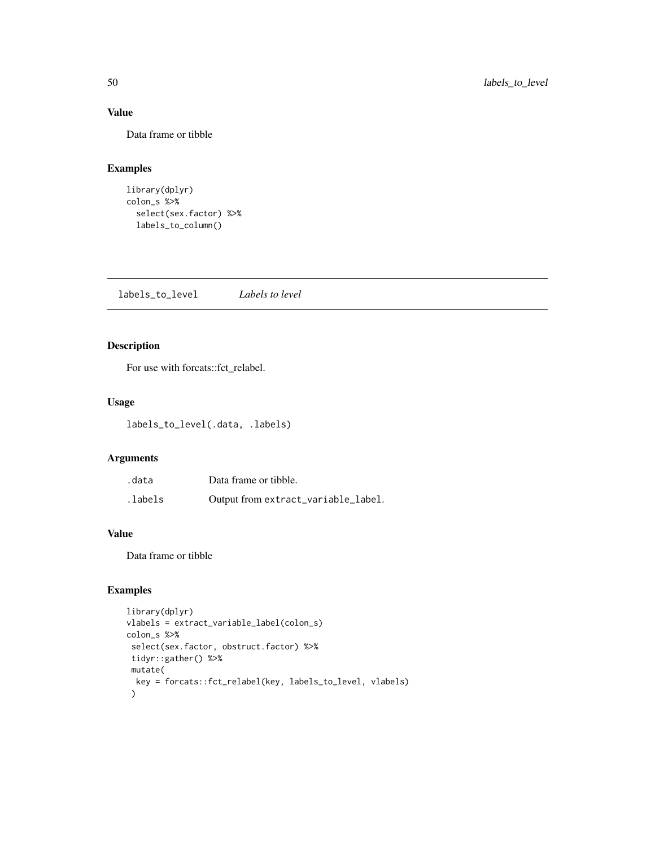# Value

Data frame or tibble

# Examples

```
library(dplyr)
colon_s %>%
  select(sex.factor) %>%
  labels_to_column()
```
labels\_to\_level *Labels to level*

# Description

For use with forcats::fct\_relabel.

# Usage

labels\_to\_level(.data, .labels)

# Arguments

| .data    | Data frame or tibble.               |
|----------|-------------------------------------|
| .labels. | Output from extract_variable_label. |

## Value

Data frame or tibble

```
library(dplyr)
vlabels = extract_variable_label(colon_s)
colon_s %>%
select(sex.factor, obstruct.factor) %>%
tidyr::gather() %>%
 mutate(
 key = forcats::fct_relabel(key, labels_to_level, vlabels)
 \mathcal{L}
```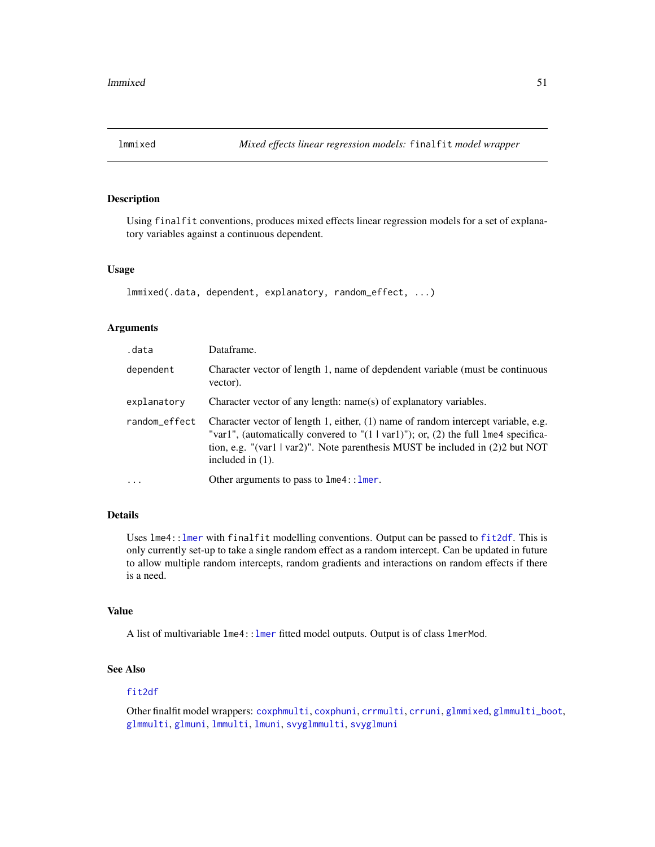<span id="page-50-0"></span>

Using finalfit conventions, produces mixed effects linear regression models for a set of explanatory variables against a continuous dependent.

#### Usage

```
lmmixed(.data, dependent, explanatory, random_effect, ...)
```
#### Arguments

| .data         | Dataframe.                                                                                                                                                                                                                                                                             |
|---------------|----------------------------------------------------------------------------------------------------------------------------------------------------------------------------------------------------------------------------------------------------------------------------------------|
| dependent     | Character vector of length 1, name of depdendent variable (must be continuous<br>vector).                                                                                                                                                                                              |
| explanatory   | Character vector of any length: name(s) of explanatory variables.                                                                                                                                                                                                                      |
| random_effect | Character vector of length 1, either, (1) name of random intercept variable, e.g.<br>"var1", (automatically convered to " $(1   var1)$ "); or, (2) the full lme4 specifica-<br>tion, e.g. "(var1   var2)". Note parenthesis MUST be included in $(2)$ 2 but NOT<br>included in $(1)$ . |
| $\cdot$       | Other arguments to pass to $l$ me4:: $l$ mer.                                                                                                                                                                                                                                          |

# Details

Uses lme4:: lmer with finalfit modelling conventions. Output can be passed to [fit2df](#page-37-0). This is only currently set-up to take a single random effect as a random intercept. Can be updated in future to allow multiple random intercepts, random gradients and interactions on random effects if there is a need.

### Value

A list of multivariable  $l$ me4:: lmer fitted model outputs. Output is of class lmerMod.

# See Also

#### [fit2df](#page-37-0)

Other finalfit model wrappers: [coxphmulti](#page-9-0), [coxphuni](#page-10-0), [crrmulti](#page-11-0), [crruni](#page-12-0), [glmmixed](#page-43-0), [glmmulti\\_boot](#page-45-0), [glmmulti](#page-44-0), [glmuni](#page-46-0), [lmmulti](#page-51-0), [lmuni](#page-52-0), [svyglmmulti](#page-66-0), [svyglmuni](#page-68-0)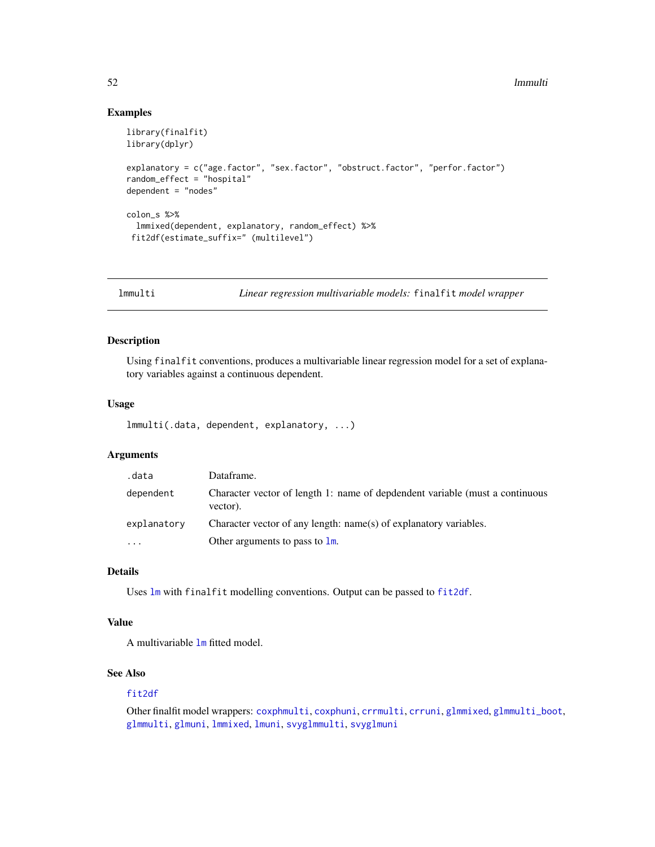#### 52 **lmmulti**

### Examples

```
library(finalfit)
library(dplyr)
explanatory = c("age.factor", "sex.factor", "obstruct.factor", "perfor.factor")
random_effect = "hospital"
dependent = "nodes"
colon_s %>%
  lmmixed(dependent, explanatory, random_effect) %>%
 fit2df(estimate_suffix=" (multilevel")
```
<span id="page-51-0"></span>

lmmulti *Linear regression multivariable models:* finalfit *model wrapper*

# Description

Using finalfit conventions, produces a multivariable linear regression model for a set of explanatory variables against a continuous dependent.

#### Usage

lmmulti(.data, dependent, explanatory, ...)

#### Arguments

| .data       | Dataframe.                                                                               |
|-------------|------------------------------------------------------------------------------------------|
| dependent   | Character vector of length 1: name of depdendent variable (must a continuous<br>vector). |
| explanatory | Character vector of any length: name(s) of explanatory variables.                        |
| $\cdots$    | Other arguments to pass to $\mathsf{lm}$ .                                               |

# Details

Uses [lm](#page-0-0) with finalfit modelling conventions. Output can be passed to [fit2df](#page-37-0).

# Value

A multivariable [lm](#page-0-0) fitted model.

# See Also

#### [fit2df](#page-37-0)

Other finalfit model wrappers: [coxphmulti](#page-9-0), [coxphuni](#page-10-0), [crrmulti](#page-11-0), [crruni](#page-12-0), [glmmixed](#page-43-0), [glmmulti\\_boot](#page-45-0), [glmmulti](#page-44-0), [glmuni](#page-46-0), [lmmixed](#page-50-0), [lmuni](#page-52-0), [svyglmmulti](#page-66-0), [svyglmuni](#page-68-0)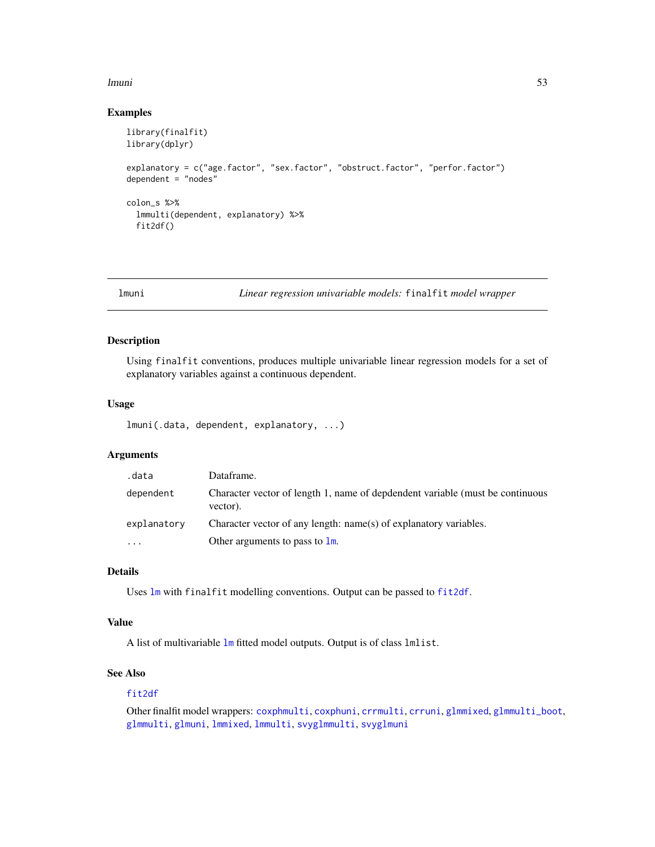#### lmuni 53

#### Examples

```
library(finalfit)
library(dplyr)
explanatory = c("age.factor", "sex.factor", "obstruct.factor", "perfor.factor")
dependent = "nodes"
colon_s %>%
  lmmulti(dependent, explanatory) %>%
  fit2df()
```
<span id="page-52-0"></span>

lmuni *Linear regression univariable models:* finalfit *model wrapper*

# Description

Using finalfit conventions, produces multiple univariable linear regression models for a set of explanatory variables against a continuous dependent.

### Usage

lmuni(.data, dependent, explanatory, ...)

# Arguments

| .data                   | Dataframe.                                                                                |
|-------------------------|-------------------------------------------------------------------------------------------|
| dependent               | Character vector of length 1, name of depdendent variable (must be continuous<br>vector). |
| explanatory             | Character vector of any length: name(s) of explanatory variables.                         |
| $\cdot$ $\cdot$ $\cdot$ | Other arguments to pass to $\mathbf{lm}$ .                                                |

# Details

Uses [lm](#page-0-0) with finalfit modelling conventions. Output can be passed to [fit2df](#page-37-0).

### Value

A list of multivariable [lm](#page-0-0) fitted model outputs. Output is of class lmlist.

# See Also

## [fit2df](#page-37-0)

Other finalfit model wrappers: [coxphmulti](#page-9-0), [coxphuni](#page-10-0), [crrmulti](#page-11-0), [crruni](#page-12-0), [glmmixed](#page-43-0), [glmmulti\\_boot](#page-45-0), [glmmulti](#page-44-0), [glmuni](#page-46-0), [lmmixed](#page-50-0), [lmmulti](#page-51-0), [svyglmmulti](#page-66-0), [svyglmuni](#page-68-0)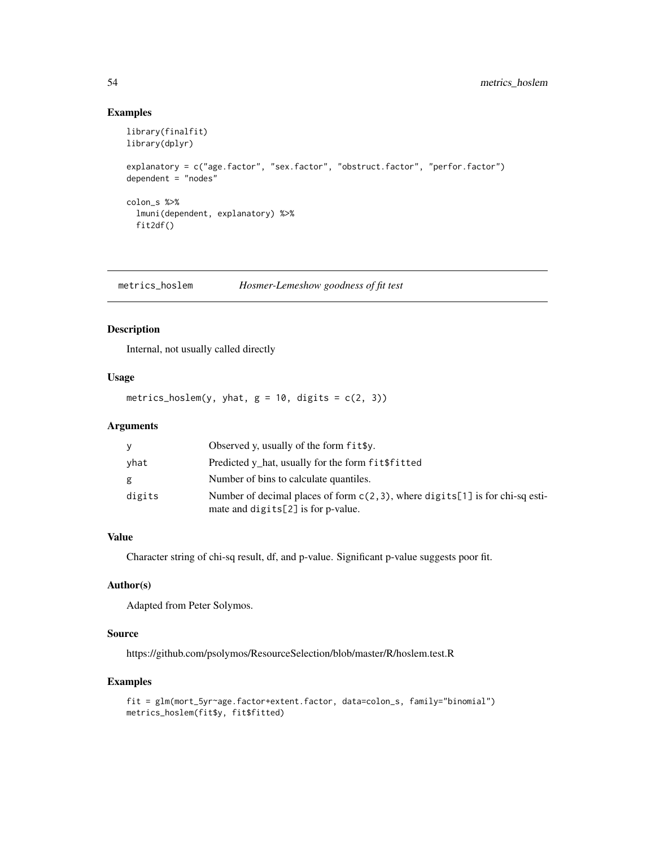# Examples

```
library(finalfit)
library(dplyr)
explanatory = c("age.factor", "sex.factor", "obstruct.factor", "perfor.factor")
dependent = "nodes"
colon_s %>%
  lmuni(dependent, explanatory) %>%
  fit2df()
```
metrics\_hoslem *Hosmer-Lemeshow goodness of fit test*

# Description

Internal, not usually called directly

#### Usage

metrics\_hoslem(y, yhat,  $g = 10$ , digits =  $c(2, 3)$ )

# Arguments

| У      | Observed y, usually of the form $fit\$ .                                                                                 |
|--------|--------------------------------------------------------------------------------------------------------------------------|
| yhat   | Predicted y_hat, usually for the form fit \$fitted                                                                       |
| g      | Number of bins to calculate quantiles.                                                                                   |
| digits | Number of decimal places of form $c(2,3)$ , where digits[1] is for chi-sq esti-<br>mate and digits $[2]$ is for p-value. |

# Value

Character string of chi-sq result, df, and p-value. Significant p-value suggests poor fit.

# Author(s)

Adapted from Peter Solymos.

# Source

https://github.com/psolymos/ResourceSelection/blob/master/R/hoslem.test.R

```
fit = glm(mort_5yr~age.factor+extent.factor, data=colon_s, family="binomial")
metrics_hoslem(fit$y, fit$fitted)
```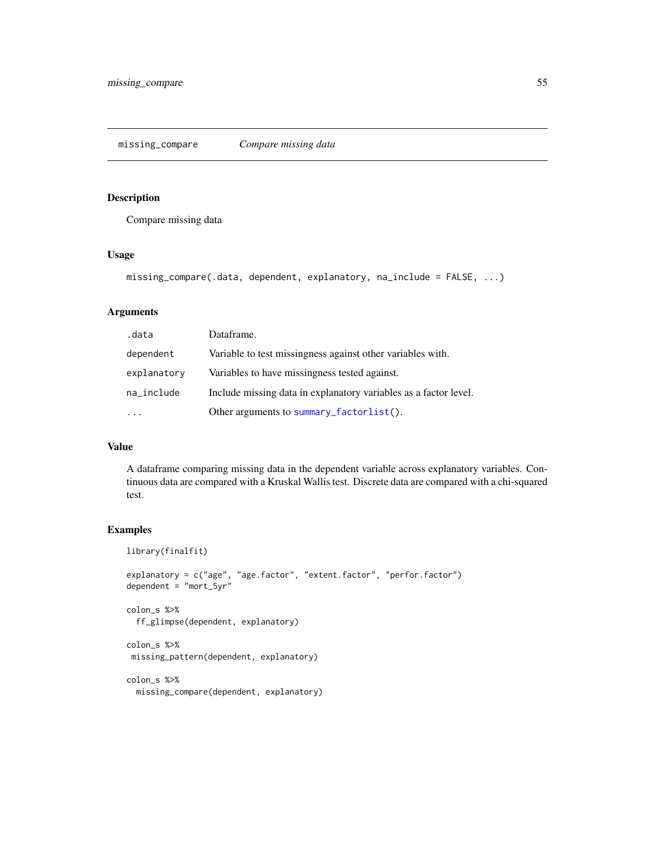Compare missing data

# Usage

```
missing_compare(.data, dependent, explanatory, na_include = FALSE, ...)
```
# Arguments

| .data       | Dataframe.                                                       |
|-------------|------------------------------------------------------------------|
| dependent   | Variable to test missingness against other variables with.       |
| explanatory | Variables to have missingness tested against.                    |
| na_include  | Include missing data in explanatory variables as a factor level. |
|             | Other arguments to summary_factorlist().                         |

# Value

A dataframe comparing missing data in the dependent variable across explanatory variables. Continuous data are compared with a Kruskal Wallis test. Discrete data are compared with a chi-squared test.

```
library(finalfit)
explanatory = c("age", "age.factor", "extent.factor", "perfor.factor")
dependent = "mort_5yr"
colon_s %>%
  ff_glimpse(dependent, explanatory)
colon_s %>%
missing_pattern(dependent, explanatory)
colon_s %>%
  missing_compare(dependent, explanatory)
```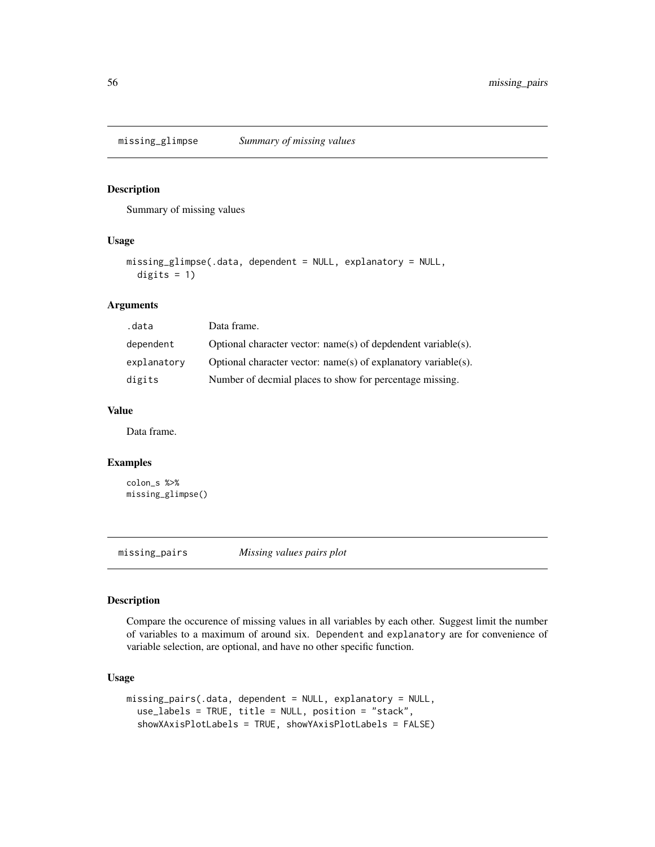Summary of missing values

# Usage

```
missing_glimpse(.data, dependent = NULL, explanatory = NULL,
  digits = 1)
```
# Arguments

| .data       | Data frame.                                                      |
|-------------|------------------------------------------------------------------|
| dependent   | Optional character vector: $name(s)$ of depdendent variable(s).  |
| explanatory | Optional character vector: $name(s)$ of explanatory variable(s). |
| digits      | Number of decmial places to show for percentage missing.         |

# Value

Data frame.

### Examples

```
colon_s %>%
missing_glimpse()
```
missing\_pairs *Missing values pairs plot*

# Description

Compare the occurence of missing values in all variables by each other. Suggest limit the number of variables to a maximum of around six. Dependent and explanatory are for convenience of variable selection, are optional, and have no other specific function.

# Usage

```
missing_pairs(.data, dependent = NULL, explanatory = NULL,
  use_labels = TRUE, title = NULL, position = "stack",
  showXAxisPlotLabels = TRUE, showYAxisPlotLabels = FALSE)
```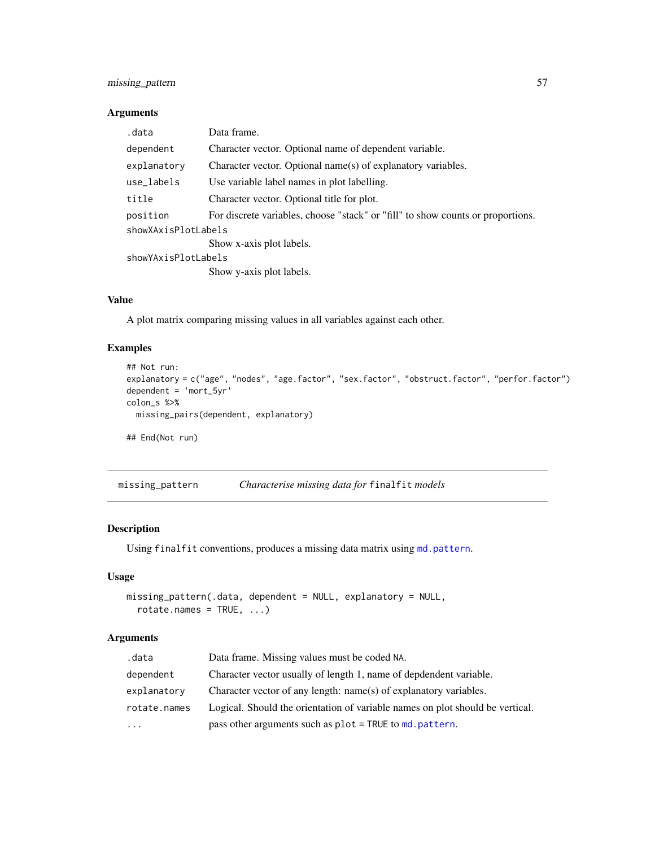## Arguments

| .data               | Data frame.                                                                     |  |
|---------------------|---------------------------------------------------------------------------------|--|
| dependent           | Character vector. Optional name of dependent variable.                          |  |
| explanatory         | Character vector. Optional name(s) of explanatory variables.                    |  |
| use_labels          | Use variable label names in plot labelling.                                     |  |
| title               | Character vector. Optional title for plot.                                      |  |
| position            | For discrete variables, choose "stack" or "fill" to show counts or proportions. |  |
| showXAxisPlotLabels |                                                                                 |  |
|                     | Show x-axis plot labels.                                                        |  |
| showYAxisPlotLabels |                                                                                 |  |
|                     | Show y-axis plot labels.                                                        |  |

# Value

A plot matrix comparing missing values in all variables against each other.

# Examples

```
## Not run:
explanatory = c("age", "nodes", "age.factor", "sex.factor", "obstruct.factor", "perfor.factor")
dependent = 'mort_5yr'
colon_s %>%
 missing_pairs(dependent, explanatory)
## End(Not run)
```
missing\_pattern *Characterise missing data for* finalfit *models*

# Description

Using finalfit conventions, produces a missing data matrix using [md.pattern](#page-0-0).

# Usage

```
missing_pattern(.data, dependent = NULL, explanatory = NULL,
  rotate.names = TRUE, ...)
```
#### Arguments

| .data        | Data frame. Missing values must be coded NA.                                  |
|--------------|-------------------------------------------------------------------------------|
| dependent    | Character vector usually of length 1, name of depdendent variable.            |
| explanatory  | Character vector of any length: name(s) of explanatory variables.             |
| rotate.names | Logical. Should the orientation of variable names on plot should be vertical. |
| $\ddotsc$    | pass other arguments such as $plot = TRUE$ to $md$ . $pattern$ .              |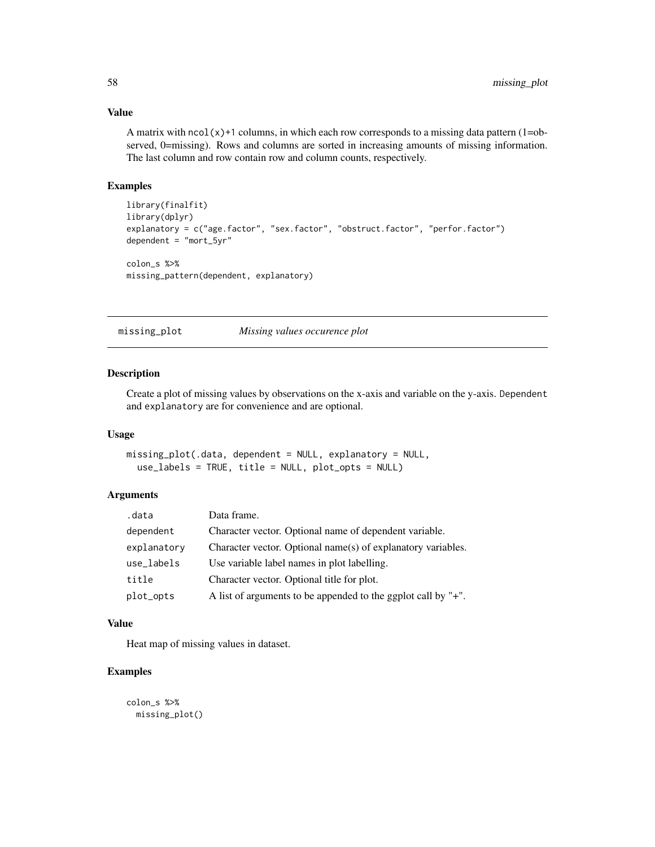# Value

A matrix with  $ncol(x)+1$  columns, in which each row corresponds to a missing data pattern  $(1=ob-1)$ served, 0=missing). Rows and columns are sorted in increasing amounts of missing information. The last column and row contain row and column counts, respectively.

#### Examples

```
library(finalfit)
library(dplyr)
explanatory = c("age.factor", "sex.factor", "obstruct.factor", "perfor.factor")
dependent = "mort_5yr"
colon_s %>%
missing_pattern(dependent, explanatory)
```
missing\_plot *Missing values occurence plot*

# Description

Create a plot of missing values by observations on the x-axis and variable on the y-axis. Dependent and explanatory are for convenience and are optional.

# Usage

```
missing_plot(.data, dependent = NULL, explanatory = NULL,
  use_labels = TRUE, title = NULL, plot_opts = NULL)
```
# Arguments

| .data       | Data frame.                                                   |
|-------------|---------------------------------------------------------------|
| dependent   | Character vector. Optional name of dependent variable.        |
| explanatory | Character vector. Optional name(s) of explanatory variables.  |
| use_labels  | Use variable label names in plot labelling.                   |
| title       | Character vector. Optional title for plot.                    |
| plot_opts   | A list of arguments to be appended to the ggplot call by "+". |

#### Value

Heat map of missing values in dataset.

```
colon_s %>%
 missing_plot()
```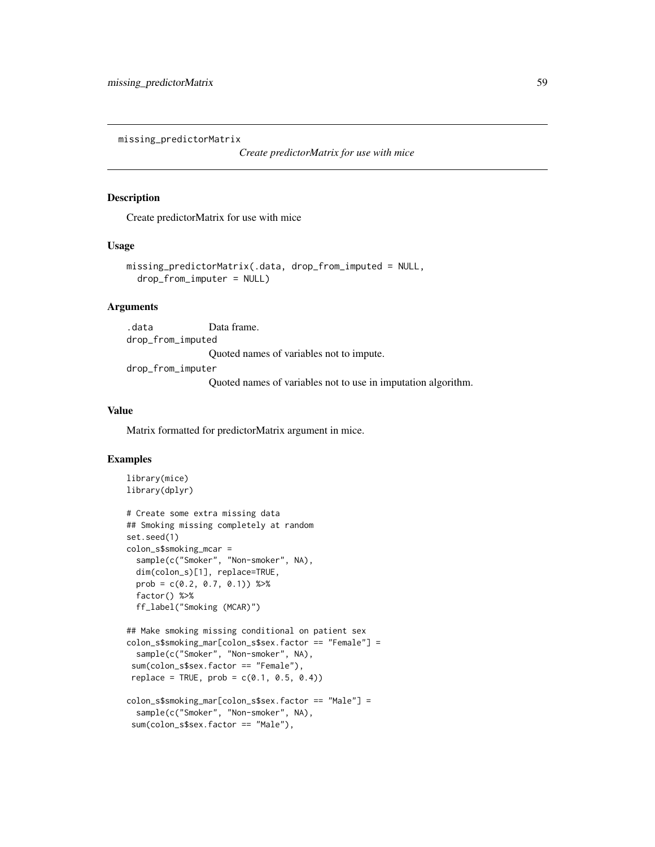missing\_predictorMatrix

*Create predictorMatrix for use with mice*

#### Description

Create predictorMatrix for use with mice

#### Usage

```
missing_predictorMatrix(.data, drop_from_imputed = NULL,
  drop_from_imputer = NULL)
```
## Arguments

.data Data frame. drop\_from\_imputed Quoted names of variables not to impute.

drop\_from\_imputer

Quoted names of variables not to use in imputation algorithm.

#### Value

Matrix formatted for predictorMatrix argument in mice.

```
library(mice)
library(dplyr)
# Create some extra missing data
## Smoking missing completely at random
set.seed(1)
colon_s$smoking_mcar =
 sample(c("Smoker", "Non-smoker", NA),
 dim(colon_s)[1], replace=TRUE,
 prob = c(0.2, 0.7, 0.1) %>%
 factor() %>%
 ff_label("Smoking (MCAR)")
## Make smoking missing conditional on patient sex
colon_s$smoking_mar[colon_s$sex.factor == "Female"] =
 sample(c("Smoker", "Non-smoker", NA),
 sum(colon_s$sex.factor == "Female"),
replace = TRUE, prob = c(0.1, 0.5, 0.4)colon_s$smoking_mar[colon_s$sex.factor == "Male"] =
 sample(c("Smoker", "Non-smoker", NA),
 sum(colon_s$sex.factor == "Male"),
```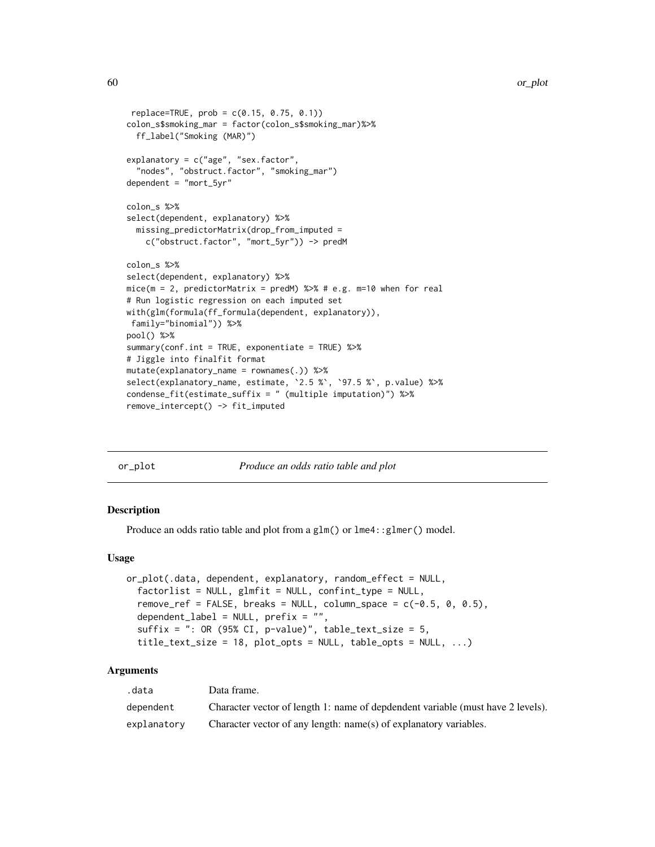```
replace=TRUE, prob = c(0.15, 0.75, 0.1))colon_s$smoking_mar = factor(colon_s$smoking_mar)%>%
  ff_label("Smoking (MAR)")
explanatory = c("age", "sex.factor",
  "nodes", "obstruct.factor", "smoking_mar")
dependent = "mort_5yr"
colon_s %>%
select(dependent, explanatory) %>%
  missing_predictorMatrix(drop_from_imputed =
    c("obstruct.factor", "mort_5yr")) -> predM
colon_s %>%
select(dependent, explanatory) %>%
mice(m = 2, predictorMatrix = predM) %>% # e.g. m=10 when for real
# Run logistic regression on each imputed set
with(glm(formula(ff_formula(dependent, explanatory)),
family="binomial")) %>%
pool() %>%
summary(conf.int = TRUE, exponentiate = TRUE) %>%
# Jiggle into finalfit format
mutate(explanatory_name = rownames(.)) %>%
select(explanatory_name, estimate, `2.5 %`, `97.5 %`, p.value) %>%
condense_fit(estimate_suffix = " (multiple imputation)") %>%
remove_intercept() -> fit_imputed
```
<span id="page-59-0"></span>

| nr | plot |
|----|------|
|    |      |
|    |      |

*Produce an odds ratio table and plot* 

#### Description

Produce an odds ratio table and plot from a glm() or lme4:: glmer() model.

#### Usage

```
or_plot(.data, dependent, explanatory, random_effect = NULL,
  factorlist = NULL, glmfit = NULL, confint_type = NULL,
  remove_ref = FALSE, breaks = NULL, column_space = c(-0.5, 0, 0.5),
 dependent_label = NULL, prefix = "",
  suffix = ": OR (95% CI, p-value)", table_test_size = 5,title\_text\_size = 18, plot\_opts = NULL, table\_opts = NULL, ...
```
# Arguments

| .data       | Data frame.                                                                     |
|-------------|---------------------------------------------------------------------------------|
| dependent   | Character vector of length 1: name of depdendent variable (must have 2 levels). |
| explanatory | Character vector of any length: name(s) of explanatory variables.               |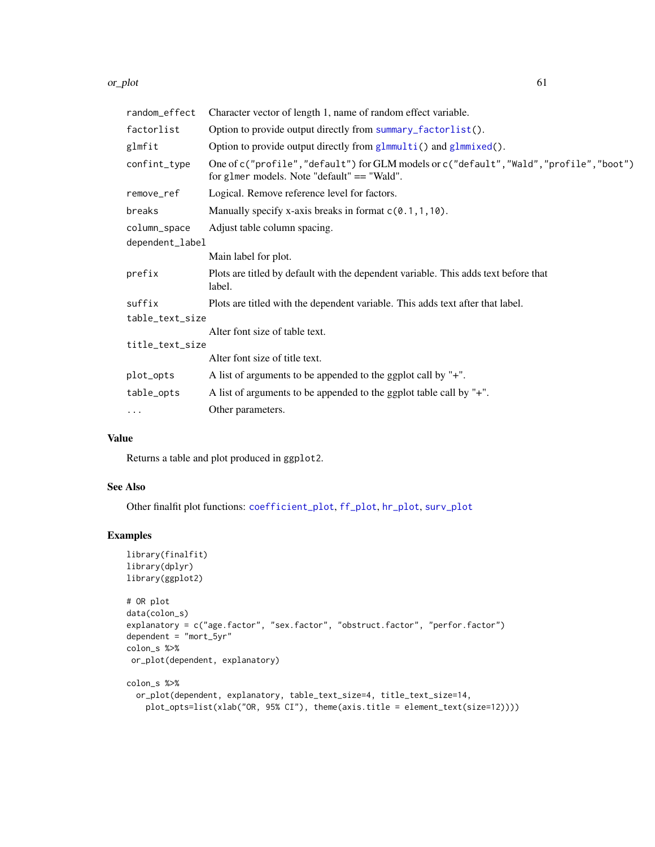#### or\_plot 61

| random_effect   | Character vector of length 1, name of random effect variable.                                                                            |  |
|-----------------|------------------------------------------------------------------------------------------------------------------------------------------|--|
| factorlist      | Option to provide output directly from summary_factorlist().                                                                             |  |
| glmfit          | Option to provide output directly from glmmulti() and glmmixed().                                                                        |  |
| confint_type    | One of c("profile","default") for GLM models or c("default", "Wald", "profile", "boot")<br>for glmer models. Note "default" $==$ "Wald". |  |
| remove_ref      | Logical. Remove reference level for factors.                                                                                             |  |
| breaks          | Manually specify x-axis breaks in format $c(0.1, 1, 10)$ .                                                                               |  |
| column_space    | Adjust table column spacing.                                                                                                             |  |
| dependent_label |                                                                                                                                          |  |
|                 | Main label for plot.                                                                                                                     |  |
| prefix          | Plots are titled by default with the dependent variable. This adds text before that<br>label.                                            |  |
| suffix          | Plots are titled with the dependent variable. This adds text after that label.                                                           |  |
| table_text_size |                                                                                                                                          |  |
|                 | Alter font size of table text.                                                                                                           |  |
| title_text_size |                                                                                                                                          |  |
|                 | Alter font size of title text.                                                                                                           |  |
| plot_opts       | A list of arguments to be appended to the ggplot call by "+".                                                                            |  |
| table_opts      | A list of arguments to be appended to the ggplot table call by "+".                                                                      |  |
| $\cdots$        | Other parameters.                                                                                                                        |  |

# Value

Returns a table and plot produced in ggplot2.

# See Also

Other finalfit plot functions: [coefficient\\_plot](#page-7-0), [ff\\_plot](#page-27-0), [hr\\_plot](#page-47-0), [surv\\_plot](#page-65-0)

```
library(finalfit)
library(dplyr)
library(ggplot2)
# OR plot
data(colon_s)
explanatory = c("age.factor", "sex.factor", "obstruct.factor", "perfor.factor")
dependent = "mort_5yr"
colon_s %>%
or_plot(dependent, explanatory)
colon_s %>%
  or_plot(dependent, explanatory, table_text_size=4, title_text_size=14,
    plot_opts=list(xlab("OR, 95% CI"), theme(axis.title = element_text(size=12))))
```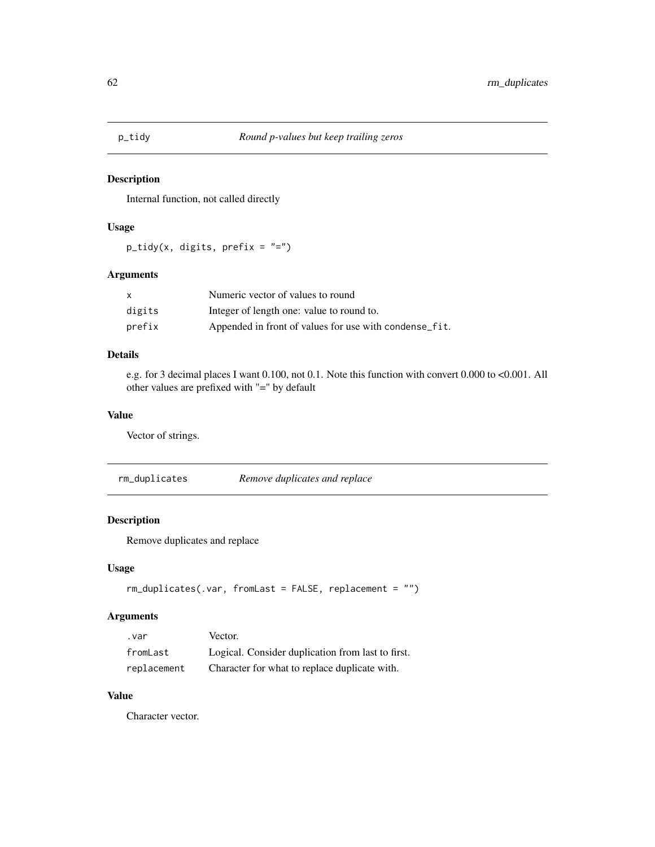Internal function, not called directly

# Usage

 $p\_tidy(x, digits, prefix = "="")$ 

# Arguments

| X      | Numeric vector of values to round                      |
|--------|--------------------------------------------------------|
| digits | Integer of length one: value to round to.              |
| prefix | Appended in front of values for use with condense_fit. |

# Details

e.g. for 3 decimal places I want 0.100, not 0.1. Note this function with convert 0.000 to <0.001. All other values are prefixed with "=" by default

# Value

Vector of strings.

rm\_duplicates *Remove duplicates and replace*

# Description

Remove duplicates and replace

# Usage

```
rm_duplicates(.var, fromLast = FALSE, replacement = "")
```
# Arguments

| . var       | Vector.                                           |
|-------------|---------------------------------------------------|
| fromLast    | Logical. Consider duplication from last to first. |
| replacement | Character for what to replace duplicate with.     |

# Value

Character vector.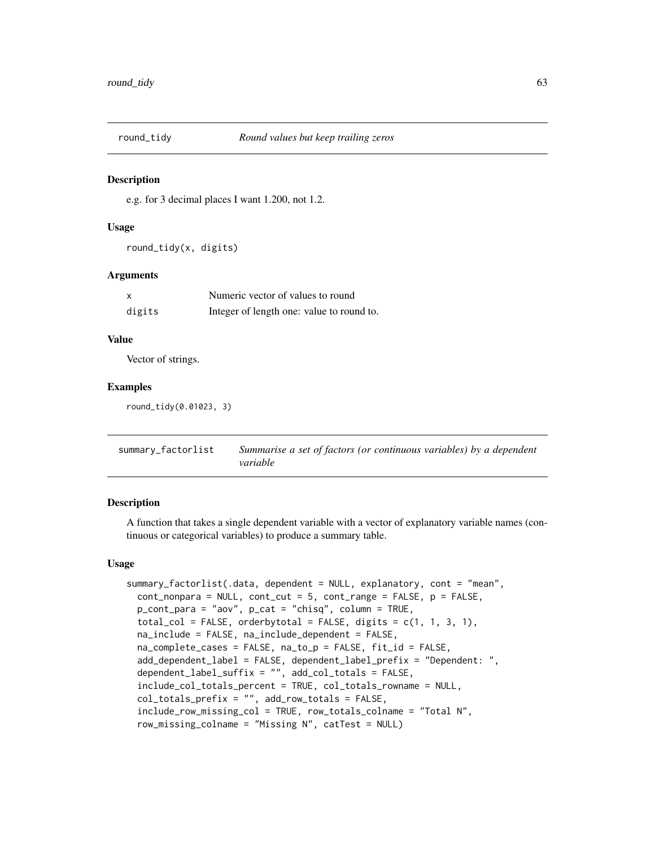e.g. for 3 decimal places I want 1.200, not 1.2.

#### Usage

round\_tidy(x, digits)

#### Arguments

| $\boldsymbol{\mathsf{x}}$ | Numeric vector of values to round         |
|---------------------------|-------------------------------------------|
| digits                    | Integer of length one: value to round to. |

#### Value

Vector of strings.

### Examples

round\_tidy(0.01023, 3)

<span id="page-62-0"></span>summary\_factorlist *Summarise a set of factors (or continuous variables) by a dependent variable*

# **Description**

A function that takes a single dependent variable with a vector of explanatory variable names (continuous or categorical variables) to produce a summary table.

#### Usage

```
summary_factorlist(.data, dependent = NULL, explanatory, cont = "mean",
 cont\_nonpara = NULL, cont\_cut = 5, cont\_range = FALSE, p = FALSE,
 p_cont_para = "aov", p_cat = "chisq", column = TRUE,
 total_col = FALSE, orderbytotal = FALSE, digits = c(1, 1, 3, 1),
 na_include = FALSE, na_include_dependent = FALSE,
 na_complete_cases = FALSE, na_to_p = FALSE, fit_id = FALSE,
 add_dependent_label = FALSE, dependent_label_prefix = "Dependent: ",
 dependent_label_suffix = "", add_col_totals = FALSE,
 include_col_totals_percent = TRUE, col_totals_rowname = NULL,
 col_totals_prefix = "", add_row_totals = FALSE,
 include_row_missing_col = TRUE, row_totals_colname = "Total N",
 row_missing_colname = "Missing N", catTest = NULL)
```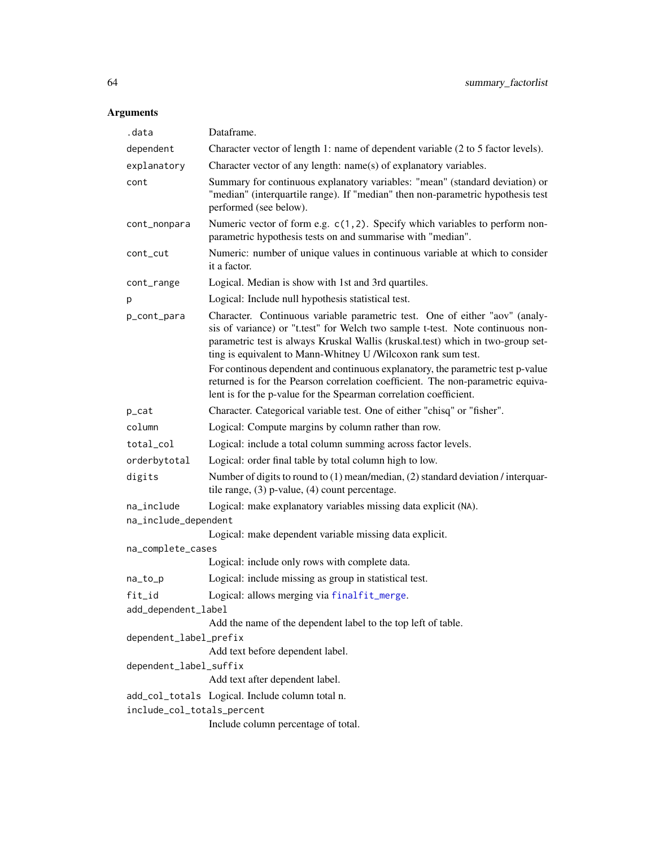# Arguments

| .data                                           | Dataframe.                                                                                                                                                                                                                                                                                                        |
|-------------------------------------------------|-------------------------------------------------------------------------------------------------------------------------------------------------------------------------------------------------------------------------------------------------------------------------------------------------------------------|
| dependent                                       | Character vector of length 1: name of dependent variable (2 to 5 factor levels).                                                                                                                                                                                                                                  |
| explanatory                                     | Character vector of any length: name(s) of explanatory variables.                                                                                                                                                                                                                                                 |
| cont                                            | Summary for continuous explanatory variables: "mean" (standard deviation) or<br>"median" (interquartile range). If "median" then non-parametric hypothesis test<br>performed (see below).                                                                                                                         |
| cont_nonpara                                    | Numeric vector of form e.g. c(1,2). Specify which variables to perform non-<br>parametric hypothesis tests on and summarise with "median".                                                                                                                                                                        |
| cont_cut                                        | Numeric: number of unique values in continuous variable at which to consider<br>it a factor.                                                                                                                                                                                                                      |
| cont_range                                      | Logical. Median is show with 1st and 3rd quartiles.                                                                                                                                                                                                                                                               |
| p                                               | Logical: Include null hypothesis statistical test.                                                                                                                                                                                                                                                                |
| p_cont_para                                     | Character. Continuous variable parametric test. One of either "aov" (analy-<br>sis of variance) or "t.test" for Welch two sample t-test. Note continuous non-<br>parametric test is always Kruskal Wallis (kruskal.test) which in two-group set-<br>ting is equivalent to Mann-Whitney U /Wilcoxon rank sum test. |
|                                                 | For continous dependent and continuous explanatory, the parametric test p-value<br>returned is for the Pearson correlation coefficient. The non-parametric equiva-<br>lent is for the p-value for the Spearman correlation coefficient.                                                                           |
| p_cat                                           | Character. Categorical variable test. One of either "chisq" or "fisher".                                                                                                                                                                                                                                          |
| column                                          | Logical: Compute margins by column rather than row.                                                                                                                                                                                                                                                               |
| total_col                                       | Logical: include a total column summing across factor levels.                                                                                                                                                                                                                                                     |
| orderbytotal                                    | Logical: order final table by total column high to low.                                                                                                                                                                                                                                                           |
| digits                                          | Number of digits to round to (1) mean/median, (2) standard deviation / interquar-<br>tile range, $(3)$ p-value, $(4)$ count percentage.                                                                                                                                                                           |
| na_include<br>na_include_dependent              | Logical: make explanatory variables missing data explicit (NA).                                                                                                                                                                                                                                                   |
|                                                 | Logical: make dependent variable missing data explicit.                                                                                                                                                                                                                                                           |
| na_complete_cases                               |                                                                                                                                                                                                                                                                                                                   |
|                                                 | Logical: include only rows with complete data.                                                                                                                                                                                                                                                                    |
| na_to_p                                         | Logical: include missing as group in statistical test.                                                                                                                                                                                                                                                            |
| fit_id                                          | Logical: allows merging via finalfit_merge.                                                                                                                                                                                                                                                                       |
| add_dependent_label                             | Add the name of the dependent label to the top left of table.                                                                                                                                                                                                                                                     |
| dependent_label_prefix                          |                                                                                                                                                                                                                                                                                                                   |
|                                                 | Add text before dependent label.                                                                                                                                                                                                                                                                                  |
| dependent_label_suffix                          |                                                                                                                                                                                                                                                                                                                   |
|                                                 | Add text after dependent label.                                                                                                                                                                                                                                                                                   |
| add_col_totals Logical. Include column total n. |                                                                                                                                                                                                                                                                                                                   |
| include_col_totals_percent                      |                                                                                                                                                                                                                                                                                                                   |
|                                                 | Include column percentage of total.                                                                                                                                                                                                                                                                               |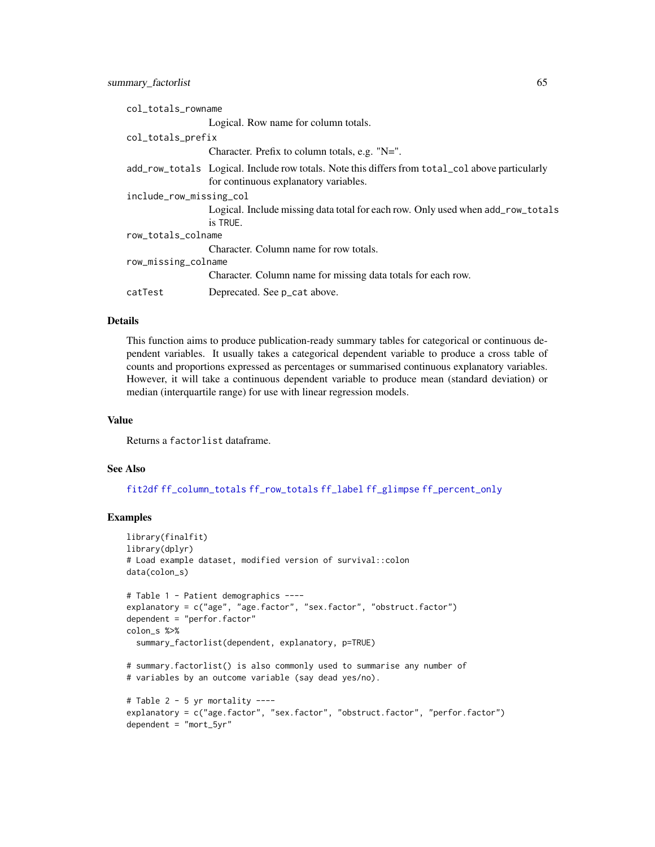| col_totals_rowname      |                                                                                                                                          |  |
|-------------------------|------------------------------------------------------------------------------------------------------------------------------------------|--|
|                         | Logical. Row name for column totals.                                                                                                     |  |
| col_totals_prefix       |                                                                                                                                          |  |
|                         | Character. Prefix to column totals, e.g. "N=".                                                                                           |  |
|                         | add_row_totals Logical. Include row totals. Note this differs from total_col above particularly<br>for continuous explanatory variables. |  |
| include_row_missing_col |                                                                                                                                          |  |
|                         | Logical. Include missing data total for each row. Only used when add_row_totals<br>is TRUE.                                              |  |
| row_totals_colname      |                                                                                                                                          |  |
|                         | Character. Column name for row totals.                                                                                                   |  |
| row_missing_colname     |                                                                                                                                          |  |
|                         | Character. Column name for missing data totals for each row.                                                                             |  |
| catTest                 | Deprecated. See p_cat above.                                                                                                             |  |
|                         |                                                                                                                                          |  |

### Details

This function aims to produce publication-ready summary tables for categorical or continuous dependent variables. It usually takes a categorical dependent variable to produce a cross table of counts and proportions expressed as percentages or summarised continuous explanatory variables. However, it will take a continuous dependent variable to produce mean (standard deviation) or median (interquartile range) for use with linear regression models.

#### Value

Returns a factorlist dataframe.

#### See Also

[fit2df](#page-37-0) [ff\\_column\\_totals](#page-16-0) [ff\\_row\\_totals](#page-32-0) [ff\\_label](#page-20-1) [ff\\_glimpse](#page-18-0) [ff\\_percent\\_only](#page-25-0)

```
library(finalfit)
library(dplyr)
# Load example dataset, modified version of survival::colon
data(colon_s)
# Table 1 - Patient demographics ----
explanatory = c("age", "age.factor", "sex.factor", "obstruct.factor")
dependent = "perfor.factor"
colon_s %>%
  summary_factorlist(dependent, explanatory, p=TRUE)
# summary.factorlist() is also commonly used to summarise any number of
# variables by an outcome variable (say dead yes/no).
# Table 2 - 5 yr mortality ----
explanatory = c("age.factor", "sex.factor", "obstruct.factor", "perfor.factor")
dependent = "mort_5yr"
```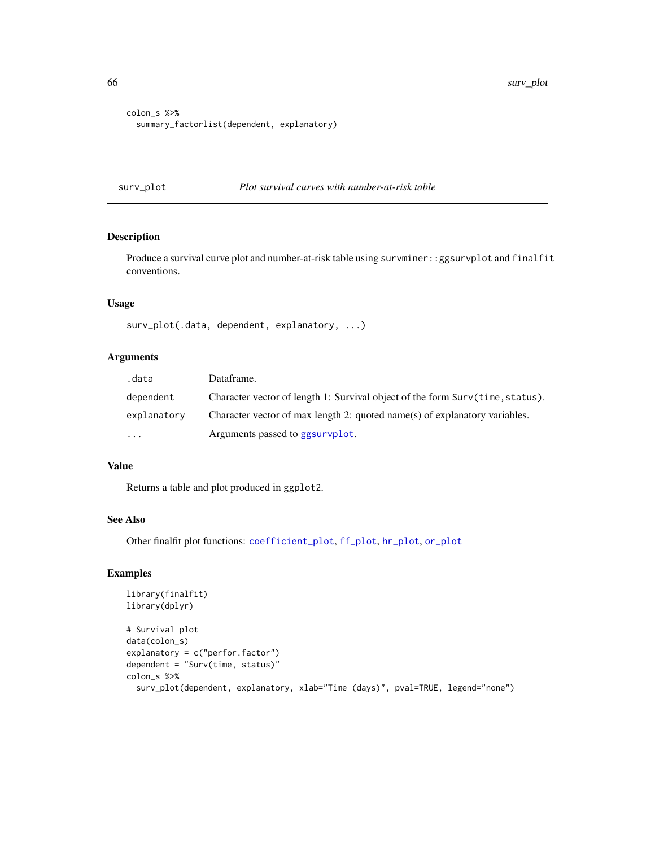```
colon_s %>%
  summary_factorlist(dependent, explanatory)
```
# <span id="page-65-0"></span>surv\_plot *Plot survival curves with number-at-risk table*

# Description

Produce a survival curve plot and number-at-risk table using survminer:: ggsurvplot and finalfit conventions.

# Usage

surv\_plot(.data, dependent, explanatory, ...)

#### Arguments

| .data       | Dataframe.                                                                    |
|-------------|-------------------------------------------------------------------------------|
| dependent   | Character vector of length 1: Survival object of the form Surv(time, status). |
| explanatory | Character vector of max length 2: quoted name(s) of explanatory variables.    |
| $\cdots$    | Arguments passed to ggsurvplot.                                               |

## Value

Returns a table and plot produced in ggplot2.

#### See Also

Other finalfit plot functions: [coefficient\\_plot](#page-7-0), [ff\\_plot](#page-27-0), [hr\\_plot](#page-47-0), [or\\_plot](#page-59-0)

```
library(finalfit)
library(dplyr)
# Survival plot
data(colon_s)
explanatory = c("perfor.factor")
dependent = "Surv(time, status)"
colon_s %>%
  surv_plot(dependent, explanatory, xlab="Time (days)", pval=TRUE, legend="none")
```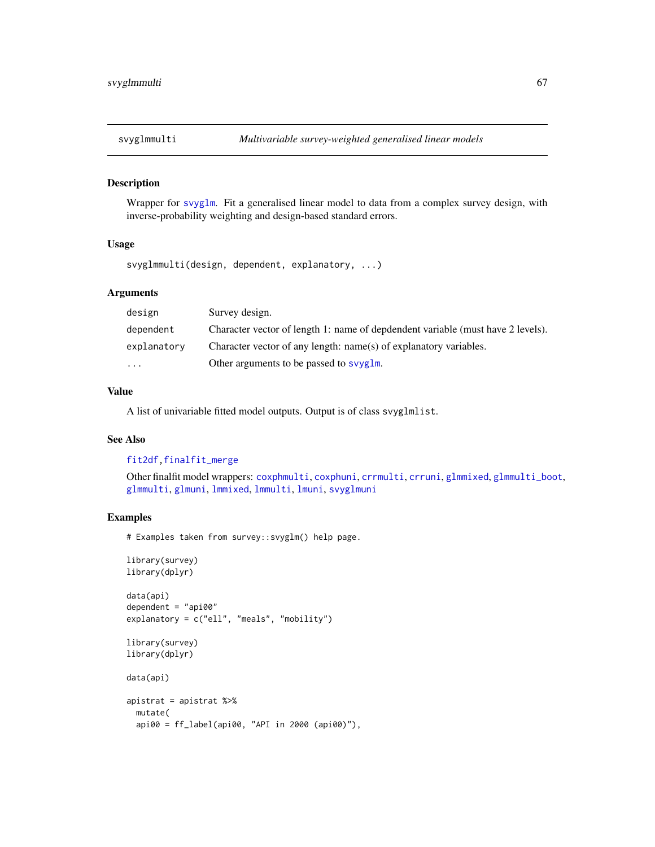<span id="page-66-0"></span>

Wrapper for [svyglm](#page-0-0). Fit a generalised linear model to data from a complex survey design, with inverse-probability weighting and design-based standard errors.

### Usage

svyglmmulti(design, dependent, explanatory, ...)

#### Arguments

| design      | Survey design.                                                                  |
|-------------|---------------------------------------------------------------------------------|
| dependent   | Character vector of length 1: name of depdendent variable (must have 2 levels). |
| explanatory | Character vector of any length: name(s) of explanatory variables.               |
| $\cdots$    | Other arguments to be passed to syvglm.                                         |

# Value

A list of univariable fitted model outputs. Output is of class svyglmlist.

# See Also

[fit2df](#page-37-0)[,finalfit\\_merge](#page-20-0)

Other finalfit model wrappers: [coxphmulti](#page-9-0), [coxphuni](#page-10-0), [crrmulti](#page-11-0), [crruni](#page-12-0), [glmmixed](#page-43-0), [glmmulti\\_boot](#page-45-0), [glmmulti](#page-44-0), [glmuni](#page-46-0), [lmmixed](#page-50-0), [lmmulti](#page-51-0), [lmuni](#page-52-0), [svyglmuni](#page-68-0)

# Examples

# Examples taken from survey::svyglm() help page.

```
library(survey)
library(dplyr)
data(api)
dependent = "api00"explanatory = c("ell", "meals", "mobility")
library(survey)
library(dplyr)
data(api)
apistrat = apistrat %>%
 mutate(
 api00 = ff_label(api00, "API in 2000 (api00)"),
```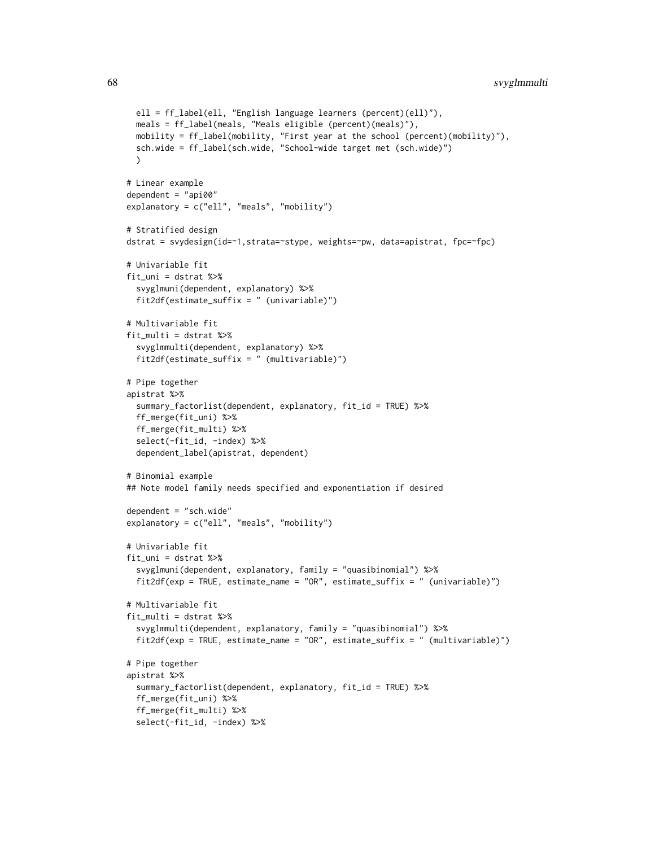```
ell = ff_label(ell, "English language learners (percent)(ell)"),
 meals = ff_label(meals, "Meals eligible (percent)(meals)"),
 mobility = ff_label(mobility, "First year at the school (percent)(mobility)"),
 sch.wide = ff_label(sch.wide, "School-wide target met (sch.wide)")
 \lambda# Linear example
dependent = "api00"explanatory = c("ell", "meals", "mobility")
# Stratified design
dstrat = svydesign(id=~1,strata=~stype, weights=~pw, data=apistrat, fpc=~fpc)
# Univariable fit
fit_uni = dstrat %>%
 svyglmuni(dependent, explanatory) %>%
 fit2df(estimate_suffix = " (univariable)")
# Multivariable fit
fit_multi = dstrat %>%
 svyglmmulti(dependent, explanatory) %>%
 fit2df(estimate_suffix = " (multivariable)")
# Pipe together
apistrat %>%
 summary_factorlist(dependent, explanatory, fit_id = TRUE) %>%
 ff_merge(fit_uni) %>%
 ff_merge(fit_multi) %>%
 select(-fit_id, -index) %>%
 dependent_label(apistrat, dependent)
# Binomial example
## Note model family needs specified and exponentiation if desired
dependent = "sch.wide"
explanatory = c("ell", "meals", "mobility")
# Univariable fit
fit_uni = dstrat %>%
  svyglmuni(dependent, explanatory, family = "quasibinomial") %>%
 fit2df(exp = TRUE, estimate_name = "OR", estimate_suffix = " (univariable)")
# Multivariable fit
fit_multi = dstrat %>%
 svyglmmulti(dependent, explanatory, family = "quasibinomial") %>%
 fit2df(exp = TRUE, estimate_name = "OR", estimate_suffix = " (multivariable)")
# Pipe together
apistrat %>%
 summary_factorlist(dependent, explanatory, fit_id = TRUE) %>%
 ff_merge(fit_uni) %>%
 ff_merge(fit_multi) %>%
  select(-fit_id, -index) %>%
```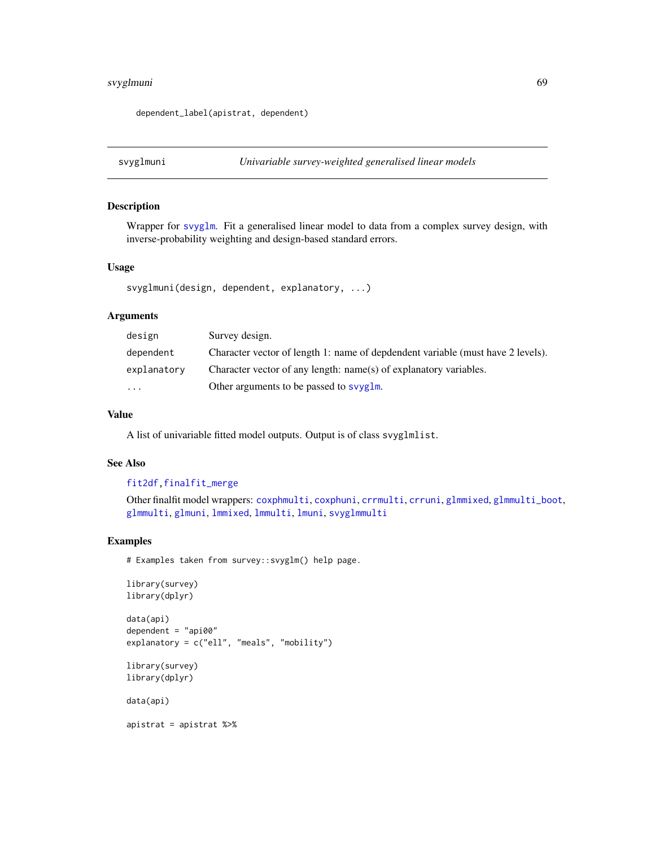# svyglmuni 69

dependent\_label(apistrat, dependent)

<span id="page-68-0"></span>svyglmuni *Univariable survey-weighted generalised linear models*

# Description

Wrapper for [svyglm](#page-0-0). Fit a generalised linear model to data from a complex survey design, with inverse-probability weighting and design-based standard errors.

#### Usage

```
svyglmuni(design, dependent, explanatory, ...)
```
#### Arguments

| design      | Survey design.                                                                  |
|-------------|---------------------------------------------------------------------------------|
| dependent   | Character vector of length 1: name of depdendent variable (must have 2 levels). |
| explanatory | Character vector of any length: name(s) of explanatory variables.               |
| $\cdots$    | Other arguments to be passed to syvglm.                                         |

## Value

A list of univariable fitted model outputs. Output is of class svyglmlist.

#### See Also

# [fit2df](#page-37-0)[,finalfit\\_merge](#page-20-0)

Other finalfit model wrappers: [coxphmulti](#page-9-0), [coxphuni](#page-10-0), [crrmulti](#page-11-0), [crruni](#page-12-0), [glmmixed](#page-43-0), [glmmulti\\_boot](#page-45-0), [glmmulti](#page-44-0), [glmuni](#page-46-0), [lmmixed](#page-50-0), [lmmulti](#page-51-0), [lmuni](#page-52-0), [svyglmmulti](#page-66-0)

### Examples

# Examples taken from survey::svyglm() help page.

```
library(survey)
library(dplyr)
```
data(api) dependent = "api00" explanatory = c("ell", "meals", "mobility")

```
library(survey)
library(dplyr)
```
data(api)

apistrat = apistrat %>%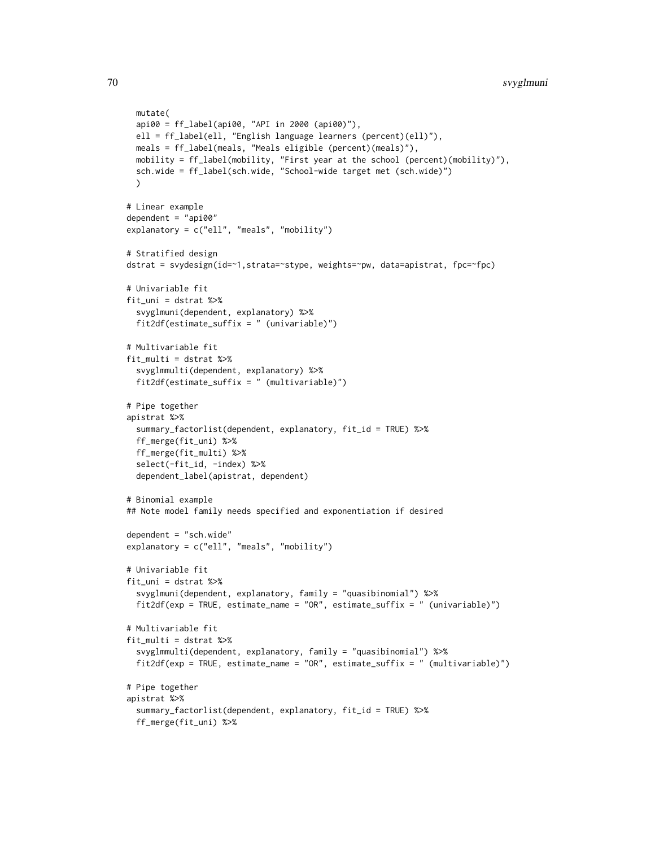```
mutate(
 api00 = ff_label(api00, "API in 2000 (api00)"),
 ell = ff_label(ell, "English language learners (percent)(ell)"),
 meals = ff_label(meals, "Meals eligible (percent)(meals)"),
 mobility = ff_label(mobility, "First year at the school (percent)(mobility)"),
 sch.wide = ff_label(sch.wide, "School-wide target met (sch.wide)")
 )
# Linear example
dependent = "api00"
explanatory = c("ell", "meals", "mobility")
# Stratified design
dstrat = svydesign(id=~1,strata=~stype, weights=~pw, data=apistrat, fpc=~fpc)
# Univariable fit
fit_uni = dstrat %>%
 svyglmuni(dependent, explanatory) %>%
 fit2df(estimate_suffix = " (univariable)")
# Multivariable fit
fit_multi = dstrat %>%
 svyglmmulti(dependent, explanatory) %>%
 fit2df(estimate_suffix = " (multivariable)")
# Pipe together
apistrat %>%
 summary_factorlist(dependent, explanatory, fit_id = TRUE) %>%
 ff_merge(fit_uni) %>%
 ff_merge(fit_multi) %>%
 select(-fit_id, -index) %>%
 dependent_label(apistrat, dependent)
# Binomial example
## Note model family needs specified and exponentiation if desired
dependent = "sch.wide"
explanatory = c("ell", "meals", "mobility")
# Univariable fit
fit_uni = dstrat %>%
  svyglmuni(dependent, explanatory, family = "quasibinomial") %>%
 fit2df(exp = TRUE, estimate_name = "OR", estimate_suffix = " (univariable)")
# Multivariable fit
fit_multi = dstrat %>%
 svyglmmulti(dependent, explanatory, family = "quasibinomial") %>%
 fit2df(exp = TRUE, estimate_name = "OR", estimate_suffix = " (multivariable)")
# Pipe together
apistrat %>%
  summary_factorlist(dependent, explanatory, fit_id = TRUE) %>%
 ff_merge(fit_uni) %>%
```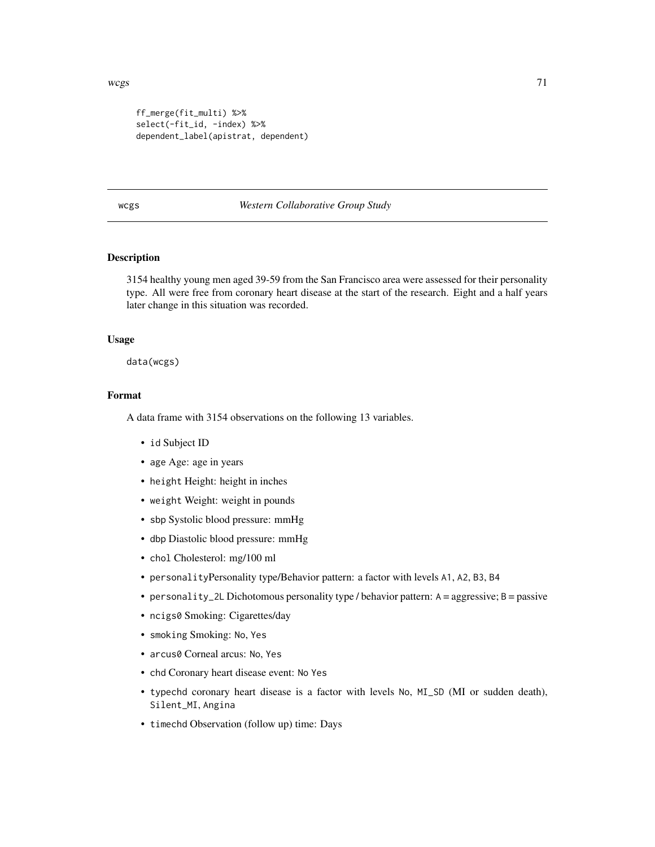```
ff_merge(fit_multi) %>%
select(-fit_id, -index) %>%
dependent_label(apistrat, dependent)
```
#### wcgs *Western Collaborative Group Study*

# Description

3154 healthy young men aged 39-59 from the San Francisco area were assessed for their personality type. All were free from coronary heart disease at the start of the research. Eight and a half years later change in this situation was recorded.

#### Usage

data(wcgs)

## Format

A data frame with 3154 observations on the following 13 variables.

- id Subject ID
- age Age: age in years
- height Height: height in inches
- weight Weight: weight in pounds
- sbp Systolic blood pressure: mmHg
- dbp Diastolic blood pressure: mmHg
- chol Cholesterol: mg/100 ml
- personalityPersonality type/Behavior pattern: a factor with levels A1, A2, B3, B4
- personality\_2L Dichotomous personality type / behavior pattern:  $A =$  aggressive;  $B =$  passive
- ncigs0 Smoking: Cigarettes/day
- smoking Smoking: No, Yes
- arcus0 Corneal arcus: No, Yes
- chd Coronary heart disease event: No Yes
- typechd coronary heart disease is a factor with levels No, MI\_SD (MI or sudden death), Silent\_MI, Angina
- timechd Observation (follow up) time: Days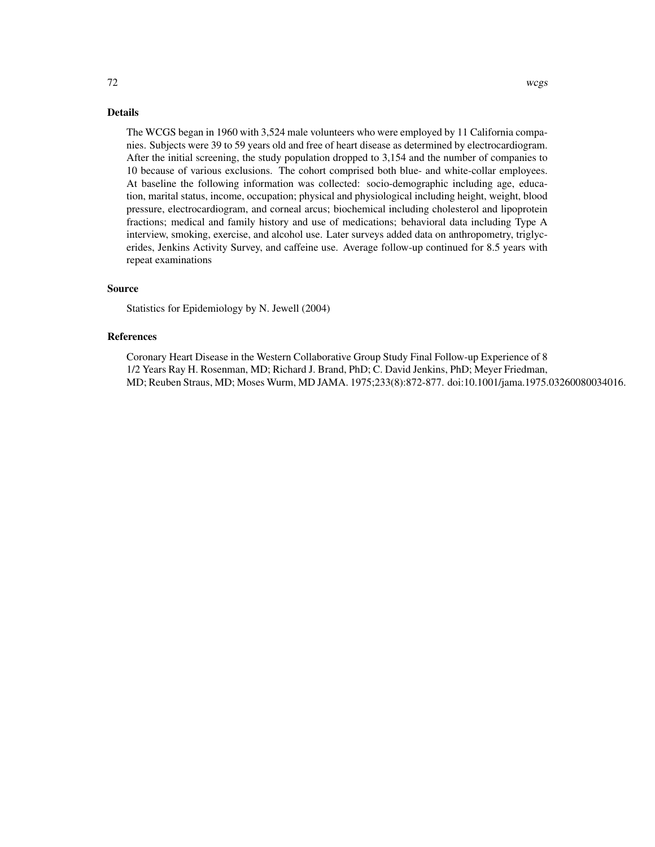#### Details

The WCGS began in 1960 with 3,524 male volunteers who were employed by 11 California companies. Subjects were 39 to 59 years old and free of heart disease as determined by electrocardiogram. After the initial screening, the study population dropped to 3,154 and the number of companies to 10 because of various exclusions. The cohort comprised both blue- and white-collar employees. At baseline the following information was collected: socio-demographic including age, education, marital status, income, occupation; physical and physiological including height, weight, blood pressure, electrocardiogram, and corneal arcus; biochemical including cholesterol and lipoprotein fractions; medical and family history and use of medications; behavioral data including Type A interview, smoking, exercise, and alcohol use. Later surveys added data on anthropometry, triglycerides, Jenkins Activity Survey, and caffeine use. Average follow-up continued for 8.5 years with repeat examinations

### Source

Statistics for Epidemiology by N. Jewell (2004)

## References

Coronary Heart Disease in the Western Collaborative Group Study Final Follow-up Experience of 8 1/2 Years Ray H. Rosenman, MD; Richard J. Brand, PhD; C. David Jenkins, PhD; Meyer Friedman, MD; Reuben Straus, MD; Moses Wurm, MD JAMA. 1975;233(8):872-877. doi:10.1001/jama.1975.03260080034016.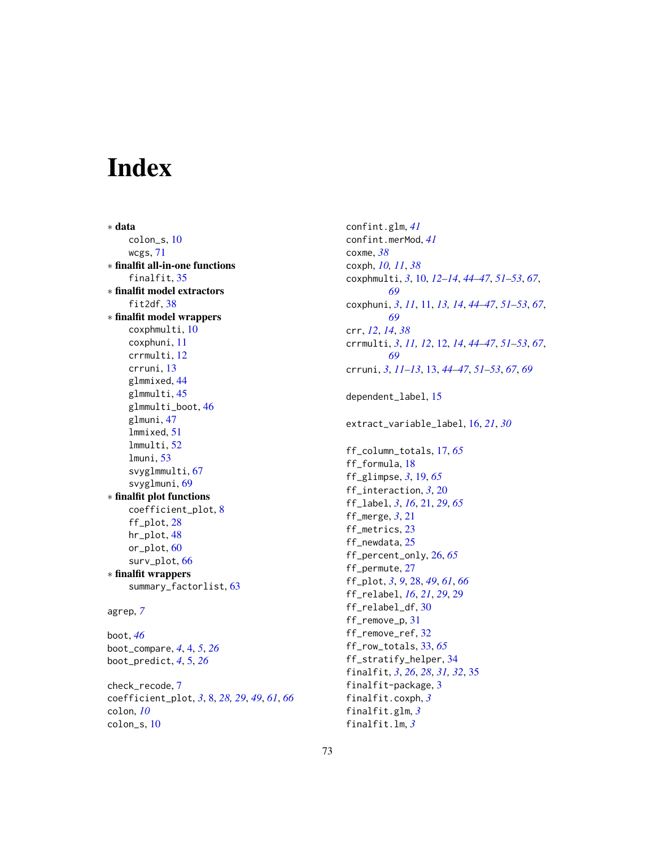## **Index**

∗ data colon\_s, [10](#page-9-0) wcgs, [71](#page-70-0) ∗ finalfit all-in-one functions finalfit, [35](#page-34-0) ∗ finalfit model extractors fit2df, [38](#page-37-0) ∗ finalfit model wrappers coxphmulti, [10](#page-9-0) coxphuni, [11](#page-10-0) crrmulti, [12](#page-11-0) crruni, [13](#page-12-0) glmmixed, [44](#page-43-0) glmmulti, [45](#page-44-0) glmmulti\_boot, [46](#page-45-0) glmuni, [47](#page-46-0) lmmixed, [51](#page-50-0) lmmulti, [52](#page-51-0) lmuni, [53](#page-52-0) svyglmmulti, [67](#page-66-0) svyglmuni, [69](#page-68-0) ∗ finalfit plot functions coefficient\_plot, [8](#page-7-0) ff\_plot, [28](#page-27-0) hr\_plot, [48](#page-47-0) or\_plot, [60](#page-59-0) surv\_plot, [66](#page-65-0) ∗ finalfit wrappers summary\_factorlist, [63](#page-62-0)

```
agrep, 7
```
boot, *[46](#page-45-0)* boot\_compare, *[4](#page-3-0)*, [4,](#page-3-0) *[5](#page-4-0)*, *[26](#page-25-0)* boot\_predict, *[4](#page-3-0)*, [5,](#page-4-0) *[26](#page-25-0)* check\_recode, [7](#page-6-0) coefficient\_plot, *[3](#page-2-0)*, [8,](#page-7-0) *[28,](#page-27-0) [29](#page-28-0)*, *[49](#page-48-0)*, *[61](#page-60-0)*, *[66](#page-65-0)*

colon, *[10](#page-9-0)* colon\_s, [10](#page-9-0) confint.glm, *[41](#page-40-0)* confint.merMod, *[41](#page-40-0)* coxme, *[38](#page-37-0)* coxph, *[10,](#page-9-0) [11](#page-10-0)*, *[38](#page-37-0)* coxphmulti, *[3](#page-2-0)*, [10,](#page-9-0) *[12](#page-11-0)[–14](#page-13-0)*, *[44](#page-43-0)[–47](#page-46-0)*, *[51](#page-50-0)[–53](#page-52-0)*, *[67](#page-66-0)*, *[69](#page-68-0)* coxphuni, *[3](#page-2-0)*, *[11](#page-10-0)*, [11,](#page-10-0) *[13,](#page-12-0) [14](#page-13-0)*, *[44](#page-43-0)[–47](#page-46-0)*, *[51](#page-50-0)[–53](#page-52-0)*, *[67](#page-66-0)*, *[69](#page-68-0)* crr, *[12](#page-11-0)*, *[14](#page-13-0)*, *[38](#page-37-0)* crrmulti, *[3](#page-2-0)*, *[11,](#page-10-0) [12](#page-11-0)*, [12,](#page-11-0) *[14](#page-13-0)*, *[44](#page-43-0)[–47](#page-46-0)*, *[51](#page-50-0)[–53](#page-52-0)*, *[67](#page-66-0)*, *[69](#page-68-0)* crruni, *[3](#page-2-0)*, *[11](#page-10-0)[–13](#page-12-0)*, [13,](#page-12-0) *[44](#page-43-0)[–47](#page-46-0)*, *[51](#page-50-0)[–53](#page-52-0)*, *[67](#page-66-0)*, *[69](#page-68-0)* dependent\_label, [15](#page-14-0) extract\_variable\_label, [16,](#page-15-0) *[21](#page-20-0)*, *[30](#page-29-0)* ff\_column\_totals, [17,](#page-16-0) *[65](#page-64-0)* ff\_formula, [18](#page-17-0) ff\_glimpse, *[3](#page-2-0)*, [19,](#page-18-0) *[65](#page-64-0)* ff\_interaction, *[3](#page-2-0)*, [20](#page-19-0) ff\_label, *[3](#page-2-0)*, *[16](#page-15-0)*, [21,](#page-20-0) *[29](#page-28-0)*, *[65](#page-64-0)* ff\_merge, *[3](#page-2-0)*, [21](#page-20-0) ff\_metrics, [23](#page-22-0) ff\_newdata, [25](#page-24-0) ff\_percent\_only, [26,](#page-25-0) *[65](#page-64-0)* ff\_permute, [27](#page-26-0) ff\_plot, *[3](#page-2-0)*, *[9](#page-8-0)*, [28,](#page-27-0) *[49](#page-48-0)*, *[61](#page-60-0)*, *[66](#page-65-0)* ff\_relabel, *[16](#page-15-0)*, *[21](#page-20-0)*, *[29](#page-28-0)*, [29](#page-28-0) ff\_relabel\_df, [30](#page-29-0) ff\_remove\_p, [31](#page-30-0) ff\_remove\_ref, [32](#page-31-0) ff\_row\_totals, [33,](#page-32-0) *[65](#page-64-0)* ff\_stratify\_helper, [34](#page-33-0) finalfit, *[3](#page-2-0)*, *[26](#page-25-0)*, *[28](#page-27-0)*, *[31,](#page-30-0) [32](#page-31-0)*, [35](#page-34-0) finalfit-package, [3](#page-2-0) finalfit.coxph, *[3](#page-2-0)* finalfit.glm, *[3](#page-2-0)* finalfit.lm, *[3](#page-2-0)*